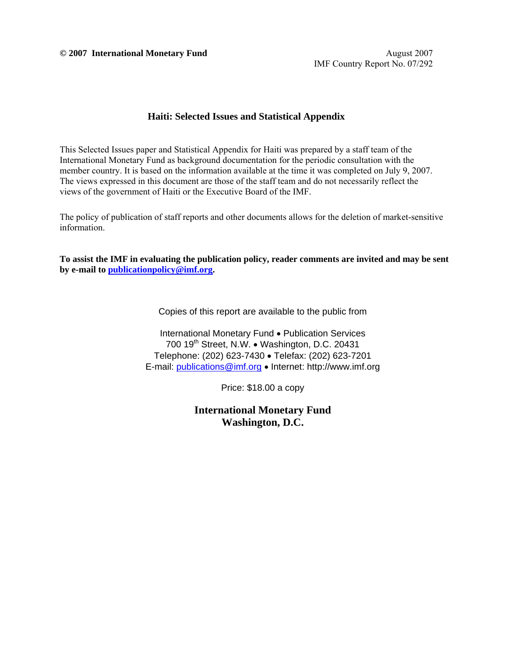**© 2007 International Monetary Fund** August 2007

#### **Haiti: Selected Issues and Statistical Appendix**

This Selected Issues paper and Statistical Appendix for Haiti was prepared by a staff team of the International Monetary Fund as background documentation for the periodic consultation with the member country. It is based on the information available at the time it was completed on July 9, 2007. The views expressed in this document are those of the staff team and do not necessarily reflect the views of the government of Haiti or the Executive Board of the IMF.

The policy of publication of staff reports and other documents allows for the deletion of market-sensitive information.

**To assist the IMF in evaluating the publication policy, reader comments are invited and may be sent by e-mail to publicationpolicy@imf.org.**

Copies of this report are available to the public from

International Monetary Fund • Publication Services 700  $19<sup>th</sup>$  Street, N.W. • Washington, D.C. 20431 Telephone: (202) 623-7430 • Telefax: (202) 623-7201 E-mail: publications@imf.org • Internet: http://www.imf.org

Price: \$18.00 a copy

**International Monetary Fund Washington, D.C.**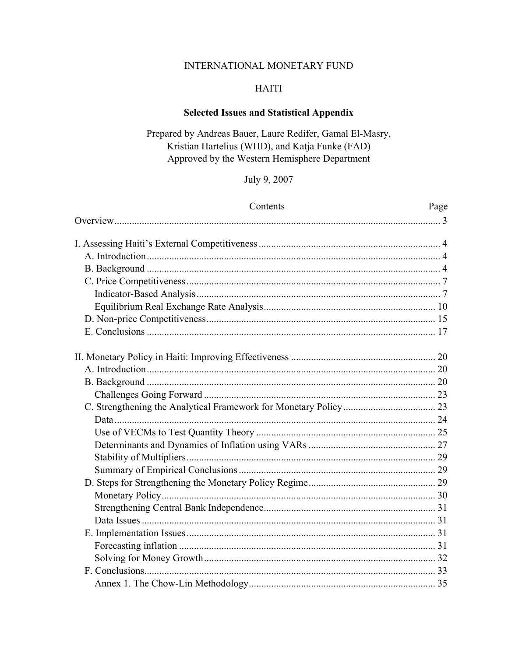# INTERNATIONAL MONETARY FUND

# **HAITI**

# **Selected Issues and Statistical Appendix**

# Prepared by Andreas Bauer, Laure Redifer, Gamal El-Masry, Kristian Hartelius (WHD), and Katja Funke (FAD) Approved by the Western Hemisphere Department

# July 9, 2007

| Contents | Page |
|----------|------|
|          |      |
|          |      |
|          |      |
|          |      |
|          |      |
|          |      |
|          |      |
|          |      |
|          |      |
|          |      |
|          |      |
|          |      |
|          |      |
|          |      |
|          |      |
|          |      |
|          |      |
|          |      |
|          |      |
|          |      |
|          |      |
|          |      |
|          |      |
|          |      |
|          |      |
|          |      |
|          |      |
|          |      |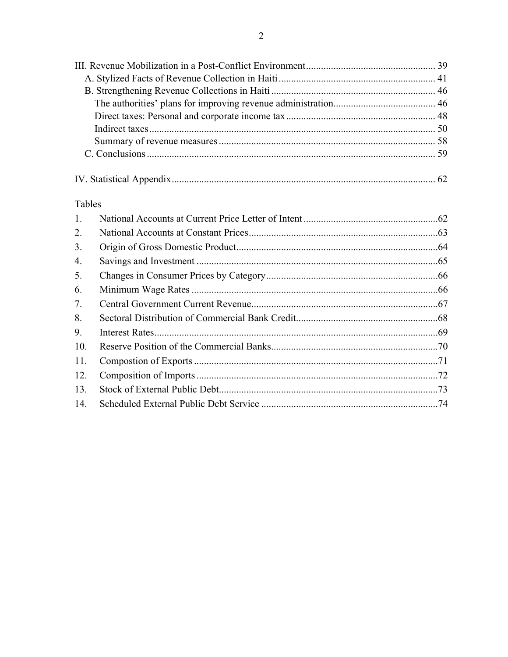| Tables           |  |
|------------------|--|
| 1.               |  |
| 2.               |  |
| 3.               |  |
| $\overline{4}$ . |  |
| 5.               |  |
| 6.               |  |
| 7.               |  |
| 8.               |  |
| 9.               |  |
| 10.              |  |
| 11.              |  |

 $12.$ 13.

 $14.$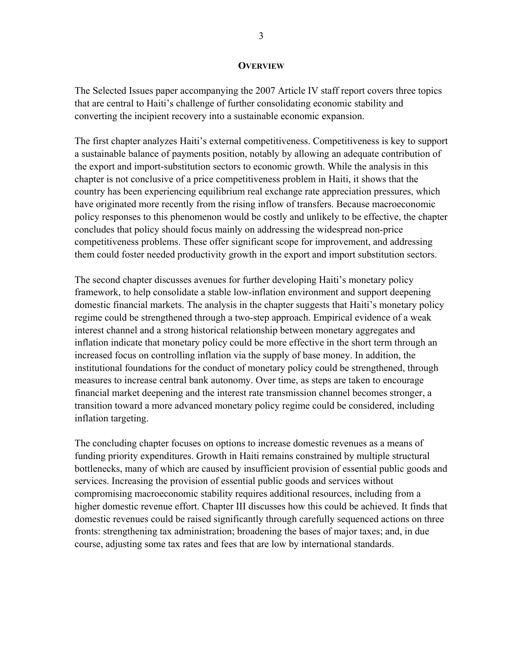#### **OVERVIEW**

The Selected Issues paper accompanying the 2007 Article IV staff report covers three topics that are central to Haiti's challenge of further consolidating economic stability and converting the incipient recovery into a sustainable economic expansion.

The first chapter analyzes Haiti's external competitiveness. Competitiveness is key to support a sustainable balance of payments position, notably by allowing an adequate contribution of the export and import-substitution sectors to economic growth. While the analysis in this chapter is not conclusive of a price competitiveness problem in Haiti, it shows that the country has been experiencing equilibrium real exchange rate appreciation pressures, which have originated more recently from the rising inflow of transfers. Because macroeconomic policy responses to this phenomenon would be costly and unlikely to be effective, the chapter concludes that policy should focus mainly on addressing the widespread non-price competitiveness problems. These offer significant scope for improvement, and addressing them could foster needed productivity growth in the export and import substitution sectors.

The second chapter discusses avenues for further developing Haiti's monetary policy framework, to help consolidate a stable low-inflation environment and support deepening domestic financial markets. The analysis in the chapter suggests that Haiti's monetary policy regime could be strengthened through a two-step approach. Empirical evidence of a weak interest channel and a strong historical relationship between monetary aggregates and inflation indicate that monetary policy could be more effective in the short term through an increased focus on controlling inflation via the supply of base money. In addition, the institutional foundations for the conduct of monetary policy could be strengthened, through measures to increase central bank autonomy. Over time, as steps are taken to encourage financial market deepening and the interest rate transmission channel becomes stronger, a transition toward a more advanced monetary policy regime could be considered, including inflation targeting.

The concluding chapter focuses on options to increase domestic revenues as a means of funding priority expenditures. Growth in Haiti remains constrained by multiple structural bottlenecks, many of which are caused by insufficient provision of essential public goods and services. Increasing the provision of essential public goods and services without compromising macroeconomic stability requires additional resources, including from a higher domestic revenue effort. Chapter III discusses how this could be achieved. It finds that domestic revenues could be raised significantly through carefully sequenced actions on three fronts: strengthening tax administration; broadening the bases of major taxes; and, in due course, adjusting some tax rates and fees that are low by international standards.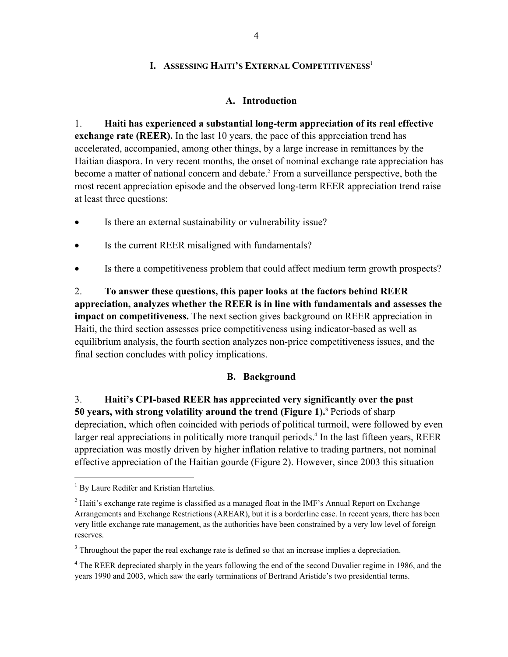## **I. ASSESSING HAITI'S EXTERNAL COMPETITIVENESS<sup>1</sup>**

### **A. Introduction**

1. **Haiti has experienced a substantial long-term appreciation of its real effective exchange rate (REER).** In the last 10 years, the pace of this appreciation trend has accelerated, accompanied, among other things, by a large increase in remittances by the Haitian diaspora. In very recent months, the onset of nominal exchange rate appreciation has become a matter of national concern and debate.<sup>2</sup> From a surveillance perspective, both the most recent appreciation episode and the observed long-term REER appreciation trend raise at least three questions:

- Is there an external sustainability or vulnerability issue?
- Is the current REER misaligned with fundamentals?
- Is there a competitiveness problem that could affect medium term growth prospects?

2. **To answer these questions, this paper looks at the factors behind REER appreciation, analyzes whether the REER is in line with fundamentals and assesses the impact on competitiveness.** The next section gives background on REER appreciation in Haiti, the third section assesses price competitiveness using indicator-based as well as equilibrium analysis, the fourth section analyzes non-price competitiveness issues, and the final section concludes with policy implications.

## **B. Background**

3. **Haiti's CPI-based REER has appreciated very significantly over the past 50 years, with strong volatility around the trend (Figure 1).3** Periods of sharp depreciation, which often coincided with periods of political turmoil, were followed by even larger real appreciations in politically more tranquil periods.<sup>4</sup> In the last fifteen years, REER appreciation was mostly driven by higher inflation relative to trading partners, not nominal effective appreciation of the Haitian gourde (Figure 2). However, since 2003 this situation

 $\overline{a}$ 

<sup>&</sup>lt;sup>1</sup> By Laure Redifer and Kristian Hartelius.

 $2$  Haiti's exchange rate regime is classified as a managed float in the IMF's Annual Report on Exchange Arrangements and Exchange Restrictions (AREAR), but it is a borderline case. In recent years, there has been very little exchange rate management, as the authorities have been constrained by a very low level of foreign reserves.

 $3$  Throughout the paper the real exchange rate is defined so that an increase implies a depreciation.

<sup>&</sup>lt;sup>4</sup> The REER depreciated sharply in the years following the end of the second Duvalier regime in 1986, and the years 1990 and 2003, which saw the early terminations of Bertrand Aristide's two presidential terms.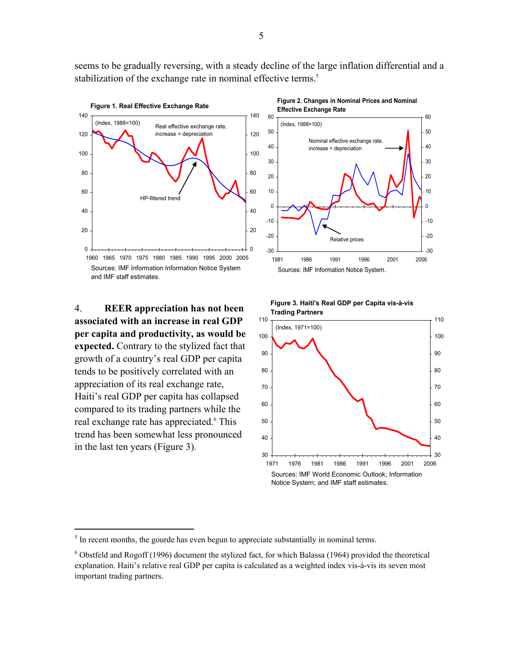seems to be gradually reversing, with a steady decline of the large inflation differential and a stabilization of the exchange rate in nominal effective terms.<sup>5</sup>



4. **REER appreciation has not been associated with an increase in real GDP per capita and productivity, as would be expected.** Contrary to the stylized fact that growth of a country's real GDP per capita tends to be positively correlated with an appreciation of its real exchange rate, Haiti's real GDP per capita has collapsed compared to its trading partners while the real exchange rate has appreciated.<sup>6</sup> This trend has been somewhat less pronounced in the last ten years (Figure 3).

 $\overline{a}$ 







 $<sup>5</sup>$  In recent months, the gourde has even begun to appreciate substantially in nominal terms.</sup>

 $6$  Obstfeld and Rogoff (1996) document the stylized fact, for which Balassa (1964) provided the theoretical explanation. Haiti's relative real GDP per capita is calculated as a weighted index vis-à-vis its seven most important trading partners.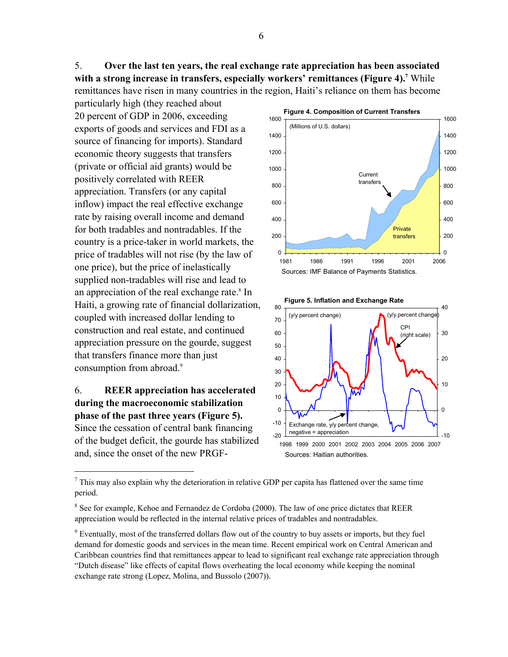5. **Over the last ten years, the real exchange rate appreciation has been associated**  with a strong increase in transfers, especially workers' remittances (Figure 4).<sup>7</sup> While remittances have risen in many countries in the region, Haiti's reliance on them has become

particularly high (they reached about 20 percent of GDP in 2006, exceeding exports of goods and services and FDI as a source of financing for imports). Standard economic theory suggests that transfers (private or official aid grants) would be positively correlated with REER appreciation. Transfers (or any capital inflow) impact the real effective exchange rate by raising overall income and demand for both tradables and nontradables. If the country is a price-taker in world markets, the price of tradables will not rise (by the law of one price), but the price of inelastically supplied non-tradables will rise and lead to an appreciation of the real exchange rate.<sup>8</sup> In Haiti, a growing rate of financial dollarization, coupled with increased dollar lending to construction and real estate, and continued appreciation pressure on the gourde, suggest that transfers finance more than just consumption from abroad.<sup>9</sup>

6. **REER appreciation has accelerated during the macroeconomic stabilization phase of the past three years (Figure 5).**  Since the cessation of central bank financing of the budget deficit, the gourde has stabilized and, since the onset of the new PRGF-

1





 $<sup>7</sup>$  This may also explain why the deterioration in relative GDP per capita has flattened over the same time</sup> period.

<sup>&</sup>lt;sup>8</sup> See for example, Kehoe and Fernandez de Cordoba (2000). The law of one price dictates that REER appreciation would be reflected in the internal relative prices of tradables and nontradables.

<sup>&</sup>lt;sup>9</sup> Eventually, most of the transferred dollars flow out of the country to buy assets or imports, but they fuel demand for domestic goods and services in the mean time. Recent empirical work on Central American and Caribbean countries find that remittances appear to lead to significant real exchange rate appreciation through "Dutch disease" like effects of capital flows overheating the local economy while keeping the nominal exchange rate strong (Lopez, Molina, and Bussolo (2007)).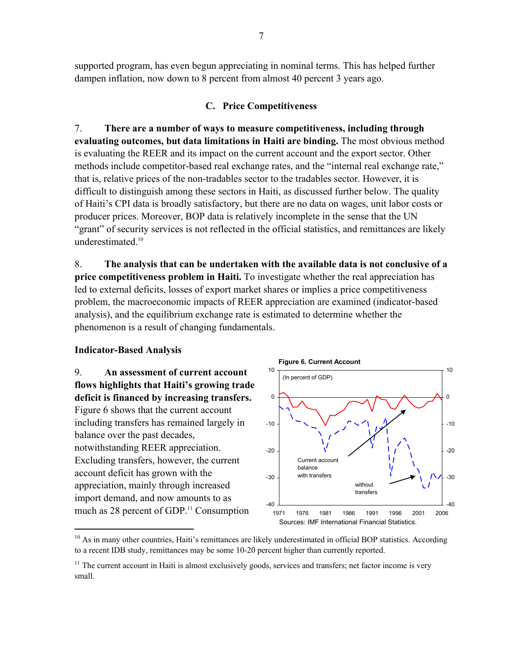supported program, has even begun appreciating in nominal terms. This has helped further dampen inflation, now down to 8 percent from almost 40 percent 3 years ago.

# **C. Price Competitiveness**

7. **There are a number of ways to measure competitiveness, including through evaluating outcomes, but data limitations in Haiti are binding.** The most obvious method is evaluating the REER and its impact on the current account and the export sector. Other methods include competitor-based real exchange rates, and the "internal real exchange rate," that is, relative prices of the non-tradables sector to the tradables sector. However, it is difficult to distinguish among these sectors in Haiti, as discussed further below. The quality of Haiti's CPI data is broadly satisfactory, but there are no data on wages, unit labor costs or producer prices. Moreover, BOP data is relatively incomplete in the sense that the UN "grant" of security services is not reflected in the official statistics, and remittances are likely underestimated.<sup>10</sup>

8. **The analysis that can be undertaken with the available data is not conclusive of a price competitiveness problem in Haiti.** To investigate whether the real appreciation has led to external deficits, losses of export market shares or implies a price competitiveness problem, the macroeconomic impacts of REER appreciation are examined (indicator-based analysis), and the equilibrium exchange rate is estimated to determine whether the phenomenon is a result of changing fundamentals.

## **Indicator-Based Analysis**

1

9. **An assessment of current account flows highlights that Haiti's growing trade deficit is financed by increasing transfers.**  Figure 6 shows that the current account including transfers has remained largely in balance over the past decades, notwithstanding REER appreciation. Excluding transfers, however, the current account deficit has grown with the appreciation, mainly through increased import demand, and now amounts to as much as 28 percent of GDP.<sup>11</sup> Consumption



<sup>&</sup>lt;sup>10</sup> As in many other countries, Haiti's remittances are likely underestimated in official BOP statistics. According to a recent IDB study, remittances may be some 10-20 percent higher than currently reported.

<sup>&</sup>lt;sup>11</sup> The current account in Haiti is almost exclusively goods, services and transfers; net factor income is very small.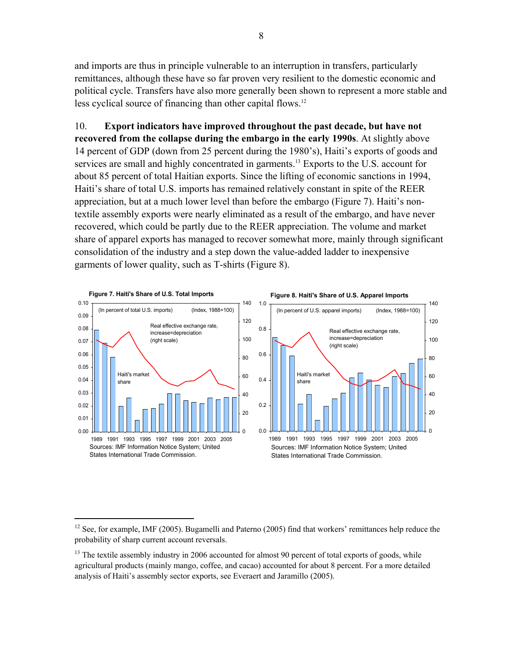and imports are thus in principle vulnerable to an interruption in transfers, particularly remittances, although these have so far proven very resilient to the domestic economic and political cycle. Transfers have also more generally been shown to represent a more stable and less cyclical source of financing than other capital flows.<sup>12</sup>

10. **Export indicators have improved throughout the past decade, but have not recovered from the collapse during the embargo in the early 1990s**. At slightly above 14 percent of GDP (down from 25 percent during the 1980's), Haiti's exports of goods and services are small and highly concentrated in garments.<sup>13</sup> Exports to the U.S. account for about 85 percent of total Haitian exports. Since the lifting of economic sanctions in 1994, Haiti's share of total U.S. imports has remained relatively constant in spite of the REER appreciation, but at a much lower level than before the embargo (Figure 7). Haiti's nontextile assembly exports were nearly eliminated as a result of the embargo, and have never recovered, which could be partly due to the REER appreciation. The volume and market share of apparel exports has managed to recover somewhat more, mainly through significant consolidation of the industry and a step down the value-added ladder to inexpensive garments of lower quality, such as T-shirts (Figure 8).



1

<sup>&</sup>lt;sup>12</sup> See, for example, IMF (2005). Bugamelli and Paterno (2005) find that workers' remittances help reduce the probability of sharp current account reversals.

 $13$  The textile assembly industry in 2006 accounted for almost 90 percent of total exports of goods, while agricultural products (mainly mango, coffee, and cacao) accounted for about 8 percent. For a more detailed analysis of Haiti's assembly sector exports, see Everaert and Jaramillo (2005).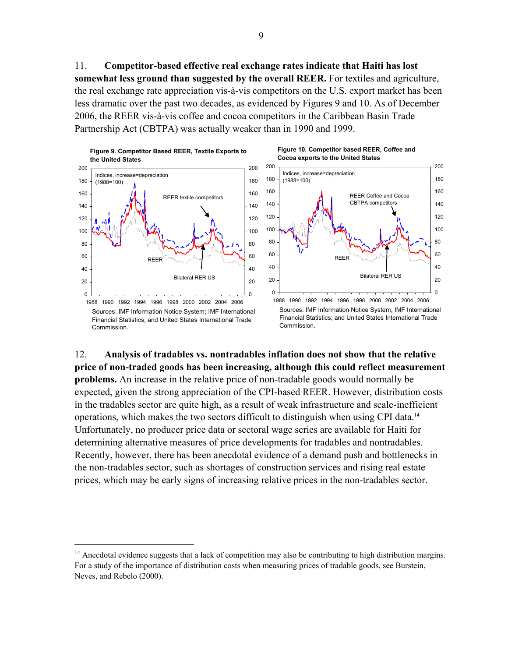11. **Competitor-based effective real exchange rates indicate that Haiti has lost somewhat less ground than suggested by the overall REER.** For textiles and agriculture, the real exchange rate appreciation vis-à-vis competitors on the U.S. export market has been less dramatic over the past two decades, as evidenced by Figures 9 and 10. As of December 2006, the REER vis-à-vis coffee and cocoa competitors in the Caribbean Basin Trade Partnership Act (CBTPA) was actually weaker than in 1990 and 1999.



Sources: IMF Information Notice System; IMF International Financial Statistics; and United States International Trade **Commission** 

1

**Figure 10. Competitor based REER, Coffee and Cocoa exports to the United States**



Financial Statistics; and United States International Trade Commission.

12. **Analysis of tradables vs. nontradables inflation does not show that the relative price of non-traded goods has been increasing, although this could reflect measurement problems.** An increase in the relative price of non-tradable goods would normally be expected, given the strong appreciation of the CPI-based REER. However, distribution costs in the tradables sector are quite high, as a result of weak infrastructure and scale-inefficient operations, which makes the two sectors difficult to distinguish when using CPI data.14 Unfortunately, no producer price data or sectoral wage series are available for Haiti for determining alternative measures of price developments for tradables and nontradables. Recently, however, there has been anecdotal evidence of a demand push and bottlenecks in the non-tradables sector, such as shortages of construction services and rising real estate prices, which may be early signs of increasing relative prices in the non-tradables sector.

<sup>&</sup>lt;sup>14</sup> Anecdotal evidence suggests that a lack of competition may also be contributing to high distribution margins. For a study of the importance of distribution costs when measuring prices of tradable goods, see Burstein, Neves, and Rebelo (2000).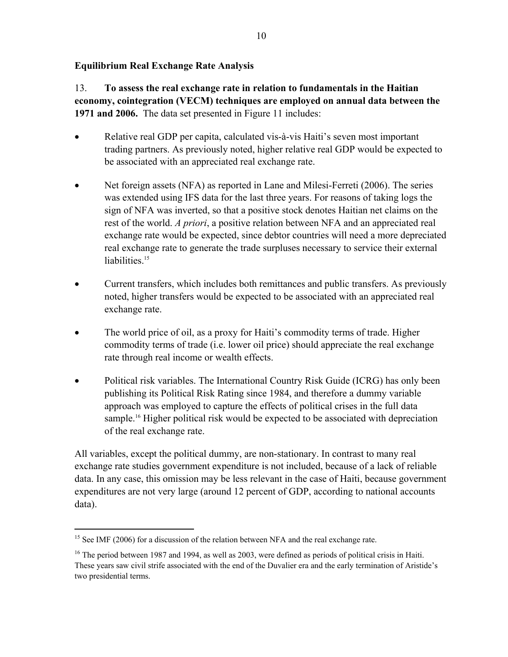## **Equilibrium Real Exchange Rate Analysis**

13. **To assess the real exchange rate in relation to fundamentals in the Haitian economy, cointegration (VECM) techniques are employed on annual data between the 1971 and 2006.** The data set presented in Figure 11 includes:

- Relative real GDP per capita, calculated vis-à-vis Haiti's seven most important trading partners. As previously noted, higher relative real GDP would be expected to be associated with an appreciated real exchange rate.
- Net foreign assets (NFA) as reported in Lane and Milesi-Ferreti (2006). The series was extended using IFS data for the last three years. For reasons of taking logs the sign of NFA was inverted, so that a positive stock denotes Haitian net claims on the rest of the world. *A priori*, a positive relation between NFA and an appreciated real exchange rate would be expected, since debtor countries will need a more depreciated real exchange rate to generate the trade surpluses necessary to service their external liabilities.<sup>15</sup>
- Current transfers, which includes both remittances and public transfers. As previously noted, higher transfers would be expected to be associated with an appreciated real exchange rate.
- The world price of oil, as a proxy for Haiti's commodity terms of trade. Higher commodity terms of trade (i.e. lower oil price) should appreciate the real exchange rate through real income or wealth effects.
- Political risk variables. The International Country Risk Guide (ICRG) has only been publishing its Political Risk Rating since 1984, and therefore a dummy variable approach was employed to capture the effects of political crises in the full data sample.<sup>16</sup> Higher political risk would be expected to be associated with depreciation of the real exchange rate.

All variables, except the political dummy, are non-stationary. In contrast to many real exchange rate studies government expenditure is not included, because of a lack of reliable data. In any case, this omission may be less relevant in the case of Haiti, because government expenditures are not very large (around 12 percent of GDP, according to national accounts data).

1

<sup>&</sup>lt;sup>15</sup> See IMF (2006) for a discussion of the relation between NFA and the real exchange rate.

<sup>&</sup>lt;sup>16</sup> The period between 1987 and 1994, as well as 2003, were defined as periods of political crisis in Haiti. These years saw civil strife associated with the end of the Duvalier era and the early termination of Aristide's two presidential terms.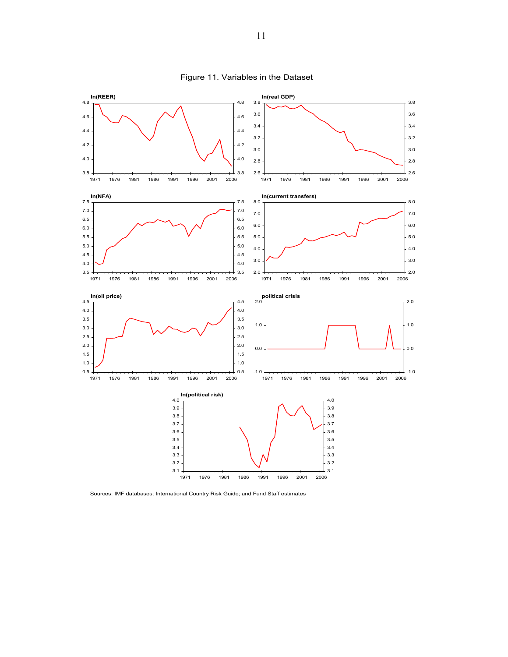

Figure 11. Variables in the Dataset

Sources: IMF databases; International Country Risk Guide; and Fund Staff estimates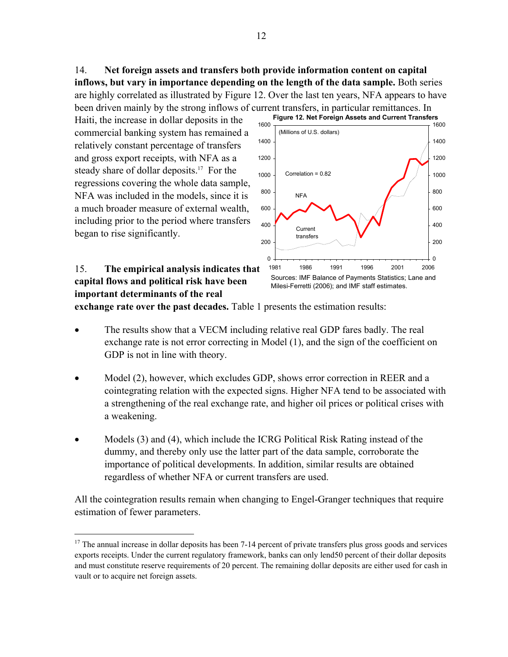14. **Net foreign assets and transfers both provide information content on capital inflows, but vary in importance depending on the length of the data sample.** Both series are highly correlated as illustrated by Figure 12. Over the last ten years, NFA appears to have been driven mainly by the strong inflows of current transfers, in particular remittances. In

Haiti, the increase in dollar deposits in the commercial banking system has remained a relatively constant percentage of transfers and gross export receipts, with NFA as a steady share of dollar deposits.<sup>17</sup> For the regressions covering the whole data sample, NFA was included in the models, since it is a much broader measure of external wealth, including prior to the period where transfers began to rise significantly.



15. **The empirical analysis indicates that capital flows and political risk have been important determinants of the real** 

 $\overline{a}$ 

**exchange rate over the past decades.** Table 1 presents the estimation results:

- The results show that a VECM including relative real GDP fares badly. The real exchange rate is not error correcting in Model (1), and the sign of the coefficient on GDP is not in line with theory.
- Model (2), however, which excludes GDP, shows error correction in REER and a cointegrating relation with the expected signs. Higher NFA tend to be associated with a strengthening of the real exchange rate, and higher oil prices or political crises with a weakening.
- Models (3) and (4), which include the ICRG Political Risk Rating instead of the dummy, and thereby only use the latter part of the data sample, corroborate the importance of political developments. In addition, similar results are obtained regardless of whether NFA or current transfers are used.

All the cointegration results remain when changing to Engel-Granger techniques that require estimation of fewer parameters.

 $17$  The annual increase in dollar deposits has been 7-14 percent of private transfers plus gross goods and services exports receipts. Under the current regulatory framework, banks can only lend50 percent of their dollar deposits and must constitute reserve requirements of 20 percent. The remaining dollar deposits are either used for cash in vault or to acquire net foreign assets.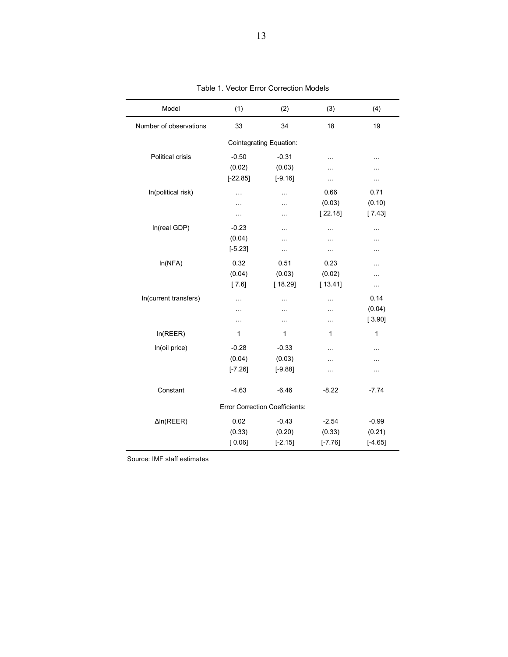| Model                   | (1)        | (2)                                   | (3)       | (4)       |
|-------------------------|------------|---------------------------------------|-----------|-----------|
| Number of observations  | 33         | 34                                    | 18        | 19        |
|                         |            | <b>Cointegrating Equation:</b>        |           |           |
| <b>Political crisis</b> | $-0.50$    | $-0.31$                               | $\ddotsc$ | $\cdots$  |
|                         | (0.02)     | (0.03)                                | .         | .         |
|                         | $[-22.85]$ | $[-9.16]$                             | $\cdots$  | $\cdots$  |
| In(political risk)      | $\cdots$   | .                                     | 0.66      | 0.71      |
|                         | .          | .                                     | (0.03)    | (0.10)    |
|                         | $\ddotsc$  | .                                     | [22.18]   | [7.43]    |
| In(real GDP)            | $-0.23$    | .                                     | $\ddotsc$ |           |
|                         | (0.04)     | .                                     | $\ddotsc$ | .         |
|                         | $[-5.23]$  | $\cdots$                              | $\cdots$  | .         |
| In(NFA)                 | 0.32       | 0.51                                  | 0.23      | $\cdots$  |
|                         | (0.04)     | (0.03)                                | (0.02)    | .         |
|                         | [7.6]      | [18.29]                               | [13.41]   | Ω.        |
| In(current transfers)   | .          | .                                     | .         | 0.14      |
|                         | .          | .                                     | .         | (0.04)    |
|                         | $\ddotsc$  | .                                     | $\cdots$  | [3.90]    |
| In(REER)                | 1          | 1                                     | 1         | 1         |
| In(oil price)           | $-0.28$    | $-0.33$                               | $\ddotsc$ | .         |
|                         | (0.04)     | (0.03)                                | .         | .         |
|                         | $[-7.26]$  | $[-9.88]$                             | $\ddotsc$ | $\ddotsc$ |
| Constant                | $-4.63$    | $-6.46$                               | $-8.22$   | $-7.74$   |
|                         |            | <b>Error Correction Coefficients:</b> |           |           |
| $\Delta$ In(REER)       | 0.02       | $-0.43$                               | $-2.54$   | $-0.99$   |
|                         | (0.33)     | (0.20)                                | (0.33)    | (0.21)    |
|                         | [0.06]     | $[-2.15]$                             | $[-7.76]$ | $[-4.65]$ |

Table 1. Vector Error Correction Models

Source: IMF staff estimates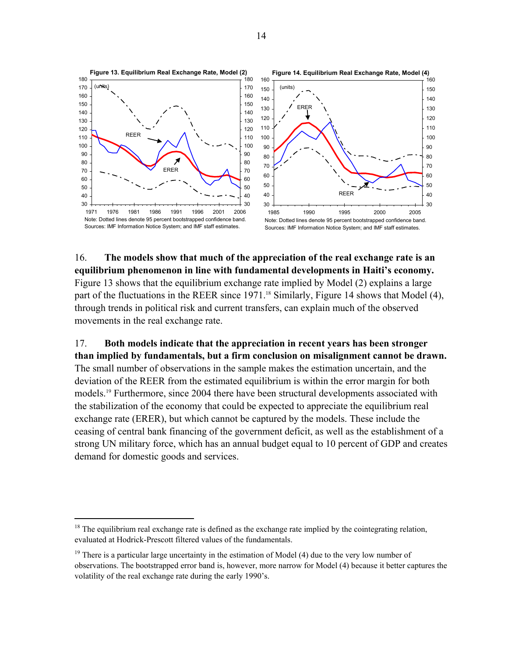

16. **The models show that much of the appreciation of the real exchange rate is an equilibrium phenomenon in line with fundamental developments in Haiti's economy.**  Figure 13 shows that the equilibrium exchange rate implied by Model (2) explains a large part of the fluctuations in the REER since 1971.<sup>18</sup> Similarly, Figure 14 shows that Model (4), through trends in political risk and current transfers, can explain much of the observed movements in the real exchange rate.

17. **Both models indicate that the appreciation in recent years has been stronger than implied by fundamentals, but a firm conclusion on misalignment cannot be drawn.**  The small number of observations in the sample makes the estimation uncertain, and the deviation of the REER from the estimated equilibrium is within the error margin for both models.19 Furthermore, since 2004 there have been structural developments associated with the stabilization of the economy that could be expected to appreciate the equilibrium real exchange rate (ERER), but which cannot be captured by the models. These include the ceasing of central bank financing of the government deficit, as well as the establishment of a strong UN military force, which has an annual budget equal to 10 percent of GDP and creates demand for domestic goods and services.

 $\overline{a}$ 

<sup>&</sup>lt;sup>18</sup> The equilibrium real exchange rate is defined as the exchange rate implied by the cointegrating relation, evaluated at Hodrick-Prescott filtered values of the fundamentals.

 There is a particular large uncertainty in the estimation of Model (4) due to the very low number of observations. The bootstrapped error band is, however, more narrow for Model (4) because it better captures the volatility of the real exchange rate during the early 1990's.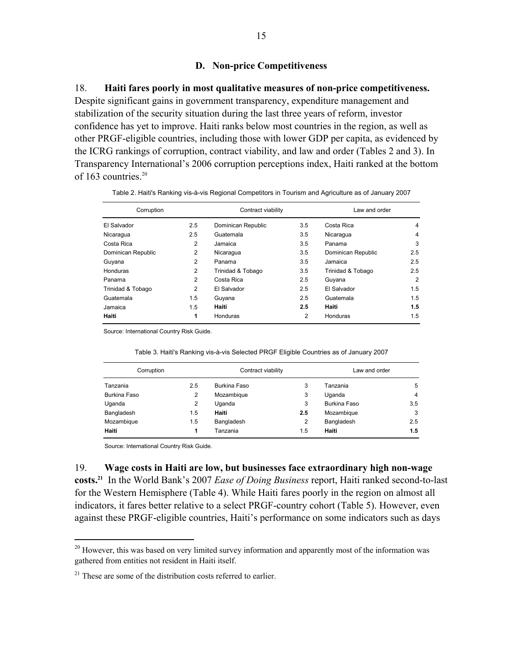#### **D. Non-price Competitiveness**

#### 18. **Haiti fares poorly in most qualitative measures of non-price competitiveness.**

Despite significant gains in government transparency, expenditure management and stabilization of the security situation during the last three years of reform, investor confidence has yet to improve. Haiti ranks below most countries in the region, as well as other PRGF-eligible countries, including those with lower GDP per capita, as evidenced by the ICRG rankings of corruption, contract viability, and law and order (Tables 2 and 3). In Transparency International's 2006 corruption perceptions index, Haiti ranked at the bottom of 163 countries.<sup>20</sup>

| Corruption         |     | Contract viability |     | Law and order      |                |
|--------------------|-----|--------------------|-----|--------------------|----------------|
| El Salvador        | 2.5 | Dominican Republic | 3.5 | Costa Rica         | 4              |
| Nicaragua          | 2.5 | Guatemala          | 3.5 | Nicaragua          | $\overline{4}$ |
| Costa Rica         | 2   | Jamaica            | 3.5 | Panama             | 3              |
| Dominican Republic | 2   | Nicaragua          | 3.5 | Dominican Republic | 2.5            |
| Guyana             | 2   | Panama             | 3.5 | Jamaica            | 2.5            |
| Honduras           | 2   | Trinidad & Tobago  | 3.5 | Trinidad & Tobago  | 2.5            |
| Panama             | 2   | Costa Rica         | 2.5 | Guyana             | $\overline{2}$ |
| Trinidad & Tobago  | 2   | El Salvador        | 2.5 | El Salvador        | 1.5            |
| Guatemala          | 1.5 | Guyana             | 2.5 | Guatemala          | 1.5            |
| Jamaica            | 1.5 | Haiti              | 2.5 | Haiti              | 1.5            |
| Haiti              | 1   | Honduras           | 2   | <b>Honduras</b>    | 1.5            |

| Table 2. Haiti's Ranking vis-à-vis Regional Competitors in Tourism and Agriculture as of January 2007 |  |  |
|-------------------------------------------------------------------------------------------------------|--|--|
|                                                                                                       |  |  |

Source: International Country Risk Guide.

|  | Table 3. Haiti's Ranking vis-à-vis Selected PRGF Eligible Countries as of January 2007 |  |
|--|----------------------------------------------------------------------------------------|--|
|  |                                                                                        |  |

| Corruption   |     | Contract viability |                | Law and order       |     |
|--------------|-----|--------------------|----------------|---------------------|-----|
| Tanzania     | 2.5 | Burkina Faso       | 3              | Tanzania            | 5   |
| Burkina Faso | 2   | Mozambique         | 3              | Uganda              | 4   |
| Uganda       | 2   | Uganda             | 3              | <b>Burkina Faso</b> | 3.5 |
| Bangladesh   | 1.5 | Haiti              | 2.5            | Mozambique          | 3   |
| Mozambique   | 1.5 | Bangladesh         | $\overline{2}$ | Bangladesh          | 2.5 |
| Haiti        | 1   | Tanzania           | 1.5            | Haiti               | 1.5 |

Source: International Country Risk Guide.

 $\overline{a}$ 

#### 19. **Wage costs in Haiti are low, but businesses face extraordinary high non-wage**

**costs.21** In the World Bank's 2007 *Ease of Doing Business* report, Haiti ranked second-to-last for the Western Hemisphere (Table 4). While Haiti fares poorly in the region on almost all indicators, it fares better relative to a select PRGF-country cohort (Table 5). However, even against these PRGF-eligible countries, Haiti's performance on some indicators such as days

 $20$  However, this was based on very limited survey information and apparently most of the information was gathered from entities not resident in Haiti itself.

 $21$  These are some of the distribution costs referred to earlier.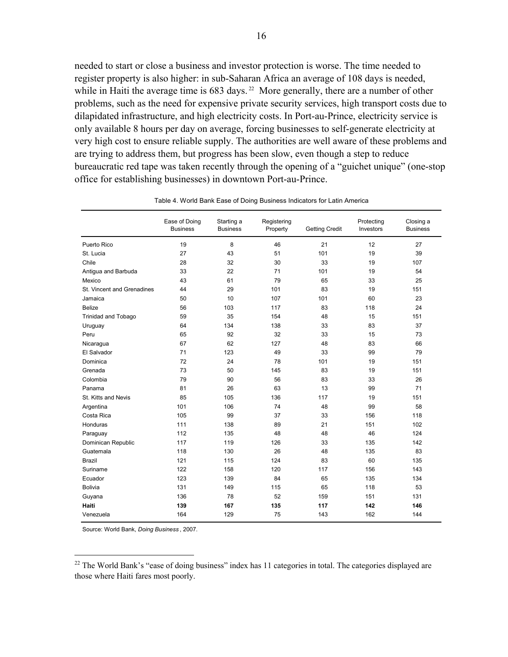needed to start or close a business and investor protection is worse. The time needed to register property is also higher: in sub-Saharan Africa an average of 108 days is needed, while in Haiti the average time is  $683$  days.<sup>22</sup> More generally, there are a number of other problems, such as the need for expensive private security services, high transport costs due to dilapidated infrastructure, and high electricity costs. In Port-au-Prince, electricity service is only available 8 hours per day on average, forcing businesses to self-generate electricity at very high cost to ensure reliable supply. The authorities are well aware of these problems and are trying to address them, but progress has been slow, even though a step to reduce bureaucratic red tape was taken recently through the opening of a "guichet unique" (one-stop office for establishing businesses) in downtown Port-au-Prince.

|                            | Ease of Doing<br><b>Business</b> | Starting a<br><b>Business</b> | Registering<br>Property | <b>Getting Credit</b> | Protecting<br>Investors | Closing a<br><b>Business</b> |
|----------------------------|----------------------------------|-------------------------------|-------------------------|-----------------------|-------------------------|------------------------------|
| Puerto Rico                | 19                               | 8                             | 46                      | 21                    | 12                      | 27                           |
| St. Lucia                  | 27                               | 43                            | 51                      | 101                   | 19                      | 39                           |
| Chile                      | 28                               | 32                            | 30                      | 33                    | 19                      | 107                          |
| Antigua and Barbuda        | 33                               | 22                            | 71                      | 101                   | 19                      | 54                           |
| Mexico                     | 43                               | 61                            | 79                      | 65                    | 33                      | 25                           |
| St. Vincent and Grenadines | 44                               | 29                            | 101                     | 83                    | 19                      | 151                          |
| Jamaica                    | 50                               | 10                            | 107                     | 101                   | 60                      | 23                           |
| <b>Belize</b>              | 56                               | 103                           | 117                     | 83                    | 118                     | 24                           |
| <b>Trinidad and Tobago</b> | 59                               | 35                            | 154                     | 48                    | 15                      | 151                          |
| Uruguay                    | 64                               | 134                           | 138                     | 33                    | 83                      | 37                           |
| Peru                       | 65                               | 92                            | 32                      | 33                    | 15                      | 73                           |
| Nicaragua                  | 67                               | 62                            | 127                     | 48                    | 83                      | 66                           |
| El Salvador                | 71                               | 123                           | 49                      | 33                    | 99                      | 79                           |
| Dominica                   | 72                               | 24                            | 78                      | 101                   | 19                      | 151                          |
| Grenada                    | 73                               | 50                            | 145                     | 83                    | 19                      | 151                          |
| Colombia                   | 79                               | 90                            | 56                      | 83                    | 33                      | 26                           |
| Panama                     | 81                               | 26                            | 63                      | 13                    | 99                      | 71                           |
| St. Kitts and Nevis        | 85                               | 105                           | 136                     | 117                   | 19                      | 151                          |
| Argentina                  | 101                              | 106                           | 74                      | 48                    | 99                      | 58                           |
| Costa Rica                 | 105                              | 99                            | 37                      | 33                    | 156                     | 118                          |
| Honduras                   | 111                              | 138                           | 89                      | 21                    | 151                     | 102                          |
| Paraguay                   | 112                              | 135                           | 48                      | 48                    | 46                      | 124                          |
| Dominican Republic         | 117                              | 119                           | 126                     | 33                    | 135                     | 142                          |
| Guatemala                  | 118                              | 130                           | 26                      | 48                    | 135                     | 83                           |
| <b>Brazil</b>              | 121                              | 115                           | 124                     | 83                    | 60                      | 135                          |
| Suriname                   | 122                              | 158                           | 120                     | 117                   | 156                     | 143                          |
| Ecuador                    | 123                              | 139                           | 84                      | 65                    | 135                     | 134                          |
| <b>Bolivia</b>             | 131                              | 149                           | 115                     | 65                    | 118                     | 53                           |
| Guyana                     | 136                              | 78                            | 52                      | 159                   | 151                     | 131                          |
| Haiti                      | 139                              | 167                           | 135                     | 117                   | 142                     | 146                          |
| Venezuela                  | 164                              | 129                           | 75                      | 143                   | 162                     | 144                          |

Table 4. World Bank Ease of Doing Business Indicators for Latin America

Source: World Bank, *Doing Business* , 2007.

<u>.</u>

 $22$  The World Bank's "ease of doing business" index has 11 categories in total. The categories displayed are those where Haiti fares most poorly.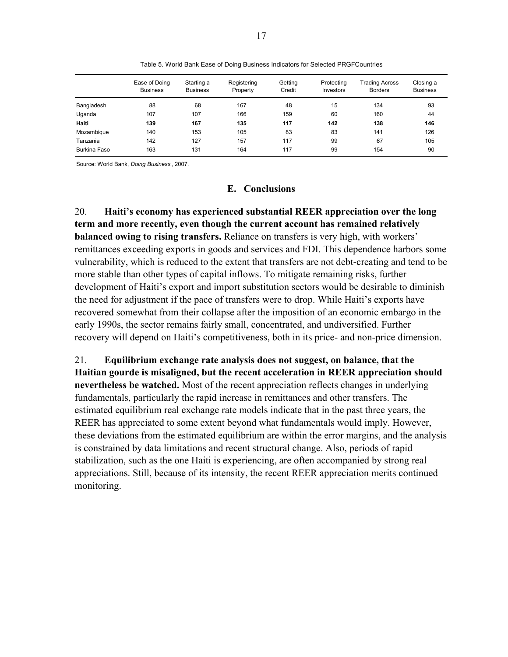|              | Ease of Doing<br><b>Business</b> | Starting a<br><b>Business</b> | Registering<br>Property | Getting<br>Credit | Protecting<br>Investors | <b>Trading Across</b><br><b>Borders</b> | Closing a<br><b>Business</b> |
|--------------|----------------------------------|-------------------------------|-------------------------|-------------------|-------------------------|-----------------------------------------|------------------------------|
| Bangladesh   | 88                               | 68                            | 167                     | 48                | 15                      | 134                                     | 93                           |
| Uganda       | 107                              | 107                           | 166                     | 159               | 60                      | 160                                     | 44                           |
| Haiti        | 139                              | 167                           | 135                     | 117               | 142                     | 138                                     | 146                          |
| Mozambique   | 140                              | 153                           | 105                     | 83                | 83                      | 141                                     | 126                          |
| Tanzania     | 142                              | 127                           | 157                     | 117               | 99                      | 67                                      | 105                          |
| Burkina Faso | 163                              | 131                           | 164                     | 117               | 99                      | 154                                     | 90                           |

Table 5. World Bank Ease of Doing Business Indicators for Selected PRGFCountries

Source: World Bank, *Doing Business* , 2007.

#### **E. Conclusions**

20. **Haiti's economy has experienced substantial REER appreciation over the long term and more recently, even though the current account has remained relatively balanced owing to rising transfers.** Reliance on transfers is very high, with workers' remittances exceeding exports in goods and services and FDI. This dependence harbors some vulnerability, which is reduced to the extent that transfers are not debt-creating and tend to be more stable than other types of capital inflows. To mitigate remaining risks, further development of Haiti's export and import substitution sectors would be desirable to diminish the need for adjustment if the pace of transfers were to drop. While Haiti's exports have recovered somewhat from their collapse after the imposition of an economic embargo in the early 1990s, the sector remains fairly small, concentrated, and undiversified. Further recovery will depend on Haiti's competitiveness, both in its price- and non-price dimension.

21. **Equilibrium exchange rate analysis does not suggest, on balance, that the Haitian gourde is misaligned, but the recent acceleration in REER appreciation should nevertheless be watched.** Most of the recent appreciation reflects changes in underlying fundamentals, particularly the rapid increase in remittances and other transfers. The estimated equilibrium real exchange rate models indicate that in the past three years, the REER has appreciated to some extent beyond what fundamentals would imply. However, these deviations from the estimated equilibrium are within the error margins, and the analysis is constrained by data limitations and recent structural change. Also, periods of rapid stabilization, such as the one Haiti is experiencing, are often accompanied by strong real appreciations. Still, because of its intensity, the recent REER appreciation merits continued monitoring.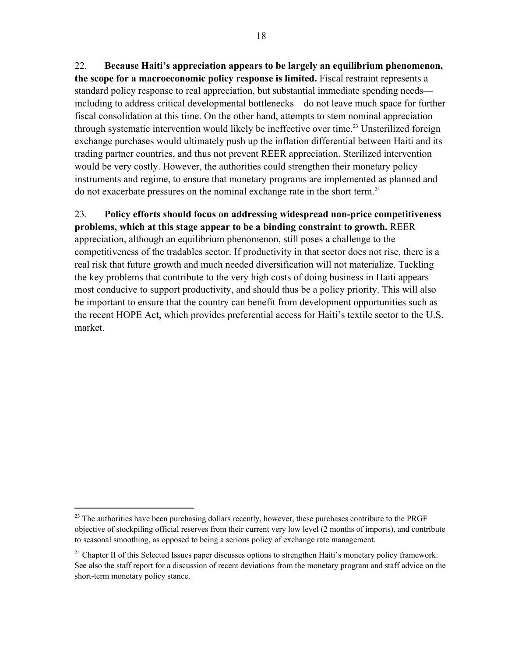22. **Because Haiti's appreciation appears to be largely an equilibrium phenomenon, the scope for a macroeconomic policy response is limited.** Fiscal restraint represents a standard policy response to real appreciation, but substantial immediate spending needs including to address critical developmental bottlenecks—do not leave much space for further fiscal consolidation at this time. On the other hand, attempts to stem nominal appreciation through systematic intervention would likely be ineffective over time.<sup>23</sup> Unsterilized foreign exchange purchases would ultimately push up the inflation differential between Haiti and its trading partner countries, and thus not prevent REER appreciation. Sterilized intervention would be very costly. However, the authorities could strengthen their monetary policy instruments and regime, to ensure that monetary programs are implemented as planned and do not exacerbate pressures on the nominal exchange rate in the short term.<sup>24</sup>

## 23. **Policy efforts should focus on addressing widespread non-price competitiveness problems, which at this stage appear to be a binding constraint to growth.** REER

appreciation, although an equilibrium phenomenon, still poses a challenge to the competitiveness of the tradables sector. If productivity in that sector does not rise, there is a real risk that future growth and much needed diversification will not materialize. Tackling the key problems that contribute to the very high costs of doing business in Haiti appears most conducive to support productivity, and should thus be a policy priority. This will also be important to ensure that the country can benefit from development opportunities such as the recent HOPE Act, which provides preferential access for Haiti's textile sector to the U.S. market.

 $\overline{a}$ 

<sup>&</sup>lt;sup>23</sup> The authorities have been purchasing dollars recently, however, these purchases contribute to the PRGF objective of stockpiling official reserves from their current very low level (2 months of imports), and contribute to seasonal smoothing, as opposed to being a serious policy of exchange rate management.

<sup>&</sup>lt;sup>24</sup> Chapter II of this Selected Issues paper discusses options to strengthen Haiti's monetary policy framework. See also the staff report for a discussion of recent deviations from the monetary program and staff advice on the short-term monetary policy stance.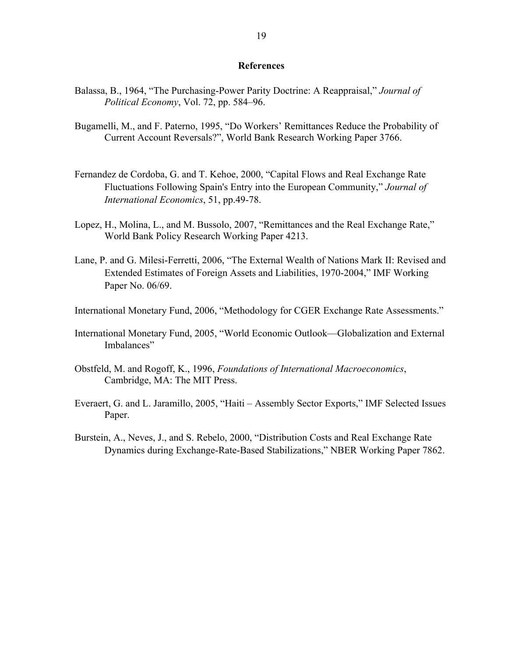#### **References**

- Balassa, B., 1964, "The Purchasing-Power Parity Doctrine: A Reappraisal," *Journal of Political Economy*, Vol. 72, pp. 584–96.
- Bugamelli, M., and F. Paterno, 1995, "Do Workers' Remittances Reduce the Probability of Current Account Reversals?", World Bank Research Working Paper 3766.
- Fernandez de Cordoba, G. and T. Kehoe, 2000, "Capital Flows and Real Exchange Rate Fluctuations Following Spain's Entry into the European Community," *Journal of International Economics*, 51, pp.49-78.
- Lopez, H., Molina, L., and M. Bussolo, 2007, "Remittances and the Real Exchange Rate," World Bank Policy Research Working Paper 4213.
- Lane, P. and G. Milesi-Ferretti, 2006, "The External Wealth of Nations Mark II: Revised and Extended Estimates of Foreign Assets and Liabilities, 1970-2004," IMF Working Paper No. 06/69.
- International Monetary Fund, 2006, "Methodology for CGER Exchange Rate Assessments."
- International Monetary Fund, 2005, "World Economic Outlook—Globalization and External Imbalances"
- Obstfeld, M. and Rogoff, K., 1996, *Foundations of International Macroeconomics*, Cambridge, MA: The MIT Press.
- Everaert, G. and L. Jaramillo, 2005, "Haiti Assembly Sector Exports," IMF Selected Issues Paper.
- Burstein, A., Neves, J., and S. Rebelo, 2000, "Distribution Costs and Real Exchange Rate Dynamics during Exchange-Rate-Based Stabilizations," NBER Working Paper 7862.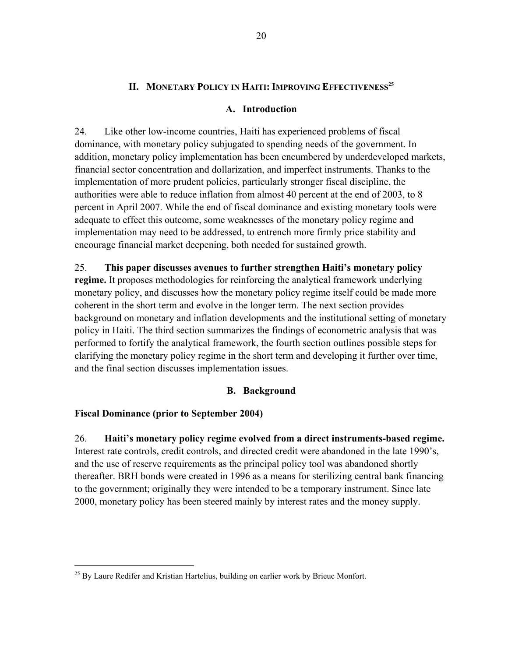# **II. MONETARY POLICY IN HAITI: IMPROVING EFFECTIVENESS<sup>25</sup>**

#### **A. Introduction**

24. Like other low-income countries, Haiti has experienced problems of fiscal dominance, with monetary policy subjugated to spending needs of the government. In addition, monetary policy implementation has been encumbered by underdeveloped markets, financial sector concentration and dollarization, and imperfect instruments. Thanks to the implementation of more prudent policies, particularly stronger fiscal discipline, the authorities were able to reduce inflation from almost 40 percent at the end of 2003, to 8 percent in April 2007. While the end of fiscal dominance and existing monetary tools were adequate to effect this outcome, some weaknesses of the monetary policy regime and implementation may need to be addressed, to entrench more firmly price stability and encourage financial market deepening, both needed for sustained growth.

25. **This paper discusses avenues to further strengthen Haiti's monetary policy regime.** It proposes methodologies for reinforcing the analytical framework underlying monetary policy, and discusses how the monetary policy regime itself could be made more coherent in the short term and evolve in the longer term. The next section provides background on monetary and inflation developments and the institutional setting of monetary policy in Haiti. The third section summarizes the findings of econometric analysis that was performed to fortify the analytical framework, the fourth section outlines possible steps for clarifying the monetary policy regime in the short term and developing it further over time, and the final section discusses implementation issues.

## **B. Background**

## **Fiscal Dominance (prior to September 2004)**

 $\overline{a}$ 

26. **Haiti's monetary policy regime evolved from a direct instruments-based regime.**  Interest rate controls, credit controls, and directed credit were abandoned in the late 1990's, and the use of reserve requirements as the principal policy tool was abandoned shortly thereafter. BRH bonds were created in 1996 as a means for sterilizing central bank financing to the government; originally they were intended to be a temporary instrument. Since late 2000, monetary policy has been steered mainly by interest rates and the money supply.

 $^{25}$  By Laure Redifer and Kristian Hartelius, building on earlier work by Brieuc Monfort.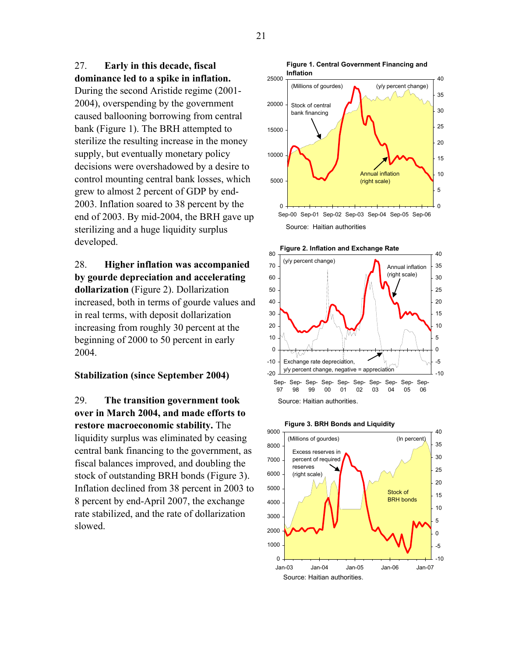27. **Early in this decade, fiscal dominance led to a spike in inflation.** 

During the second Aristide regime (2001- 2004), overspending by the government caused ballooning borrowing from central bank (Figure 1). The BRH attempted to sterilize the resulting increase in the money supply, but eventually monetary policy decisions were overshadowed by a desire to control mounting central bank losses, which grew to almost 2 percent of GDP by end-2003. Inflation soared to 38 percent by the end of 2003. By mid-2004, the BRH gave up sterilizing and a huge liquidity surplus developed.

28. **Higher inflation was accompanied by gourde depreciation and accelerating dollarization** (Figure 2). Dollarization increased, both in terms of gourde values and in real terms, with deposit dollarization increasing from roughly 30 percent at the beginning of 2000 to 50 percent in early 2004.

#### **Stabilization (since September 2004)**

29. **The transition government took over in March 2004, and made efforts to restore macroeconomic stability.** The liquidity surplus was eliminated by ceasing central bank financing to the government, as fiscal balances improved, and doubling the stock of outstanding BRH bonds (Figure 3). Inflation declined from 38 percent in 2003 to 8 percent by end-April 2007, the exchange rate stabilized, and the rate of dollarization slowed.





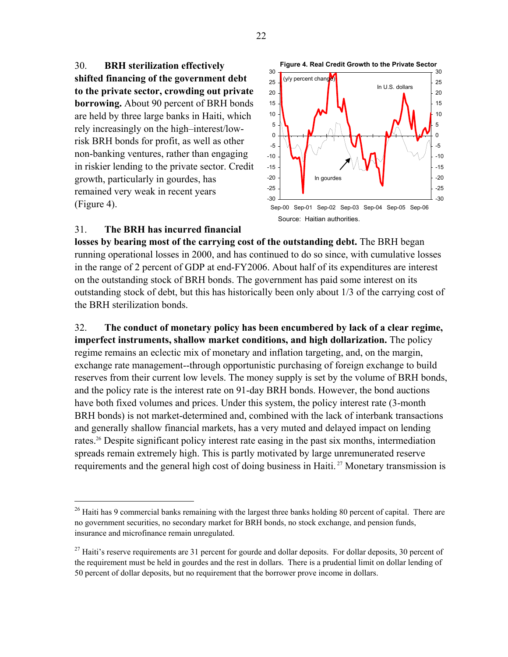30. **BRH sterilization effectively shifted financing of the government debt to the private sector, crowding out private borrowing.** About 90 percent of BRH bonds are held by three large banks in Haiti, which rely increasingly on the high–interest/lowrisk BRH bonds for profit, as well as other non-banking ventures, rather than engaging in riskier lending to the private sector. Credit growth, particularly in gourdes, has remained very weak in recent years (Figure 4).



#### 31. **The BRH has incurred financial**

 $\overline{a}$ 

**losses by bearing most of the carrying cost of the outstanding debt.** The BRH began running operational losses in 2000, and has continued to do so since, with cumulative losses in the range of 2 percent of GDP at end-FY2006. About half of its expenditures are interest on the outstanding stock of BRH bonds. The government has paid some interest on its outstanding stock of debt, but this has historically been only about 1/3 of the carrying cost of the BRH sterilization bonds.

32. **The conduct of monetary policy has been encumbered by lack of a clear regime, imperfect instruments, shallow market conditions, and high dollarization.** The policy regime remains an eclectic mix of monetary and inflation targeting, and, on the margin, exchange rate management--through opportunistic purchasing of foreign exchange to build reserves from their current low levels. The money supply is set by the volume of BRH bonds, and the policy rate is the interest rate on 91-day BRH bonds. However, the bond auctions have both fixed volumes and prices. Under this system, the policy interest rate (3-month BRH bonds) is not market-determined and, combined with the lack of interbank transactions and generally shallow financial markets, has a very muted and delayed impact on lending rates.<sup>26</sup> Despite significant policy interest rate easing in the past six months, intermediation spreads remain extremely high. This is partly motivated by large unremunerated reserve requirements and the general high cost of doing business in Haiti.<sup>27</sup> Monetary transmission is

<sup>&</sup>lt;sup>26</sup> Haiti has 9 commercial banks remaining with the largest three banks holding 80 percent of capital. There are no government securities, no secondary market for BRH bonds, no stock exchange, and pension funds, insurance and microfinance remain unregulated.

<sup>&</sup>lt;sup>27</sup> Haiti's reserve requirements are 31 percent for gourde and dollar deposits. For dollar deposits, 30 percent of the requirement must be held in gourdes and the rest in dollars. There is a prudential limit on dollar lending of 50 percent of dollar deposits, but no requirement that the borrower prove income in dollars.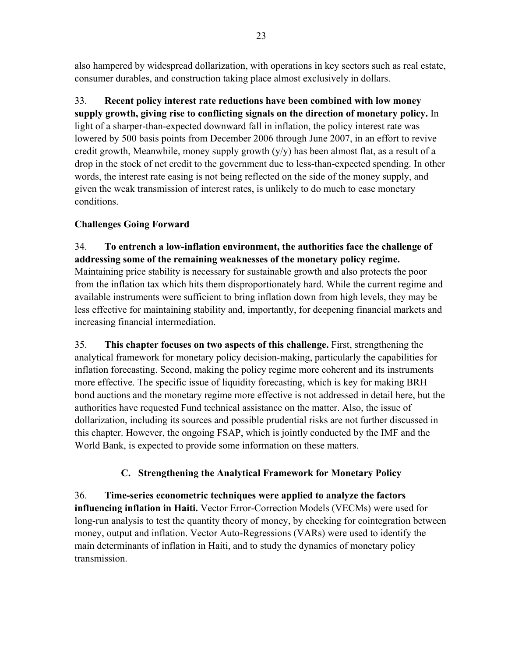also hampered by widespread dollarization, with operations in key sectors such as real estate, consumer durables, and construction taking place almost exclusively in dollars.

33. **Recent policy interest rate reductions have been combined with low money supply growth, giving rise to conflicting signals on the direction of monetary policy.** In light of a sharper-than-expected downward fall in inflation, the policy interest rate was lowered by 500 basis points from December 2006 through June 2007, in an effort to revive credit growth, Meanwhile, money supply growth  $(y/y)$  has been almost flat, as a result of a drop in the stock of net credit to the government due to less-than-expected spending. In other words, the interest rate easing is not being reflected on the side of the money supply, and given the weak transmission of interest rates, is unlikely to do much to ease monetary conditions.

# **Challenges Going Forward**

34. **To entrench a low-inflation environment, the authorities face the challenge of addressing some of the remaining weaknesses of the monetary policy regime.** Maintaining price stability is necessary for sustainable growth and also protects the poor from the inflation tax which hits them disproportionately hard. While the current regime and available instruments were sufficient to bring inflation down from high levels, they may be less effective for maintaining stability and, importantly, for deepening financial markets and increasing financial intermediation.

35. **This chapter focuses on two aspects of this challenge.** First, strengthening the analytical framework for monetary policy decision-making, particularly the capabilities for inflation forecasting. Second, making the policy regime more coherent and its instruments more effective. The specific issue of liquidity forecasting, which is key for making BRH bond auctions and the monetary regime more effective is not addressed in detail here, but the authorities have requested Fund technical assistance on the matter. Also, the issue of dollarization, including its sources and possible prudential risks are not further discussed in this chapter. However, the ongoing FSAP, which is jointly conducted by the IMF and the World Bank, is expected to provide some information on these matters.

# **C. Strengthening the Analytical Framework for Monetary Policy**

36. **Time-series econometric techniques were applied to analyze the factors influencing inflation in Haiti.** Vector Error-Correction Models (VECMs) were used for long-run analysis to test the quantity theory of money, by checking for cointegration between money, output and inflation. Vector Auto-Regressions (VARs) were used to identify the main determinants of inflation in Haiti, and to study the dynamics of monetary policy transmission.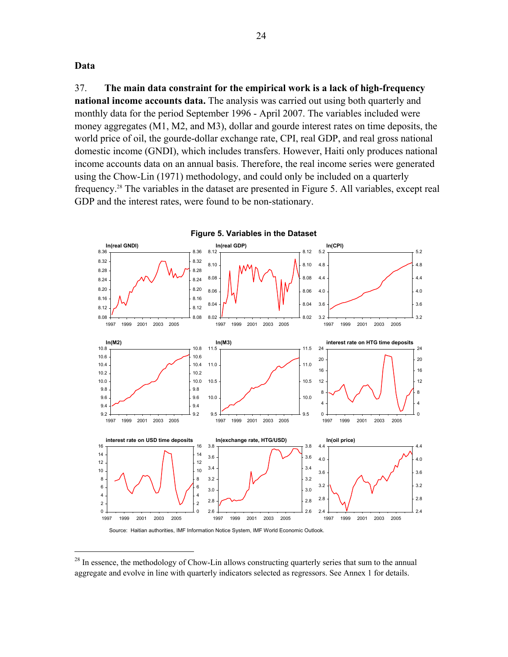**Data** 

 $\overline{a}$ 

37. **The main data constraint for the empirical work is a lack of high-frequency national income accounts data.** The analysis was carried out using both quarterly and monthly data for the period September 1996 - April 2007. The variables included were money aggregates (M1, M2, and M3), dollar and gourde interest rates on time deposits, the world price of oil, the gourde-dollar exchange rate, CPI, real GDP, and real gross national domestic income (GNDI), which includes transfers. However, Haiti only produces national income accounts data on an annual basis. Therefore, the real income series were generated using the Chow-Lin (1971) methodology, and could only be included on a quarterly frequency.28 The variables in the dataset are presented in Figure 5. All variables, except real GDP and the interest rates, were found to be non-stationary.



Source: Haitian authorities, IMF Information Notice System, IMF World Economic Outlook.

<sup>&</sup>lt;sup>28</sup> In essence, the methodology of Chow-Lin allows constructing quarterly series that sum to the annual aggregate and evolve in line with quarterly indicators selected as regressors. See Annex 1 for details.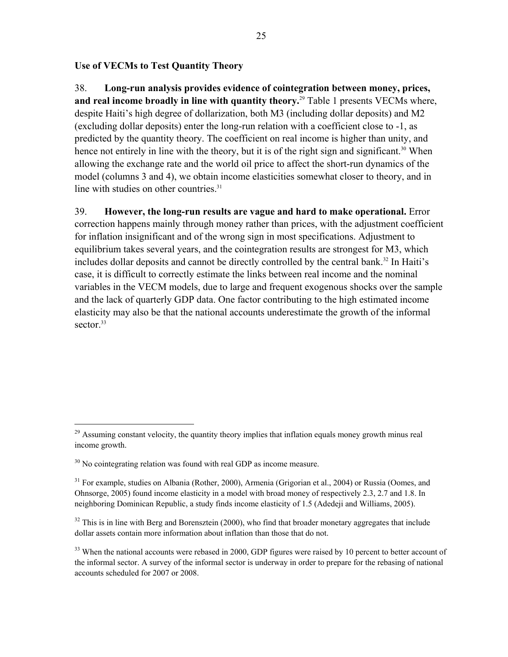#### **Use of VECMs to Test Quantity Theory**

38. **Long-run analysis provides evidence of cointegration between money, prices, and real income broadly in line with quantity theory.**29 Table 1 presents VECMs where, despite Haiti's high degree of dollarization, both M3 (including dollar deposits) and M2 (excluding dollar deposits) enter the long-run relation with a coefficient close to -1, as predicted by the quantity theory. The coefficient on real income is higher than unity, and hence not entirely in line with the theory, but it is of the right sign and significant.<sup>30</sup> When allowing the exchange rate and the world oil price to affect the short-run dynamics of the model (columns 3 and 4), we obtain income elasticities somewhat closer to theory, and in line with studies on other countries.<sup>31</sup>

39. **However, the long-run results are vague and hard to make operational.** Error correction happens mainly through money rather than prices, with the adjustment coefficient for inflation insignificant and of the wrong sign in most specifications. Adjustment to equilibrium takes several years, and the cointegration results are strongest for M3, which includes dollar deposits and cannot be directly controlled by the central bank.<sup>32</sup> In Haiti's case, it is difficult to correctly estimate the links between real income and the nominal variables in the VECM models, due to large and frequent exogenous shocks over the sample and the lack of quarterly GDP data. One factor contributing to the high estimated income elasticity may also be that the national accounts underestimate the growth of the informal sector.<sup>33</sup>

 $\overline{a}$ 

 $^{29}$  Assuming constant velocity, the quantity theory implies that inflation equals money growth minus real income growth.

<sup>&</sup>lt;sup>30</sup> No cointegrating relation was found with real GDP as income measure.

<sup>&</sup>lt;sup>31</sup> For example, studies on Albania (Rother, 2000), Armenia (Grigorian et al., 2004) or Russia (Oomes, and Ohnsorge, 2005) found income elasticity in a model with broad money of respectively 2.3, 2.7 and 1.8. In neighboring Dominican Republic, a study finds income elasticity of 1.5 (Adedeji and Williams, 2005).

 $32$  This is in line with Berg and Borensztein (2000), who find that broader monetary aggregates that include dollar assets contain more information about inflation than those that do not.

<sup>&</sup>lt;sup>33</sup> When the national accounts were rebased in 2000, GDP figures were raised by 10 percent to better account of the informal sector. A survey of the informal sector is underway in order to prepare for the rebasing of national accounts scheduled for 2007 or 2008.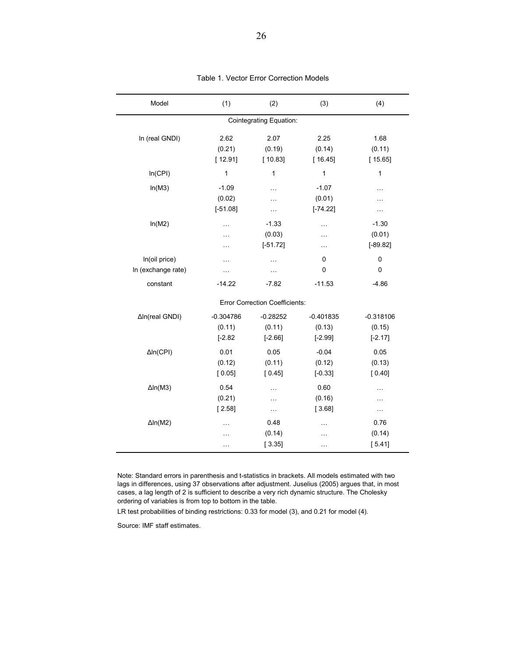| Model              | (1)         | (2)                                   | (3)                         | (4)           |
|--------------------|-------------|---------------------------------------|-----------------------------|---------------|
|                    |             | <b>Cointegrating Equation:</b>        |                             |               |
| In (real GNDI)     | 2.62        | 2.07                                  | 2.25                        | 1.68          |
|                    | (0.21)      | (0.19)                                | (0.14)                      | (0.11)        |
|                    | [12.91]     | [10.83]                               | [16.45]                     | [15.65]       |
| In(CPI)            | 1           | $\mathbf{1}$                          | 1                           | 1             |
| In(M3)             | $-1.09$     | .                                     | $-1.07$                     | $\ddotsc$     |
|                    | (0.02)      | .                                     | (0.01)                      | .             |
|                    | $[-51.08]$  | .                                     | $[-74.22]$                  | $\cdots$      |
| ln(M2)             | $\ddotsc$   | $-1.33$                               | $\mathcal{L}_{\mathcal{A}}$ | $-1.30$       |
|                    | $\ddotsc$   | (0.03)                                | $\ddotsc$                   | (0.01)        |
|                    | $\ddotsc$   | $[-51.72]$                            | $\mathcal{L}_{\mathcal{A}}$ | $[-89.82]$    |
| In(oil price)      | $\cdots$    | $\cdots$                              | 0                           | 0             |
| In (exchange rate) | $\cdots$    | $\cdots$                              | 0                           | $\mathbf 0$   |
| constant           | $-14.22$    | $-7.82$                               | $-11.53$                    | $-4.86$       |
|                    |             | <b>Error Correction Coefficients:</b> |                             |               |
| ΔIn(real GNDI)     | $-0.304786$ | $-0.28252$                            | $-0.401835$                 | $-0.318106$   |
|                    | (0.11)      | (0.11)                                | (0.13)                      | (0.15)        |
|                    | $[-2.82]$   | $[-2.66]$                             | $[-2.99]$                   | $[-2.17]$     |
| $\Delta$ In(CPI)   | 0.01        | 0.05                                  | $-0.04$                     | 0.05          |
|                    | (0.12)      | (0.11)                                | (0.12)                      | (0.13)        |
|                    | [0.05]      | [0.45]                                | $[-0.33]$                   | [0.40]        |
| $\Delta$ In(M3)    | 0.54        | $\ddotsc$                             | 0.60                        | $\cdots$      |
|                    | (0.21)      | .                                     | (0.16)                      | $\ddotsc$     |
|                    | [2.58]      | $\bar{\mathcal{L}}$                   | [3.68]                      | $\sim$ $\sim$ |
| $\Delta$ In(M2)    | $\ddotsc$   | 0.48                                  | $\cdots$                    | 0.76          |
|                    | .           | (0.14)                                | .                           | (0.14)        |
|                    | $\cdots$    | [3.35]                                | $\ddotsc$                   | [5.41]        |

#### Table 1. Vector Error Correction Models

Note: Standard errors in parenthesis and t-statistics in brackets. All models estimated with two lags in differences, using 37 observations after adjustment. Juselius (2005) argues that, in most cases, a lag length of 2 is sufficient to describe a very rich dynamic structure. The Cholesky ordering of variables is from top to bottom in the table.

LR test probabilities of binding restrictions: 0.33 for model (3), and 0.21 for model (4).

Source: IMF staff estimates.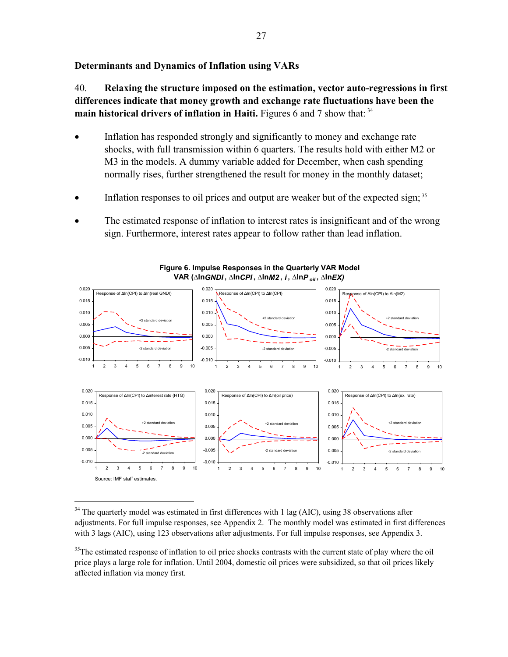#### **Determinants and Dynamics of Inflation using VARs**

40. **Relaxing the structure imposed on the estimation, vector auto-regressions in first differences indicate that money growth and exchange rate fluctuations have been the main historical drivers of inflation in Haiti.** Figures 6 and 7 show that: 34

- Inflation has responded strongly and significantly to money and exchange rate shocks, with full transmission within 6 quarters. The results hold with either M2 or M3 in the models. A dummy variable added for December, when cash spending normally rises, further strengthened the result for money in the monthly dataset;
- Inflation responses to oil prices and output are weaker but of the expected sign;  $35$
- The estimated response of inflation to interest rates is insignificant and of the wrong sign. Furthermore, interest rates appear to follow rather than lead inflation.





1

 $34$  The quarterly model was estimated in first differences with 1 lag (AIC), using 38 observations after adjustments. For full impulse responses, see Appendix 2. The monthly model was estimated in first differences with 3 lags (AIC), using 123 observations after adjustments. For full impulse responses, see Appendix 3.

<sup>&</sup>lt;sup>35</sup>The estimated response of inflation to oil price shocks contrasts with the current state of play where the oil price plays a large role for inflation. Until 2004, domestic oil prices were subsidized, so that oil prices likely affected inflation via money first.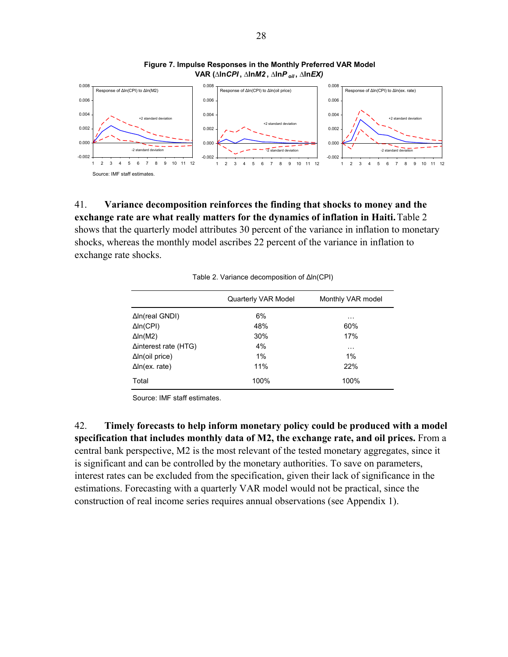

#### **Figure 7. Impulse Responses in the Monthly Preferred VAR Model VAR (∆ln***CPI* **, ∆ln***M2* **, ∆ln***P oil* **, ∆ln***EX)*

41. **Variance decomposition reinforces the finding that shocks to money and the exchange rate are what really matters for the dynamics of inflation in Haiti.**Table 2 shows that the quarterly model attributes 30 percent of the variance in inflation to monetary shocks, whereas the monthly model ascribes 22 percent of the variance in inflation to exchange rate shocks.

|                              | Quarterly VAR Model | Monthly VAR model |
|------------------------------|---------------------|-------------------|
| $\Delta$ In(real GNDI)       | 6%                  | $\cdots$          |
| $\Delta$ In(CPI)             | 48%                 | 60%               |
| $\Delta$ ln(M2)              | 30%                 | 17%               |
| $\Delta$ interest rate (HTG) | 4%                  | $\cdots$          |
| $\Delta$ In(oil price)       | $1\%$               | $1\%$             |
| $\Delta$ In(ex. rate)        | 11%                 | 22%               |
| Total                        | 100%                | 100%              |

Table 2. Variance decomposition of Δln(CPI)

Source: IMF staff estimates.

42. **Timely forecasts to help inform monetary policy could be produced with a model specification that includes monthly data of M2, the exchange rate, and oil prices.** From a central bank perspective, M2 is the most relevant of the tested monetary aggregates, since it is significant and can be controlled by the monetary authorities. To save on parameters, interest rates can be excluded from the specification, given their lack of significance in the estimations. Forecasting with a quarterly VAR model would not be practical, since the construction of real income series requires annual observations (see Appendix 1).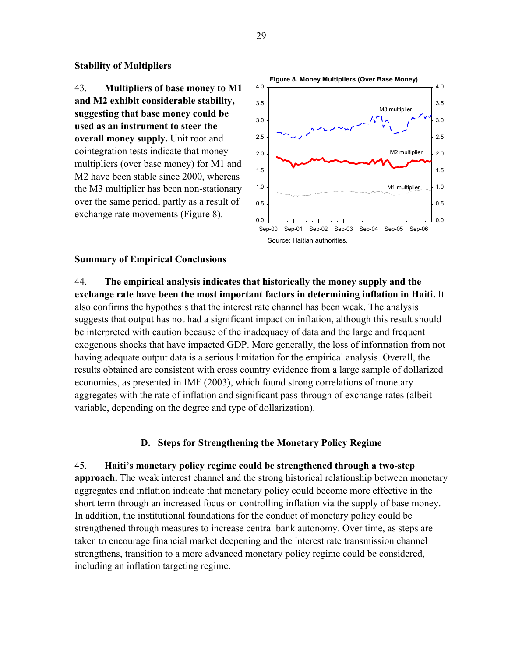#### **Stability of Multipliers**

43. **Multipliers of base money to M1 and M2 exhibit considerable stability, suggesting that base money could be used as an instrument to steer the overall money supply.** Unit root and cointegration tests indicate that money multipliers (over base money) for M1 and M2 have been stable since 2000, whereas the M3 multiplier has been non-stationary over the same period, partly as a result of exchange rate movements (Figure 8).



#### **Summary of Empirical Conclusions**

44. **The empirical analysis indicates that historically the money supply and the exchange rate have been the most important factors in determining inflation in Haiti.** It also confirms the hypothesis that the interest rate channel has been weak. The analysis suggests that output has not had a significant impact on inflation, although this result should be interpreted with caution because of the inadequacy of data and the large and frequent exogenous shocks that have impacted GDP. More generally, the loss of information from not having adequate output data is a serious limitation for the empirical analysis. Overall, the results obtained are consistent with cross country evidence from a large sample of dollarized economies, as presented in IMF (2003), which found strong correlations of monetary aggregates with the rate of inflation and significant pass-through of exchange rates (albeit variable, depending on the degree and type of dollarization).

#### **D. Steps for Strengthening the Monetary Policy Regime**

45. **Haiti's monetary policy regime could be strengthened through a two-step approach.** The weak interest channel and the strong historical relationship between monetary aggregates and inflation indicate that monetary policy could become more effective in the short term through an increased focus on controlling inflation via the supply of base money. In addition, the institutional foundations for the conduct of monetary policy could be strengthened through measures to increase central bank autonomy. Over time, as steps are taken to encourage financial market deepening and the interest rate transmission channel strengthens, transition to a more advanced monetary policy regime could be considered, including an inflation targeting regime.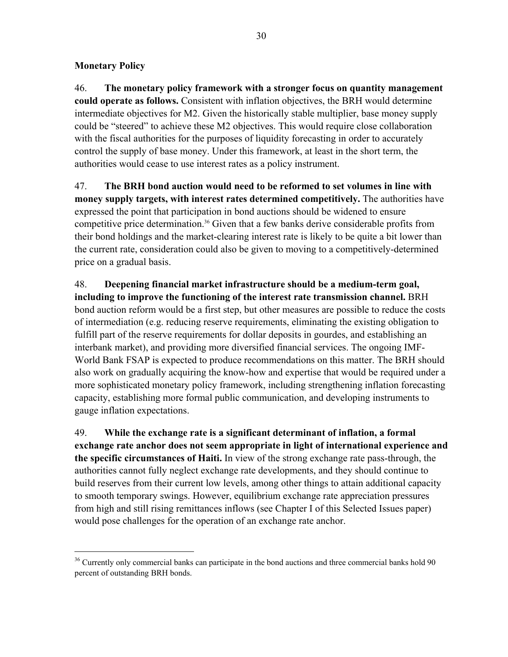# **Monetary Policy**

 $\overline{a}$ 

46. **The monetary policy framework with a stronger focus on quantity management could operate as follows.** Consistent with inflation objectives, the BRH would determine intermediate objectives for M2. Given the historically stable multiplier, base money supply could be "steered" to achieve these M2 objectives. This would require close collaboration with the fiscal authorities for the purposes of liquidity forecasting in order to accurately control the supply of base money. Under this framework, at least in the short term, the authorities would cease to use interest rates as a policy instrument.

47. **The BRH bond auction would need to be reformed to set volumes in line with money supply targets, with interest rates determined competitively.** The authorities have expressed the point that participation in bond auctions should be widened to ensure competitive price determination.36 Given that a few banks derive considerable profits from their bond holdings and the market-clearing interest rate is likely to be quite a bit lower than the current rate, consideration could also be given to moving to a competitively-determined price on a gradual basis.

48. **Deepening financial market infrastructure should be a medium-term goal, including to improve the functioning of the interest rate transmission channel.** BRH bond auction reform would be a first step, but other measures are possible to reduce the costs of intermediation (e.g. reducing reserve requirements, eliminating the existing obligation to fulfill part of the reserve requirements for dollar deposits in gourdes, and establishing an interbank market), and providing more diversified financial services. The ongoing IMF-World Bank FSAP is expected to produce recommendations on this matter. The BRH should also work on gradually acquiring the know-how and expertise that would be required under a more sophisticated monetary policy framework, including strengthening inflation forecasting capacity, establishing more formal public communication, and developing instruments to gauge inflation expectations.

49. **While the exchange rate is a significant determinant of inflation, a formal exchange rate anchor does not seem appropriate in light of international experience and the specific circumstances of Haiti.** In view of the strong exchange rate pass-through, the authorities cannot fully neglect exchange rate developments, and they should continue to build reserves from their current low levels, among other things to attain additional capacity to smooth temporary swings. However, equilibrium exchange rate appreciation pressures from high and still rising remittances inflows (see Chapter I of this Selected Issues paper) would pose challenges for the operation of an exchange rate anchor.

<sup>&</sup>lt;sup>36</sup> Currently only commercial banks can participate in the bond auctions and three commercial banks hold 90 percent of outstanding BRH bonds.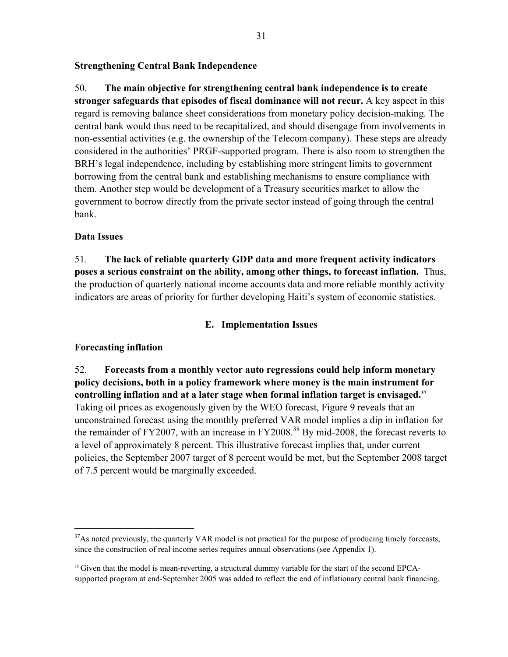#### **Strengthening Central Bank Independence**

50. **The main objective for strengthening central bank independence is to create stronger safeguards that episodes of fiscal dominance will not recur.** A key aspect in this regard is removing balance sheet considerations from monetary policy decision-making. The central bank would thus need to be recapitalized, and should disengage from involvements in non-essential activities (e.g. the ownership of the Telecom company). These steps are already considered in the authorities' PRGF-supported program. There is also room to strengthen the BRH's legal independence, including by establishing more stringent limits to government borrowing from the central bank and establishing mechanisms to ensure compliance with them. Another step would be development of a Treasury securities market to allow the government to borrow directly from the private sector instead of going through the central bank.

#### **Data Issues**

51. **The lack of reliable quarterly GDP data and more frequent activity indicators poses a serious constraint on the ability, among other things, to forecast inflation.** Thus, the production of quarterly national income accounts data and more reliable monthly activity indicators are areas of priority for further developing Haiti's system of economic statistics.

### **E. Implementation Issues**

## **Forecasting inflation**

1

52. **Forecasts from a monthly vector auto regressions could help inform monetary policy decisions, both in a policy framework where money is the main instrument for controlling inflation and at a later stage when formal inflation target is envisaged.37** Taking oil prices as exogenously given by the WEO forecast, Figure 9 reveals that an unconstrained forecast using the monthly preferred VAR model implies a dip in inflation for the remainder of FY2007, with an increase in FY2008.<sup>38</sup> By mid-2008, the forecast reverts to a level of approximately 8 percent. This illustrative forecast implies that, under current policies, the September 2007 target of 8 percent would be met, but the September 2008 target of 7.5 percent would be marginally exceeded.

 $37$ As noted previously, the quarterly VAR model is not practical for the purpose of producing timely forecasts, since the construction of real income series requires annual observations (see Appendix 1).

<sup>&</sup>lt;sup>38</sup> Given that the model is mean-reverting, a structural dummy variable for the start of the second EPCAsupported program at end-September 2005 was added to reflect the end of inflationary central bank financing.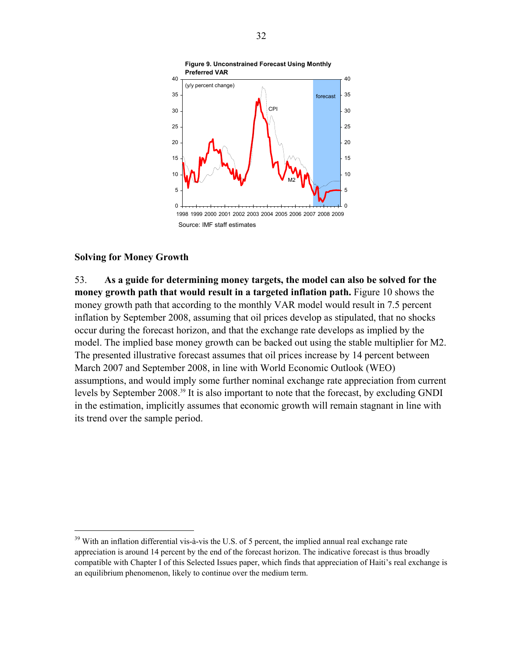

#### **Solving for Money Growth**

 $\overline{a}$ 

53. **As a guide for determining money targets, the model can also be solved for the money growth path that would result in a targeted inflation path.** Figure 10 shows the money growth path that according to the monthly VAR model would result in 7.5 percent inflation by September 2008, assuming that oil prices develop as stipulated, that no shocks occur during the forecast horizon, and that the exchange rate develops as implied by the model. The implied base money growth can be backed out using the stable multiplier for M2. The presented illustrative forecast assumes that oil prices increase by 14 percent between March 2007 and September 2008, in line with World Economic Outlook (WEO) assumptions, and would imply some further nominal exchange rate appreciation from current levels by September 2008.39 It is also important to note that the forecast, by excluding GNDI in the estimation, implicitly assumes that economic growth will remain stagnant in line with its trend over the sample period.

<sup>&</sup>lt;sup>39</sup> With an inflation differential vis-à-vis the U.S. of 5 percent, the implied annual real exchange rate appreciation is around 14 percent by the end of the forecast horizon. The indicative forecast is thus broadly compatible with Chapter I of this Selected Issues paper, which finds that appreciation of Haiti's real exchange is an equilibrium phenomenon, likely to continue over the medium term.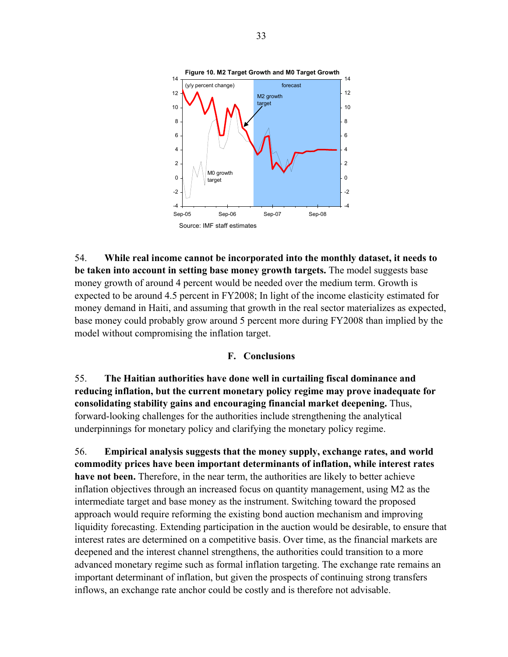

54. **While real income cannot be incorporated into the monthly dataset, it needs to be taken into account in setting base money growth targets.** The model suggests base money growth of around 4 percent would be needed over the medium term. Growth is expected to be around 4.5 percent in FY2008; In light of the income elasticity estimated for money demand in Haiti, and assuming that growth in the real sector materializes as expected, base money could probably grow around 5 percent more during FY2008 than implied by the model without compromising the inflation target.

#### **F. Conclusions**

55. **The Haitian authorities have done well in curtailing fiscal dominance and reducing inflation, but the current monetary policy regime may prove inadequate for consolidating stability gains and encouraging financial market deepening.** Thus, forward-looking challenges for the authorities include strengthening the analytical underpinnings for monetary policy and clarifying the monetary policy regime.

56. **Empirical analysis suggests that the money supply, exchange rates, and world commodity prices have been important determinants of inflation, while interest rates have not been.** Therefore, in the near term, the authorities are likely to better achieve inflation objectives through an increased focus on quantity management, using M2 as the intermediate target and base money as the instrument. Switching toward the proposed approach would require reforming the existing bond auction mechanism and improving liquidity forecasting. Extending participation in the auction would be desirable, to ensure that interest rates are determined on a competitive basis. Over time, as the financial markets are deepened and the interest channel strengthens, the authorities could transition to a more advanced monetary regime such as formal inflation targeting. The exchange rate remains an important determinant of inflation, but given the prospects of continuing strong transfers inflows, an exchange rate anchor could be costly and is therefore not advisable.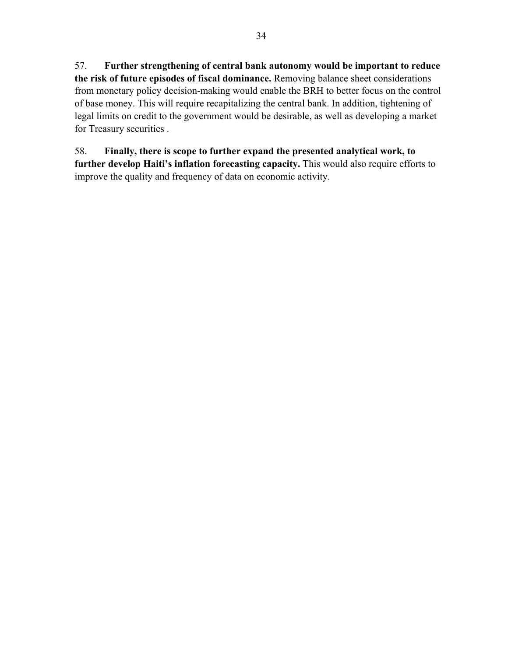57. **Further strengthening of central bank autonomy would be important to reduce the risk of future episodes of fiscal dominance.** Removing balance sheet considerations from monetary policy decision-making would enable the BRH to better focus on the control of base money. This will require recapitalizing the central bank. In addition, tightening of legal limits on credit to the government would be desirable, as well as developing a market for Treasury securities .

58. **Finally, there is scope to further expand the presented analytical work, to further develop Haiti's inflation forecasting capacity.** This would also require efforts to improve the quality and frequency of data on economic activity.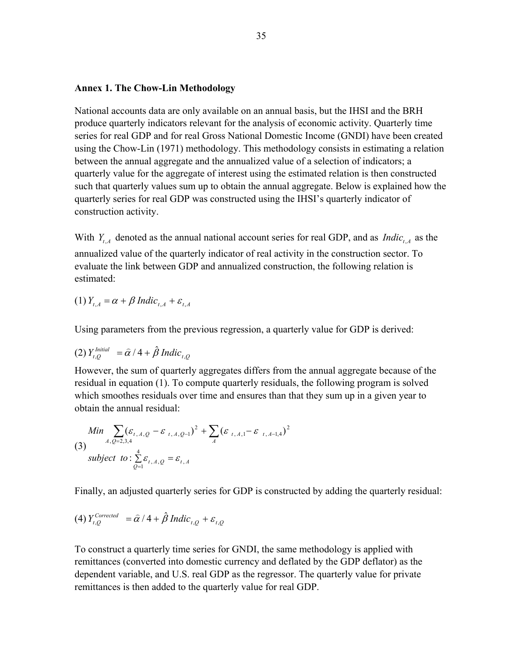## **Annex 1. The Chow-Lin Methodology**

National accounts data are only available on an annual basis, but the IHSI and the BRH produce quarterly indicators relevant for the analysis of economic activity. Quarterly time series for real GDP and for real Gross National Domestic Income (GNDI) have been created using the Chow-Lin (1971) methodology. This methodology consists in estimating a relation between the annual aggregate and the annualized value of a selection of indicators; a quarterly value for the aggregate of interest using the estimated relation is then constructed such that quarterly values sum up to obtain the annual aggregate. Below is explained how the quarterly series for real GDP was constructed using the IHSI's quarterly indicator of construction activity.

With  $Y_{tA}$  denoted as the annual national account series for real GDP, and as *Indic<sub>tA</sub>* as the annualized value of the quarterly indicator of real activity in the construction sector. To evaluate the link between GDP and annualized construction, the following relation is estimated:

 $(1)$   $Y_{tA} = \alpha + \beta$  Indic<sub>t A</sub> +  $\varepsilon_{tA}$ 

Using parameters from the previous regression, a quarterly value for GDP is derived:

(2) 
$$
Y_{t,Q}^{Initial} = \hat{\alpha} / 4 + \hat{\beta} Indic_{t,Q}
$$

However, the sum of quarterly aggregates differs from the annual aggregate because of the residual in equation (1). To compute quarterly residuals, the following program is solved which smoothes residuals over time and ensures than that they sum up in a given year to obtain the annual residual:

Min 
$$
\sum_{A, Q=2,3,4} (\varepsilon_{t, A, Q} - \varepsilon_{t, A, Q-1})^2 + \sum_{A} (\varepsilon_{t, A, 1} - \varepsilon_{t, A-1, 4})^2
$$
  
(3)  
subject to:  $\sum_{Q=1}^{4} \varepsilon_{t, A, Q} = \varepsilon_{t, A}$ 

Finally, an adjusted quarterly series for GDP is constructed by adding the quarterly residual:

(4) 
$$
Y_{i,Q}^{Corrected} = \hat{\alpha}/4 + \hat{\beta}
$$
 Indic<sub>i,Q</sub> +  $\varepsilon_{i,Q}$ 

To construct a quarterly time series for GNDI, the same methodology is applied with remittances (converted into domestic currency and deflated by the GDP deflator) as the dependent variable, and U.S. real GDP as the regressor. The quarterly value for private remittances is then added to the quarterly value for real GDP.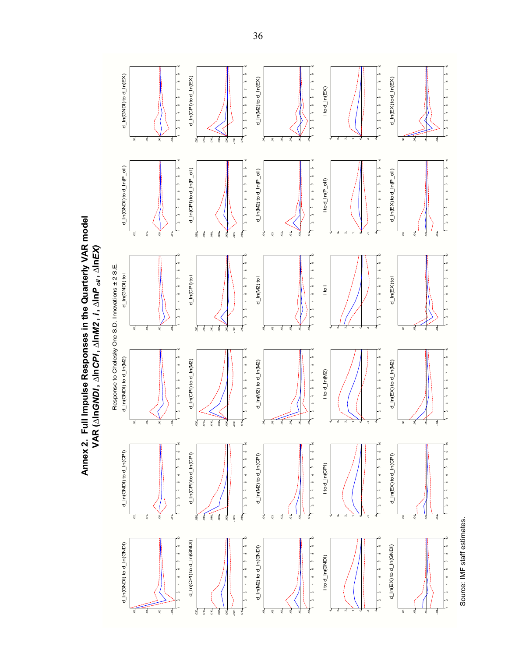Annex 2. Full Impulse Responses in the Quarterly VAR model **Annex 2. Full Impulse Responses in the Quarterly VAR model VAR (** VAR (AIn*GNDI* , AIn*CPI* , AIn*M2* , *i* , AInP<sub>oil</sub>, AInEX) *oil* **, ∆ln***EX)* **∆ln***GNDI* **, ∆ln***CPI* **, ∆ln***M2* **,** *i* **, ∆ln**



36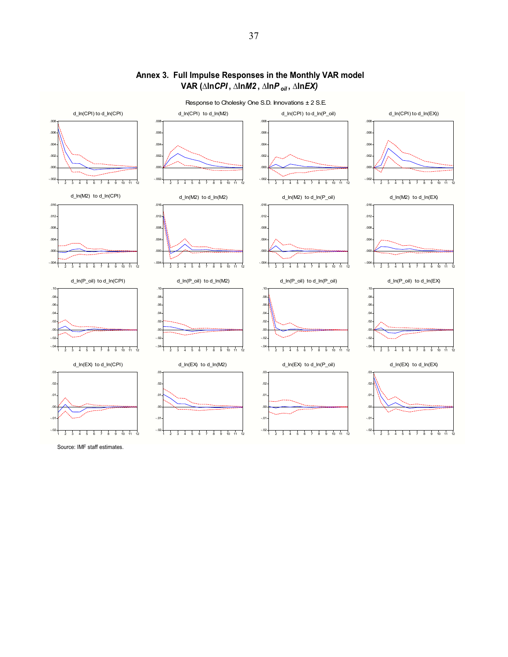

## **Annex 3. Full Impulse Responses in the Monthly VAR model VAR (∆ln***CPI* **, ∆ln***M2* **, ∆ln***P oil* **, ∆ln***EX)*

Source: IMF staff estimates.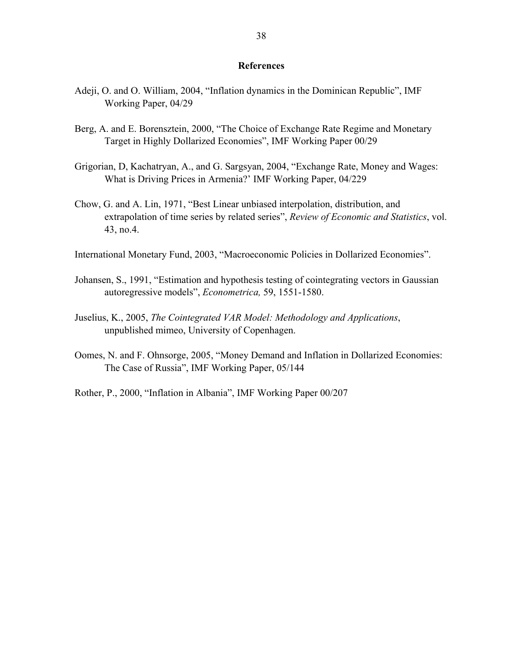#### **References**

- Adeji, O. and O. William, 2004, "Inflation dynamics in the Dominican Republic", IMF Working Paper, 04/29
- Berg, A. and E. Borensztein, 2000, "The Choice of Exchange Rate Regime and Monetary Target in Highly Dollarized Economies", IMF Working Paper 00/29
- Grigorian, D, Kachatryan, A., and G. Sargsyan, 2004, "Exchange Rate, Money and Wages: What is Driving Prices in Armenia?' IMF Working Paper, 04/229
- Chow, G. and A. Lin, 1971, "Best Linear unbiased interpolation, distribution, and extrapolation of time series by related series", *Review of Economic and Statistics*, vol. 43, no.4.
- International Monetary Fund, 2003, "Macroeconomic Policies in Dollarized Economies".
- Johansen, S., 1991, "Estimation and hypothesis testing of cointegrating vectors in Gaussian autoregressive models", *Econometrica,* 59, 1551-1580.
- Juselius, K., 2005, *The Cointegrated VAR Model: Methodology and Applications*, unpublished mimeo, University of Copenhagen.
- Oomes, N. and F. Ohnsorge, 2005, "Money Demand and Inflation in Dollarized Economies: The Case of Russia", IMF Working Paper, 05/144
- Rother, P., 2000, "Inflation in Albania", IMF Working Paper 00/207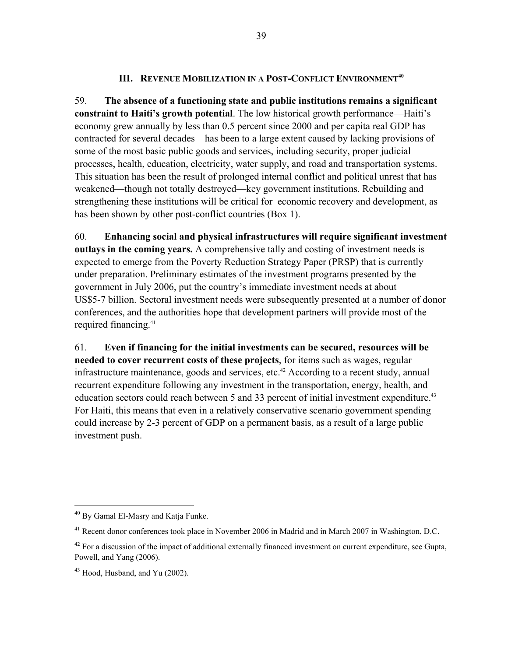## **III. REVENUE MOBILIZATION IN A POST-CONFLICT ENVIRONMENT<sup>40</sup>**

59. **The absence of a functioning state and public institutions remains a significant constraint to Haiti's growth potential**. The low historical growth performance—Haiti's economy grew annually by less than 0.5 percent since 2000 and per capita real GDP has contracted for several decades—has been to a large extent caused by lacking provisions of some of the most basic public goods and services, including security, proper judicial processes, health, education, electricity, water supply, and road and transportation systems. This situation has been the result of prolonged internal conflict and political unrest that has weakened—though not totally destroyed—key government institutions. Rebuilding and strengthening these institutions will be critical for economic recovery and development, as has been shown by other post-conflict countries (Box 1).

60. **Enhancing social and physical infrastructures will require significant investment outlays in the coming years.** A comprehensive tally and costing of investment needs is expected to emerge from the Poverty Reduction Strategy Paper (PRSP) that is currently under preparation. Preliminary estimates of the investment programs presented by the government in July 2006, put the country's immediate investment needs at about US\$5-7 billion. Sectoral investment needs were subsequently presented at a number of donor conferences, and the authorities hope that development partners will provide most of the required financing.<sup>41</sup>

61. **Even if financing for the initial investments can be secured, resources will be needed to cover recurrent costs of these projects**, for items such as wages, regular infrastructure maintenance, goods and services, etc.<sup>42</sup> According to a recent study, annual recurrent expenditure following any investment in the transportation, energy, health, and education sectors could reach between 5 and 33 percent of initial investment expenditure.<sup>43</sup> For Haiti, this means that even in a relatively conservative scenario government spending could increase by 2-3 percent of GDP on a permanent basis, as a result of a large public investment push.

 $\overline{a}$ 

<sup>40</sup> By Gamal El-Masry and Katja Funke.

<sup>&</sup>lt;sup>41</sup> Recent donor conferences took place in November 2006 in Madrid and in March 2007 in Washington, D.C.

 $42$  For a discussion of the impact of additional externally financed investment on current expenditure, see Gupta, Powell, and Yang (2006).

<sup>43</sup> Hood, Husband, and Yu (2002).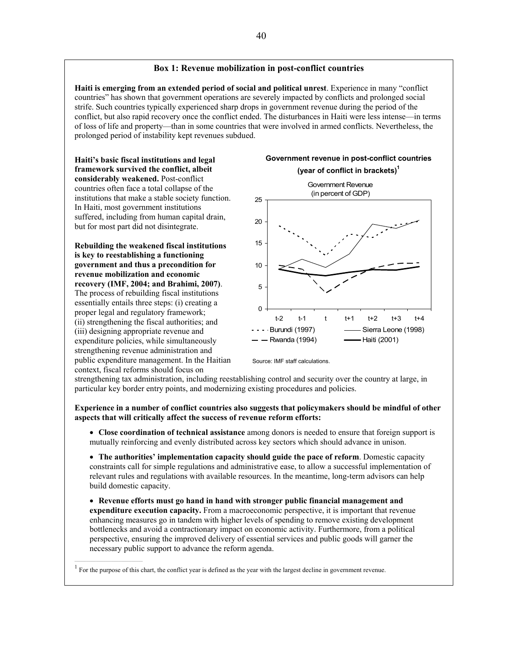#### **Box 1: Revenue mobilization in post-conflict countries**

**Haiti is emerging from an extended period of social and political unrest**. Experience in many "conflict countries" has shown that government operations are severely impacted by conflicts and prolonged social strife. Such countries typically experienced sharp drops in government revenue during the period of the conflict, but also rapid recovery once the conflict ended. The disturbances in Haiti were less intense—in terms of loss of life and property—than in some countries that were involved in armed conflicts. Nevertheless, the prolonged period of instability kept revenues subdued.

**Haiti's basic fiscal institutions and legal framework survived the conflict, albeit considerably weakened.** Post-conflict countries often face a total collapse of the institutions that make a stable society function. In Haiti, most government institutions suffered, including from human capital drain, but for most part did not disintegrate.

**Rebuilding the weakened fiscal institutions is key to reestablishing a functioning government and thus a precondition for revenue mobilization and economic recovery (IMF, 2004; and Brahimi, 2007)**. The process of rebuilding fiscal institutions essentially entails three steps: (i) creating a proper legal and regulatory framework; (ii) strengthening the fiscal authorities; and (iii) designing appropriate revenue and expenditure policies, while simultaneously strengthening revenue administration and public expenditure management. In the Haitian context, fiscal reforms should focus on





Source: IMF staff calculations.

strengthening tax administration, including reestablishing control and security over the country at large, in particular key border entry points, and modernizing existing procedures and policies.

**Experience in a number of conflict countries also suggests that policymakers should be mindful of other aspects that will critically affect the success of revenue reform efforts:**

• **Close coordination of technical assistance** among donors is needed to ensure that foreign support is mutually reinforcing and evenly distributed across key sectors which should advance in unison.

• **The authorities' implementation capacity should guide the pace of reform**. Domestic capacity constraints call for simple regulations and administrative ease, to allow a successful implementation of relevant rules and regulations with available resources. In the meantime, long-term advisors can help build domestic capacity.

• **Revenue efforts must go hand in hand with stronger public financial management and expenditure execution capacity.** From a macroeconomic perspective, it is important that revenue enhancing measures go in tandem with higher levels of spending to remove existing development bottlenecks and avoid a contractionary impact on economic activity. Furthermore, from a political perspective, ensuring the improved delivery of essential services and public goods will garner the necessary public support to advance the reform agenda.

 $<sup>1</sup>$  For the purpose of this chart, the conflict year is defined as the year with the largest decline in government revenue.</sup>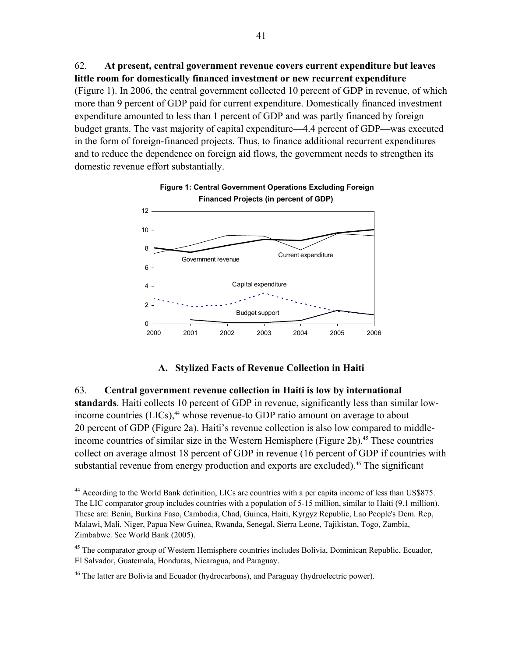62. **At present, central government revenue covers current expenditure but leaves little room for domestically financed investment or new recurrent expenditure** (Figure 1). In 2006, the central government collected 10 percent of GDP in revenue, of which more than 9 percent of GDP paid for current expenditure. Domestically financed investment expenditure amounted to less than 1 percent of GDP and was partly financed by foreign budget grants. The vast majority of capital expenditure—4.4 percent of GDP—was executed in the form of foreign-financed projects. Thus, to finance additional recurrent expenditures and to reduce the dependence on foreign aid flows, the government needs to strengthen its domestic revenue effort substantially.



## **Figure 1: Central Government Operations Excluding Foreign Financed Projects (in percent of GDP)**

## **A. Stylized Facts of Revenue Collection in Haiti**

## 63. **Central government revenue collection in Haiti is low by international**

**standards**. Haiti collects 10 percent of GDP in revenue, significantly less than similar lowincome countries  $(LICs)$ ,<sup>44</sup> whose revenue-to GDP ratio amount on average to about 20 percent of GDP (Figure 2a). Haiti's revenue collection is also low compared to middleincome countries of similar size in the Western Hemisphere (Figure 2b).<sup>45</sup> These countries collect on average almost 18 percent of GDP in revenue (16 percent of GDP if countries with substantial revenue from energy production and exports are excluded).<sup>46</sup> The significant

1

<sup>&</sup>lt;sup>44</sup> According to the World Bank definition, LICs are countries with a per capita income of less than US\$875. The LIC comparator group includes countries with a population of 5-15 million, similar to Haiti (9.1 million). These are: Benin, Burkina Faso, Cambodia, Chad, Guinea, Haiti, Kyrgyz Republic, Lao People's Dem. Rep, Malawi, Mali, Niger, Papua New Guinea, Rwanda, Senegal, Sierra Leone, Tajikistan, Togo, Zambia, Zimbabwe. See World Bank (2005).

<sup>&</sup>lt;sup>45</sup> The comparator group of Western Hemisphere countries includes Bolivia, Dominican Republic, Ecuador, El Salvador, Guatemala, Honduras, Nicaragua, and Paraguay.

<sup>&</sup>lt;sup>46</sup> The latter are Bolivia and Ecuador (hydrocarbons), and Paraguay (hydroelectric power).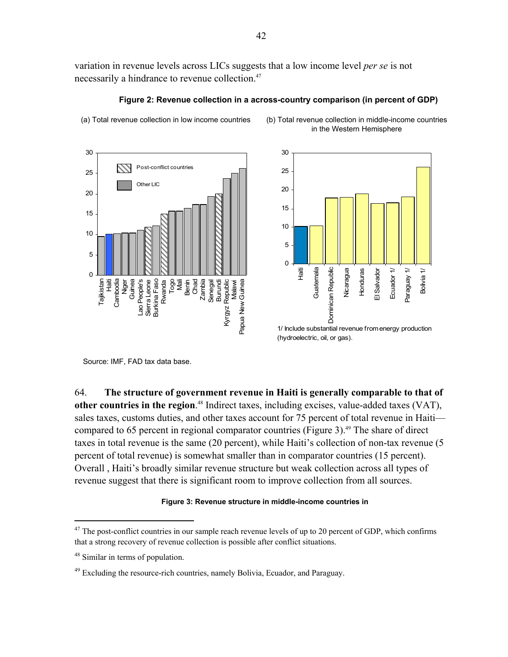variation in revenue levels across LICs suggests that a low income level *per se* is not necessarily a hindrance to revenue collection.<sup>47</sup>





(a) Total revenue collection in low income countries (b) Total revenue collection in middle-income countries

30 25 20 15 10 5 0 Haiti Guatemala Dominican Republic 11 Venbeue Nicaragua Ecuador 1/ Guatemala Dominican Republic Honduras El Salvador Ecuador 1/ Paraguay 1/ Honduras El Salvador Bolivia 1/ Bolivia 1/

in the Western Hemisphere

1/ Include substantial revenue from energy production (hydroelectric, oil, or gas).

Source: IMF, FAD tax data base.

64. **The structure of government revenue in Haiti is generally comparable to that of other countries in the region**. 48 Indirect taxes, including excises, value-added taxes (VAT), sales taxes, customs duties, and other taxes account for 75 percent of total revenue in Haiti compared to 65 percent in regional comparator countries (Figure 3).<sup>49</sup> The share of direct taxes in total revenue is the same (20 percent), while Haiti's collection of non-tax revenue (5 percent of total revenue) is somewhat smaller than in comparator countries (15 percent). Overall , Haiti's broadly similar revenue structure but weak collection across all types of revenue suggest that there is significant room to improve collection from all sources.

#### **Figure 3: Revenue structure in middle-income countries in**

 $\overline{a}$ 

<sup>&</sup>lt;sup>47</sup> The post-conflict countries in our sample reach revenue levels of up to 20 percent of GDP, which confirms that a strong recovery of revenue collection is possible after conflict situations.

<sup>48</sup> Similar in terms of population.

 $49$  Excluding the resource-rich countries, namely Bolivia, Ecuador, and Paraguay.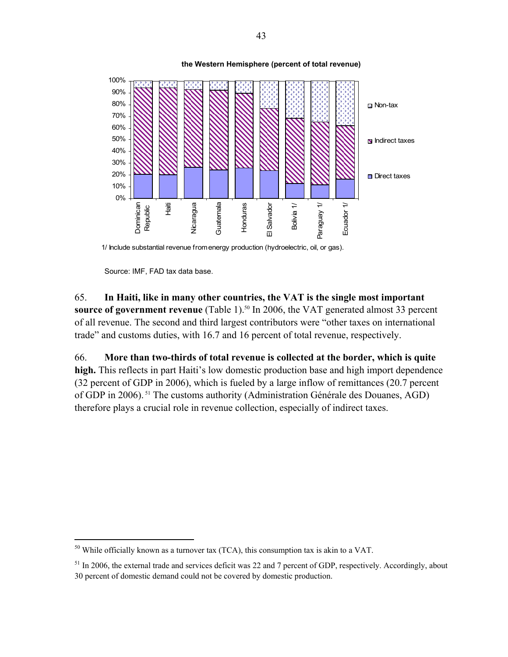

1/ Include substantial revenue from energy production (hydroelectric, oil, or gas).

Source: IMF, FAD tax data base.

 $\overline{a}$ 

65. **In Haiti, like in many other countries, the VAT is the single most important source of government revenue** (Table 1).<sup>50</sup> In 2006, the VAT generated almost 33 percent of all revenue. The second and third largest contributors were "other taxes on international trade" and customs duties, with 16.7 and 16 percent of total revenue, respectively.

66. **More than two-thirds of total revenue is collected at the border, which is quite high.** This reflects in part Haiti's low domestic production base and high import dependence (32 percent of GDP in 2006), which is fueled by a large inflow of remittances (20.7 percent of GDP in 2006). 51 The customs authority (Administration Générale des Douanes, AGD) therefore plays a crucial role in revenue collection, especially of indirect taxes.

 $50$  While officially known as a turnover tax (TCA), this consumption tax is akin to a VAT.

 $<sup>51</sup>$  In 2006, the external trade and services deficit was 22 and 7 percent of GDP, respectively. Accordingly, about</sup> 30 percent of domestic demand could not be covered by domestic production.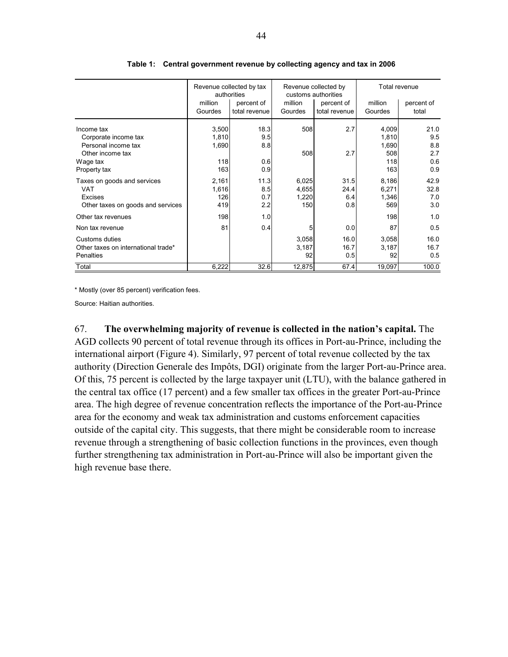|                                                                                           | Revenue collected by tax<br>authorities |                             |                                | Revenue collected by<br>customs authorities | Total revenue                  |                            |
|-------------------------------------------------------------------------------------------|-----------------------------------------|-----------------------------|--------------------------------|---------------------------------------------|--------------------------------|----------------------------|
|                                                                                           | million<br>Gourdes                      | percent of<br>total revenue | million<br>Gourdes             | percent of<br>total revenue                 | million<br>Gourdes             | percent of<br>total        |
| Income tax<br>Corporate income tax<br>Personal income tax                                 | 3,500<br>1,810<br>1,690                 | 18.3<br>9.5<br>8.8          | 508                            | 2.7                                         | 4,009<br>1,810<br>1,690        | 21.0<br>9.5<br>8.8         |
| Other income tax<br>Wage tax<br>Property tax                                              | 118<br>163                              | 0.6<br>0.9                  | 508                            | 2.7                                         | 508<br>118<br>163              | 2.7<br>0.6<br>0.9          |
| Taxes on goods and services<br><b>VAT</b><br>Excises<br>Other taxes on goods and services | 2,161<br>1,616<br>126<br>419            | 11.3<br>8.5<br>0.7<br>2.2   | 6,025<br>4,655<br>1,220<br>150 | 31.5<br>24.4<br>6.4<br>0.8                  | 8,186<br>6,271<br>1,346<br>569 | 42.9<br>32.8<br>7.0<br>3.0 |
| Other tax revenues                                                                        | 198                                     | 1.0                         |                                |                                             | 198                            | 1.0                        |
| Non tax revenue                                                                           | 81                                      | 0.4                         | 5                              | 0.0                                         | 87                             | 0.5                        |
| Customs duties<br>Other taxes on international trade*<br>Penalties                        |                                         |                             | 3,058<br>3,187<br>92           | 16.0<br>16.7<br>0.5                         | 3,058<br>3,187<br>92           | 16.0<br>16.7<br>0.5        |
| Total                                                                                     | 6,222                                   | 32.6                        | 12,875                         | 67.4                                        | 19,097                         | 100.0                      |

**Table 1: Central government revenue by collecting agency and tax in 2006** 

\* Mostly (over 85 percent) verification fees.

Source: Haitian authorities.

67. **The overwhelming majority of revenue is collected in the nation's capital.** The AGD collects 90 percent of total revenue through its offices in Port-au-Prince, including the international airport (Figure 4). Similarly, 97 percent of total revenue collected by the tax authority (Direction Generale des Impôts, DGI) originate from the larger Port-au-Prince area. Of this, 75 percent is collected by the large taxpayer unit (LTU), with the balance gathered in the central tax office (17 percent) and a few smaller tax offices in the greater Port-au-Prince area. The high degree of revenue concentration reflects the importance of the Port-au-Prince area for the economy and weak tax administration and customs enforcement capacities outside of the capital city. This suggests, that there might be considerable room to increase revenue through a strengthening of basic collection functions in the provinces, even though further strengthening tax administration in Port-au-Prince will also be important given the high revenue base there.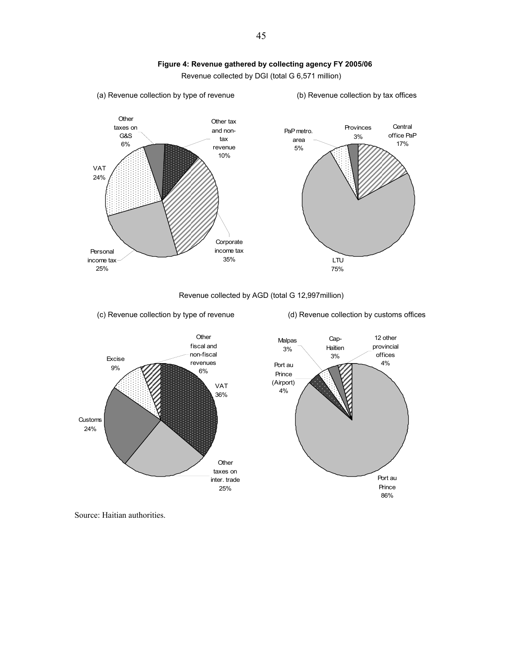

Revenue collected by DGI (total G 6,571 million)

Personal income tax 25% **Corporate** income tax 35% Other tax and nontax revenue 10% VAT 24% **Other** taxes on G&S 6% **Central** office PaP 17% LTU 75% PaP metro. area 5% Provinces 3%

Revenue collected by AGD (total G 12,997million)

(c) Revenue collection by type of revenue

(a) Revenue collection by type of revenue

(d) Revenue collection by customs offices

(b) Revenue collection by tax offices



Source: Haitian authorities.

45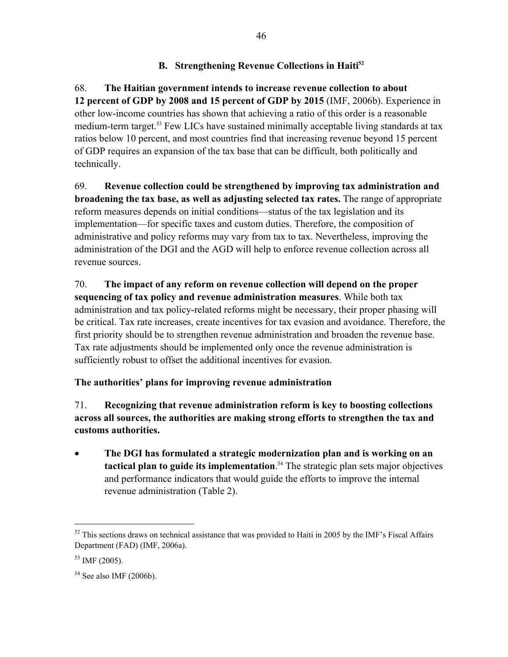# **B.** Strengthening Revenue Collections in Haiti<sup>52</sup>

68. **The Haitian government intends to increase revenue collection to about 12 percent of GDP by 2008 and 15 percent of GDP by 2015** (IMF, 2006b). Experience in other low-income countries has shown that achieving a ratio of this order is a reasonable medium-term target.<sup>53</sup> Few LICs have sustained minimally acceptable living standards at tax ratios below 10 percent, and most countries find that increasing revenue beyond 15 percent of GDP requires an expansion of the tax base that can be difficult, both politically and technically.

69. **Revenue collection could be strengthened by improving tax administration and broadening the tax base, as well as adjusting selected tax rates.** The range of appropriate reform measures depends on initial conditions—status of the tax legislation and its implementation—for specific taxes and custom duties. Therefore, the composition of administrative and policy reforms may vary from tax to tax. Nevertheless, improving the administration of the DGI and the AGD will help to enforce revenue collection across all revenue sources.

70. **The impact of any reform on revenue collection will depend on the proper sequencing of tax policy and revenue administration measures**. While both tax administration and tax policy-related reforms might be necessary, their proper phasing will be critical. Tax rate increases, create incentives for tax evasion and avoidance. Therefore, the first priority should be to strengthen revenue administration and broaden the revenue base. Tax rate adjustments should be implemented only once the revenue administration is sufficiently robust to offset the additional incentives for evasion.

# **The authorities' plans for improving revenue administration**

71. **Recognizing that revenue administration reform is key to boosting collections across all sources, the authorities are making strong efforts to strengthen the tax and customs authorities.** 

• **The DGI has formulated a strategic modernization plan and is working on an tactical plan to guide its implementation**. 54 The strategic plan sets major objectives and performance indicators that would guide the efforts to improve the internal revenue administration (Table 2).

 $\overline{a}$ 

 $52$  This sections draws on technical assistance that was provided to Haiti in 2005 by the IMF's Fiscal Affairs Department (FAD) (IMF, 2006a).

 $53$  IMF (2005).

 $54$  See also IMF (2006b).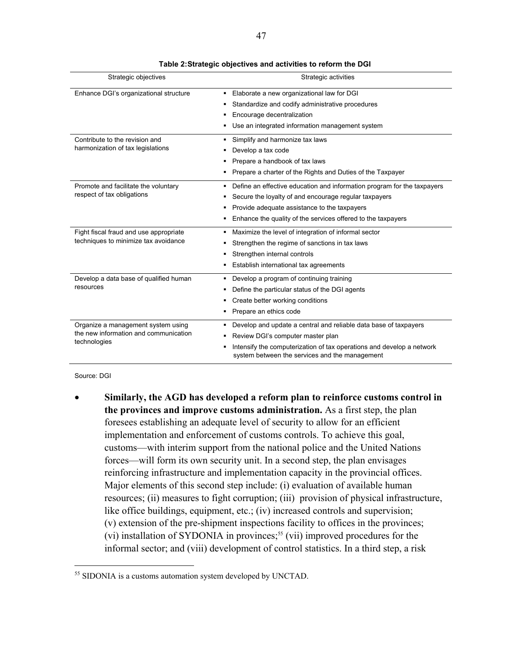| Strategic objectives                   | Strategic activities                                                                                                    |
|----------------------------------------|-------------------------------------------------------------------------------------------------------------------------|
| Enhance DGI's organizational structure | • Elaborate a new organizational law for DGI                                                                            |
|                                        | Standardize and codify administrative procedures<br>٠                                                                   |
|                                        | Encourage decentralization                                                                                              |
|                                        | Use an integrated information management system<br>٠                                                                    |
| Contribute to the revision and         | Simplify and harmonize tax laws<br>٠                                                                                    |
| harmonization of tax legislations      | Develop a tax code<br>٠                                                                                                 |
|                                        | Prepare a handbook of tax laws<br>٠                                                                                     |
|                                        | Prepare a charter of the Rights and Duties of the Taxpayer<br>▪                                                         |
| Promote and facilitate the voluntary   | Define an effective education and information program for the taxpayers<br>٠                                            |
| respect of tax obligations             | Secure the loyalty of and encourage regular taxpayers                                                                   |
|                                        | Provide adequate assistance to the taxpayers<br>٠                                                                       |
|                                        | Enhance the quality of the services offered to the taxpayers<br>٠                                                       |
| Fight fiscal fraud and use appropriate | Maximize the level of integration of informal sector<br>٠                                                               |
| techniques to minimize tax avoidance   | Strengthen the regime of sanctions in tax laws<br>٠                                                                     |
|                                        | Strengthen internal controls<br>٠                                                                                       |
|                                        | Establish international tax agreements                                                                                  |
| Develop a data base of qualified human | Develop a program of continuing training<br>٠                                                                           |
| resources                              | Define the particular status of the DGI agents                                                                          |
|                                        | Create better working conditions                                                                                        |
|                                        | Prepare an ethics code<br>٠                                                                                             |
| Organize a management system using     | Develop and update a central and reliable data base of taxpayers<br>٠                                                   |
| the new information and communication  | Review DGI's computer master plan                                                                                       |
| technologies                           | Intensify the computerization of tax operations and develop a network<br>system between the services and the management |

Source: DGI

 $\overline{a}$ 

• **Similarly, the AGD has developed a reform plan to reinforce customs control in the provinces and improve customs administration.** As a first step, the plan foresees establishing an adequate level of security to allow for an efficient implementation and enforcement of customs controls. To achieve this goal, customs—with interim support from the national police and the United Nations forces—will form its own security unit. In a second step, the plan envisages reinforcing infrastructure and implementation capacity in the provincial offices. Major elements of this second step include: (i) evaluation of available human resources; (ii) measures to fight corruption; (iii) provision of physical infrastructure, like office buildings, equipment, etc.; (iv) increased controls and supervision; (v) extension of the pre-shipment inspections facility to offices in the provinces; (vi) installation of SYDONIA in provinces;<sup>55</sup> (vii) improved procedures for the informal sector; and (viii) development of control statistics. In a third step, a risk

<sup>&</sup>lt;sup>55</sup> SIDONIA is a customs automation system developed by UNCTAD.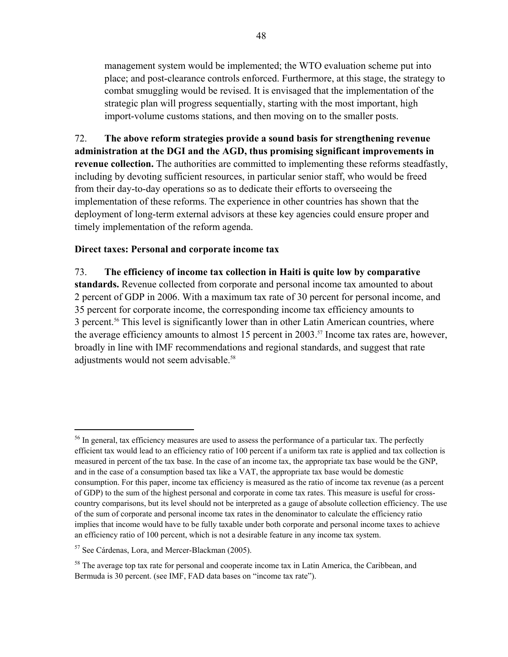management system would be implemented; the WTO evaluation scheme put into place; and post-clearance controls enforced. Furthermore, at this stage, the strategy to combat smuggling would be revised. It is envisaged that the implementation of the strategic plan will progress sequentially, starting with the most important, high import-volume customs stations, and then moving on to the smaller posts.

72. **The above reform strategies provide a sound basis for strengthening revenue administration at the DGI and the AGD, thus promising significant improvements in revenue collection.** The authorities are committed to implementing these reforms steadfastly, including by devoting sufficient resources, in particular senior staff, who would be freed from their day-to-day operations so as to dedicate their efforts to overseeing the implementation of these reforms. The experience in other countries has shown that the deployment of long-term external advisors at these key agencies could ensure proper and timely implementation of the reform agenda.

## **Direct taxes: Personal and corporate income tax**

73. **The efficiency of income tax collection in Haiti is quite low by comparative standards.** Revenue collected from corporate and personal income tax amounted to about 2 percent of GDP in 2006. With a maximum tax rate of 30 percent for personal income, and 35 percent for corporate income, the corresponding income tax efficiency amounts to 3 percent.56 This level is significantly lower than in other Latin American countries, where the average efficiency amounts to almost 15 percent in 2003.<sup>57</sup> Income tax rates are, however, broadly in line with IMF recommendations and regional standards, and suggest that rate adjustments would not seem advisable.<sup>58</sup>

 $\overline{a}$ 

<sup>&</sup>lt;sup>56</sup> In general, tax efficiency measures are used to assess the performance of a particular tax. The perfectly efficient tax would lead to an efficiency ratio of 100 percent if a uniform tax rate is applied and tax collection is measured in percent of the tax base. In the case of an income tax, the appropriate tax base would be the GNP, and in the case of a consumption based tax like a VAT, the appropriate tax base would be domestic consumption. For this paper, income tax efficiency is measured as the ratio of income tax revenue (as a percent of GDP) to the sum of the highest personal and corporate in come tax rates. This measure is useful for crosscountry comparisons, but its level should not be interpreted as a gauge of absolute collection efficiency. The use of the sum of corporate and personal income tax rates in the denominator to calculate the efficiency ratio implies that income would have to be fully taxable under both corporate and personal income taxes to achieve an efficiency ratio of 100 percent, which is not a desirable feature in any income tax system.

<sup>57</sup> See Cárdenas, Lora, and Mercer-Blackman (2005).

<sup>&</sup>lt;sup>58</sup> The average top tax rate for personal and cooperate income tax in Latin America, the Caribbean, and Bermuda is 30 percent. (see IMF, FAD data bases on "income tax rate").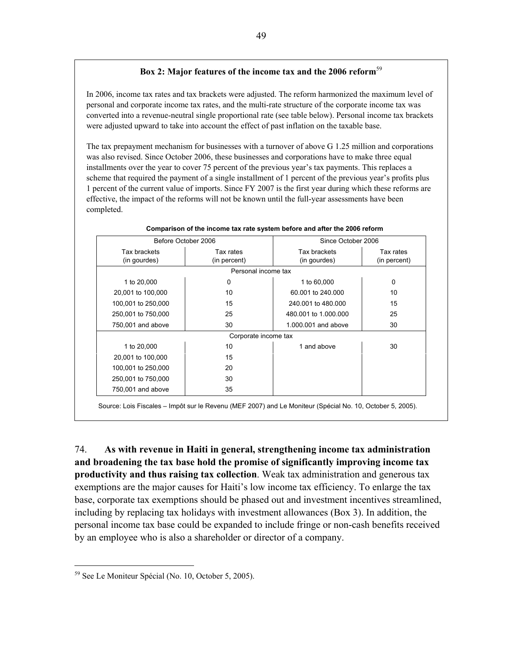## **Box 2: Major features of the income tax and the 2006 reform**<sup>59</sup>

In 2006, income tax rates and tax brackets were adjusted. The reform harmonized the maximum level of personal and corporate income tax rates, and the multi-rate structure of the corporate income tax was converted into a revenue-neutral single proportional rate (see table below). Personal income tax brackets were adjusted upward to take into account the effect of past inflation on the taxable base.

The tax prepayment mechanism for businesses with a turnover of above G 1.25 million and corporations was also revised. Since October 2006, these businesses and corporations have to make three equal installments over the year to cover 75 percent of the previous year's tax payments. This replaces a scheme that required the payment of a single installment of 1 percent of the previous year's profits plus 1 percent of the current value of imports. Since FY 2007 is the first year during which these reforms are effective, the impact of the reforms will not be known until the full-year assessments have been completed.

|                    | Before October 2006  |                      | Since October 2006 |
|--------------------|----------------------|----------------------|--------------------|
| Tax brackets       | Tax rates            | Tax brackets         | Tax rates          |
| (in gourdes)       | (in percent)         | (in gourdes)         | (in percent)       |
|                    | Personal income tax  |                      |                    |
| 1 to 20,000        | 0                    | 1 to 60,000          | 0                  |
| 20,001 to 100,000  | 10                   | 60,001 to 240,000    | 10                 |
| 100,001 to 250,000 | 15                   | 240,001 to 480,000   | 15                 |
| 250,001 to 750,000 | 25                   | 480,001 to 1,000,000 | 25                 |
| 750,001 and above  | 30                   | 1,000,001 and above  | 30                 |
|                    | Corporate income tax |                      |                    |
| 1 to 20,000        | 10                   | 1 and above          | 30                 |
| 20,001 to 100,000  | 15                   |                      |                    |
| 100,001 to 250,000 | 20                   |                      |                    |
| 250,001 to 750,000 | 30                   |                      |                    |
| 750,001 and above  | 35                   |                      |                    |

#### **Comparison of the income tax rate system before and after the 2006 reform**

Source: Lois Fiscales – Impôt sur le Revenu (MEF 2007) and Le Moniteur (Spécial No. 10, October 5, 2005).

74. **As with revenue in Haiti in general, strengthening income tax administration and broadening the tax base hold the promise of significantly improving income tax productivity and thus raising tax collection**. Weak tax administration and generous tax exemptions are the major causes for Haiti's low income tax efficiency. To enlarge the tax base, corporate tax exemptions should be phased out and investment incentives streamlined, including by replacing tax holidays with investment allowances (Box 3). In addition, the personal income tax base could be expanded to include fringe or non-cash benefits received by an employee who is also a shareholder or director of a company.

 $\overline{a}$ 

<sup>59</sup> See Le Moniteur Spécial (No. 10, October 5, 2005).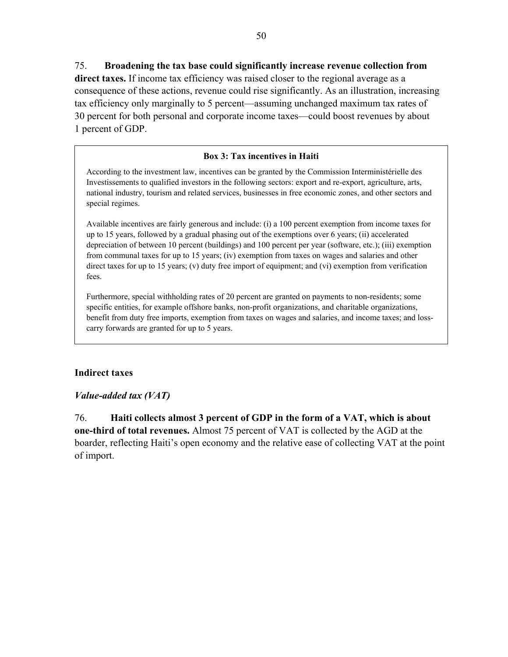## 75. **Broadening the tax base could significantly increase revenue collection from**

**direct taxes.** If income tax efficiency was raised closer to the regional average as a consequence of these actions, revenue could rise significantly. As an illustration, increasing tax efficiency only marginally to 5 percent—assuming unchanged maximum tax rates of 30 percent for both personal and corporate income taxes—could boost revenues by about 1 percent of GDP.

## **Box 3: Tax incentives in Haiti**

According to the investment law, incentives can be granted by the Commission Interministérielle des Investissements to qualified investors in the following sectors: export and re-export, agriculture, arts, national industry, tourism and related services, businesses in free economic zones, and other sectors and special regimes.

Available incentives are fairly generous and include: (i) a 100 percent exemption from income taxes for up to 15 years, followed by a gradual phasing out of the exemptions over 6 years; (ii) accelerated depreciation of between 10 percent (buildings) and 100 percent per year (software, etc.); (iii) exemption from communal taxes for up to 15 years; (iv) exemption from taxes on wages and salaries and other direct taxes for up to 15 years; (v) duty free import of equipment; and (vi) exemption from verification fees.

Furthermore, special withholding rates of 20 percent are granted on payments to non-residents; some specific entities, for example offshore banks, non-profit organizations, and charitable organizations, benefit from duty free imports, exemption from taxes on wages and salaries, and income taxes; and losscarry forwards are granted for up to 5 years.

#### **Indirect taxes**

## *Value-added tax (VAT)*

76. **Haiti collects almost 3 percent of GDP in the form of a VAT, which is about one-third of total revenues.** Almost 75 percent of VAT is collected by the AGD at the boarder, reflecting Haiti's open economy and the relative ease of collecting VAT at the point of import.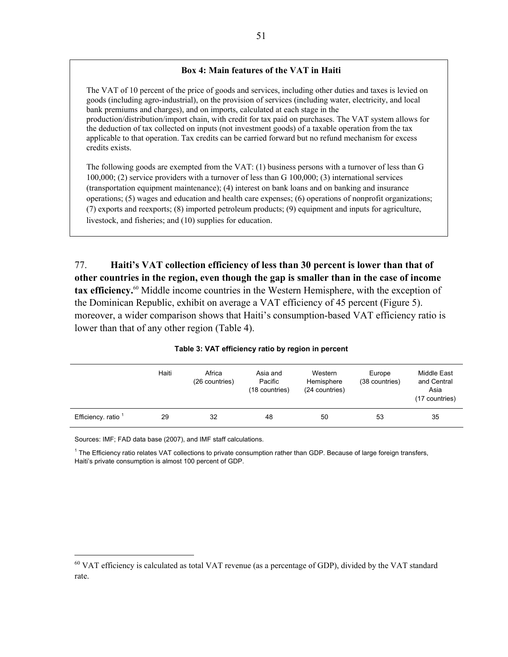## **Box 4: Main features of the VAT in Haiti**

The VAT of 10 percent of the price of goods and services, including other duties and taxes is levied on goods (including agro-industrial), on the provision of services (including water, electricity, and local bank premiums and charges), and on imports, calculated at each stage in the production/distribution/import chain, with credit for tax paid on purchases. The VAT system allows for the deduction of tax collected on inputs (not investment goods) of a taxable operation from the tax applicable to that operation. Tax credits can be carried forward but no refund mechanism for excess credits exists.

The following goods are exempted from the VAT: (1) business persons with a turnover of less than G 100,000; (2) service providers with a turnover of less than G 100,000; (3) international services (transportation equipment maintenance); (4) interest on bank loans and on banking and insurance operations; (5) wages and education and health care expenses; (6) operations of nonprofit organizations; (7) exports and reexports; (8) imported petroleum products; (9) equipment and inputs for agriculture, livestock, and fisheries; and (10) supplies for education.

77. **Haiti's VAT collection efficiency of less than 30 percent is lower than that of other countries in the region, even though the gap is smaller than in the case of income tax efficiency.**60 Middle income countries in the Western Hemisphere, with the exception of the Dominican Republic, exhibit on average a VAT efficiency of 45 percent (Figure 5). moreover, a wider comparison shows that Haiti's consumption-based VAT efficiency ratio is lower than that of any other region (Table 4).

|                   | Haiti | Africa<br>(26 countries) | Asia and<br>Pacific<br>(18 countries) | Western<br>Hemisphere<br>(24 countries) | Europe<br>(38 countries) | Middle East<br>and Central<br>Asia<br>(17 countries) |
|-------------------|-------|--------------------------|---------------------------------------|-----------------------------------------|--------------------------|------------------------------------------------------|
| Efficiency. ratio | 29    | 32                       | 48                                    | 50                                      | 53                       | 35                                                   |

#### **Table 3: VAT efficiency ratio by region in percent**

Sources: IMF; FAD data base (2007), and IMF staff calculations.

 $\overline{a}$ 

<sup>1</sup> The Efficiency ratio relates VAT collections to private consumption rather than GDP. Because of large foreign transfers, Haiti's private consumption is almost 100 percent of GDP.

<sup>&</sup>lt;sup>60</sup> VAT efficiency is calculated as total VAT revenue (as a percentage of GDP), divided by the VAT standard rate.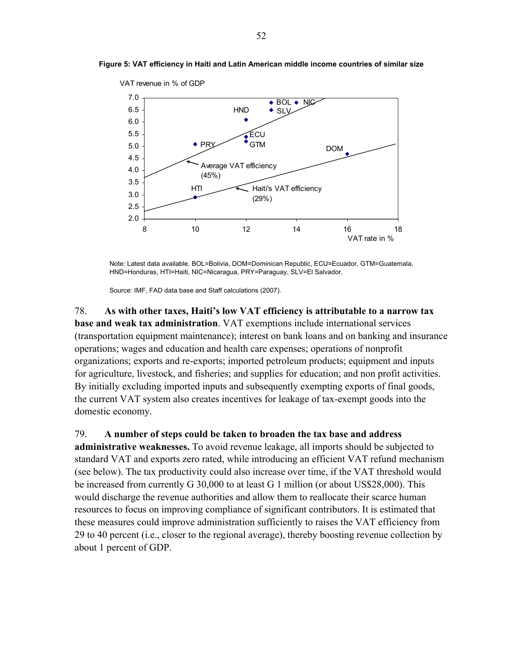

**Figure 5: VAT efficiency in Haiti and Latin American middle income countries of similar size** 

Note: Latest data available. BOL=Bolivia, DOM=Dominican Republic, ECU=Ecuador, GTM=Guatemala, HND=Honduras, HTI=Haiti, NIC=Nicaragua, PRY=Paraguay, SLV=El Salvador.

Source: IMF, FAD data base and Staff calculations (2007).

78. **As with other taxes, Haiti's low VAT efficiency is attributable to a narrow tax base and weak tax administration**. VAT exemptions include international services (transportation equipment maintenance); interest on bank loans and on banking and insurance operations; wages and education and health care expenses; operations of nonprofit organizations; exports and re-exports; imported petroleum products; equipment and inputs for agriculture, livestock, and fisheries; and supplies for education; and non profit activities. By initially excluding imported inputs and subsequently exempting exports of final goods, the current VAT system also creates incentives for leakage of tax-exempt goods into the domestic economy.

#### 79. **A number of steps could be taken to broaden the tax base and address**

**administrative weaknesses.** To avoid revenue leakage, all imports should be subjected to standard VAT and exports zero rated, while introducing an efficient VAT refund mechanism (see below). The tax productivity could also increase over time, if the VAT threshold would be increased from currently G 30,000 to at least G 1 million (or about US\$28,000). This would discharge the revenue authorities and allow them to reallocate their scarce human resources to focus on improving compliance of significant contributors. It is estimated that these measures could improve administration sufficiently to raises the VAT efficiency from 29 to 40 percent (i.e., closer to the regional average), thereby boosting revenue collection by about 1 percent of GDP.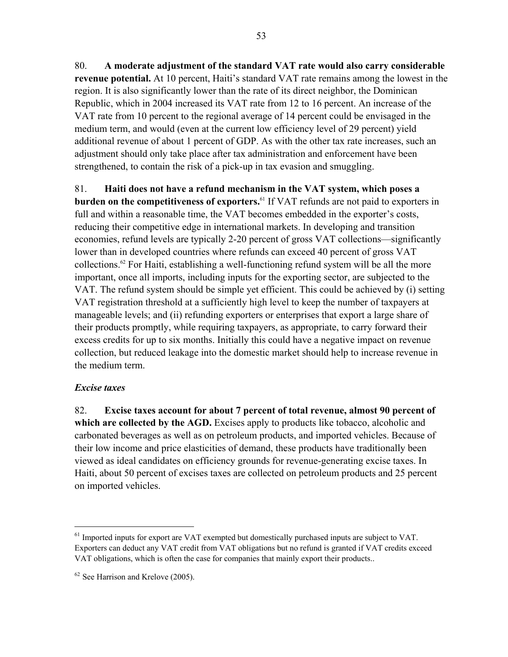80. **A moderate adjustment of the standard VAT rate would also carry considerable revenue potential.** At 10 percent, Haiti's standard VAT rate remains among the lowest in the region. It is also significantly lower than the rate of its direct neighbor, the Dominican Republic, which in 2004 increased its VAT rate from 12 to 16 percent. An increase of the VAT rate from 10 percent to the regional average of 14 percent could be envisaged in the medium term, and would (even at the current low efficiency level of 29 percent) yield additional revenue of about 1 percent of GDP. As with the other tax rate increases, such an adjustment should only take place after tax administration and enforcement have been strengthened, to contain the risk of a pick-up in tax evasion and smuggling.

81. **Haiti does not have a refund mechanism in the VAT system, which poses a burden on the competitiveness of exporters.**<sup>61</sup> If VAT refunds are not paid to exporters in full and within a reasonable time, the VAT becomes embedded in the exporter's costs, reducing their competitive edge in international markets. In developing and transition economies, refund levels are typically 2-20 percent of gross VAT collections—significantly lower than in developed countries where refunds can exceed 40 percent of gross VAT collections.62 For Haiti, establishing a well-functioning refund system will be all the more important, once all imports, including inputs for the exporting sector, are subjected to the VAT. The refund system should be simple yet efficient. This could be achieved by (i) setting VAT registration threshold at a sufficiently high level to keep the number of taxpayers at manageable levels; and (ii) refunding exporters or enterprises that export a large share of their products promptly, while requiring taxpayers, as appropriate, to carry forward their excess credits for up to six months. Initially this could have a negative impact on revenue collection, but reduced leakage into the domestic market should help to increase revenue in the medium term.

# *Excise taxes*

 $\overline{a}$ 

82. **Excise taxes account for about 7 percent of total revenue, almost 90 percent of which are collected by the AGD.** Excises apply to products like tobacco, alcoholic and carbonated beverages as well as on petroleum products, and imported vehicles. Because of their low income and price elasticities of demand, these products have traditionally been viewed as ideal candidates on efficiency grounds for revenue-generating excise taxes. In Haiti, about 50 percent of excises taxes are collected on petroleum products and 25 percent on imported vehicles.

<sup>&</sup>lt;sup>61</sup> Imported inputs for export are VAT exempted but domestically purchased inputs are subject to VAT. Exporters can deduct any VAT credit from VAT obligations but no refund is granted if VAT credits exceed VAT obligations, which is often the case for companies that mainly export their products..

 $62$  See Harrison and Krelove (2005).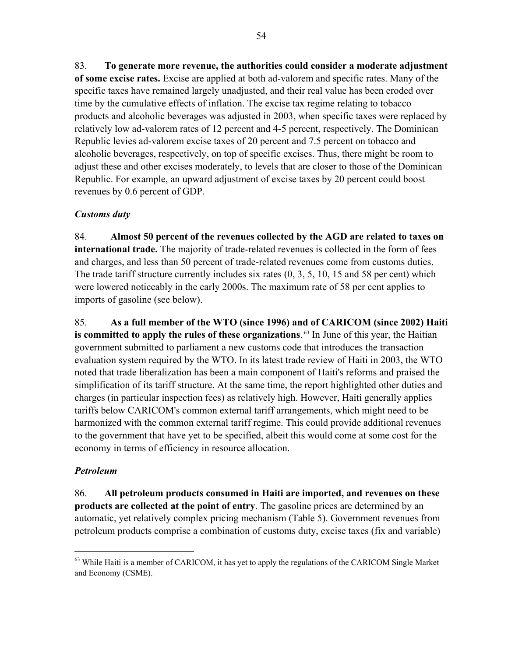83. **To generate more revenue, the authorities could consider a moderate adjustment of some excise rates.** Excise are applied at both ad-valorem and specific rates. Many of the specific taxes have remained largely unadjusted, and their real value has been eroded over time by the cumulative effects of inflation. The excise tax regime relating to tobacco products and alcoholic beverages was adjusted in 2003, when specific taxes were replaced by relatively low ad-valorem rates of 12 percent and 4-5 percent, respectively. The Dominican Republic levies ad-valorem excise taxes of 20 percent and 7.5 percent on tobacco and alcoholic beverages, respectively, on top of specific excises. Thus, there might be room to adjust these and other excises moderately, to levels that are closer to those of the Dominican Republic. For example, an upward adjustment of excise taxes by 20 percent could boost revenues by 0.6 percent of GDP.

# *Customs duty*

84. **Almost 50 percent of the revenues collected by the AGD are related to taxes on international trade.** The majority of trade-related revenues is collected in the form of fees and charges, and less than 50 percent of trade-related revenues come from customs duties. The trade tariff structure currently includes six rates (0, 3, 5, 10, 15 and 58 per cent) which were lowered noticeably in the early 2000s. The maximum rate of 58 per cent applies to imports of gasoline (see below).

85. **As a full member of the WTO (since 1996) and of CARICOM (since 2002) Haiti**  is committed to apply the rules of these organizations.<sup>63</sup> In June of this year, the Haitian government submitted to parliament a new customs code that introduces the transaction evaluation system required by the WTO. In its latest trade review of Haiti in 2003, the WTO noted that trade liberalization has been a main component of Haiti's reforms and praised the simplification of its tariff structure. At the same time, the report highlighted other duties and charges (in particular inspection fees) as relatively high. However, Haiti generally applies tariffs below CARICOM's common external tariff arrangements, which might need to be harmonized with the common external tariff regime. This could provide additional revenues to the government that have yet to be specified, albeit this would come at some cost for the economy in terms of efficiency in resource allocation.

# *Petroleum*

 $\overline{a}$ 

86. **All petroleum products consumed in Haiti are imported, and revenues on these products are collected at the point of entry**. The gasoline prices are determined by an automatic, yet relatively complex pricing mechanism (Table 5). Government revenues from petroleum products comprise a combination of customs duty, excise taxes (fix and variable)

 $63$  While Haiti is a member of CARICOM, it has yet to apply the regulations of the CARICOM Single Market and Economy (CSME).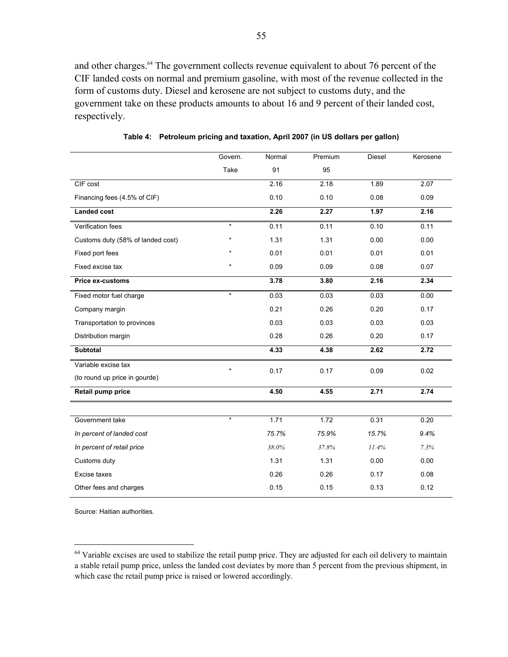and other charges.<sup>64</sup> The government collects revenue equivalent to about 76 percent of the CIF landed costs on normal and premium gasoline, with most of the revenue collected in the form of customs duty. Diesel and kerosene are not subject to customs duty, and the government take on these products amounts to about 16 and 9 percent of their landed cost, respectively.

|                                   | Govern. | Normal | Premium          | <b>Diesel</b> | Kerosene |
|-----------------------------------|---------|--------|------------------|---------------|----------|
|                                   | Take    | 91     | 95               |               |          |
| CIF cost                          |         | 2.16   | 2.18             | 1.89          | 2.07     |
| Financing fees (4.5% of CIF)      |         | 0.10   | 0.10             | 0.08          | 0.09     |
| <b>Landed cost</b>                |         | 2.26   | 2.27             | 1.97          | 2.16     |
| Verification fees                 | $\star$ | 0.11   | 0.11             | 0.10          | 0.11     |
| Customs duty (58% of landed cost) | $\star$ | 1.31   | 1.31             | 0.00          | 0.00     |
| Fixed port fees                   |         | 0.01   | 0.01             | 0.01          | 0.01     |
| Fixed excise tax                  | $\star$ | 0.09   | 0.09             | 0.08          | 0.07     |
| <b>Price ex-customs</b>           |         | 3.78   | 3.80             | 2.16          | 2.34     |
| Fixed motor fuel charge           | $\star$ | 0.03   | 0.03             | 0.03          | 0.00     |
| Company margin                    |         | 0.21   | 0.26             | 0.20          | 0.17     |
| Transportation to provinces       |         | 0.03   | 0.03             | 0.03          | 0.03     |
| Distribution margin               |         | 0.28   | 0.26             | 0.20          | 0.17     |
| <b>Subtotal</b>                   |         | 4.33   | 4.38             | 2.62          | 2.72     |
| Variable excise tax               | $\star$ | 0.17   | 0.17             | 0.09          | 0.02     |
| (to round up price in gourde)     |         |        |                  |               |          |
| Retail pump price                 |         | 4.50   | 4.55             | 2.71          | 2.74     |
|                                   |         |        |                  |               |          |
| Government take                   | $\star$ | 1.71   | $\frac{1}{1.72}$ | 0.31          | 0.20     |
| In percent of landed cost         |         | 75.7%  | 75.9%            | 15.7%         | 9.4%     |
| In percent of retail price        |         | 38.0%  | 37.8%            | 11.4%         | 7.3%     |
| Customs duty                      |         | 1.31   | 1.31             | 0.00          | 0.00     |
| Excise taxes                      |         | 0.26   | 0.26             | 0.17          | 0.08     |
| Other fees and charges            |         | 0.15   | 0.15             | 0.13          | 0.12     |

**Table 4: Petroleum pricing and taxation, April 2007 (in US dollars per gallon)** 

Source: Haitian authorities.

 $\overline{a}$ 

 $64$  Variable excises are used to stabilize the retail pump price. They are adjusted for each oil delivery to maintain a stable retail pump price, unless the landed cost deviates by more than 5 percent from the previous shipment, in which case the retail pump price is raised or lowered accordingly.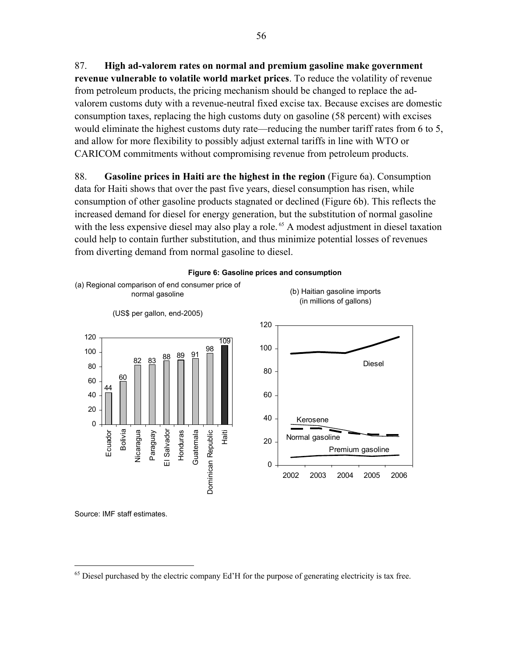87. **High ad-valorem rates on normal and premium gasoline make government revenue vulnerable to volatile world market prices**. To reduce the volatility of revenue from petroleum products, the pricing mechanism should be changed to replace the advalorem customs duty with a revenue-neutral fixed excise tax. Because excises are domestic consumption taxes, replacing the high customs duty on gasoline (58 percent) with excises would eliminate the highest customs duty rate—reducing the number tariff rates from 6 to 5, and allow for more flexibility to possibly adjust external tariffs in line with WTO or CARICOM commitments without compromising revenue from petroleum products.

88. **Gasoline prices in Haiti are the highest in the region** (Figure 6a). Consumption data for Haiti shows that over the past five years, diesel consumption has risen, while consumption of other gasoline products stagnated or declined (Figure 6b). This reflects the increased demand for diesel for energy generation, but the substitution of normal gasoline with the less expensive diesel may also play a role.<sup>65</sup> A modest adjustment in diesel taxation could help to contain further substitution, and thus minimize potential losses of revenues from diverting demand from normal gasoline to diesel.





Source: IMF staff estimates.

 $\overline{a}$ 

<sup>&</sup>lt;sup>65</sup> Diesel purchased by the electric company Ed'H for the purpose of generating electricity is tax free.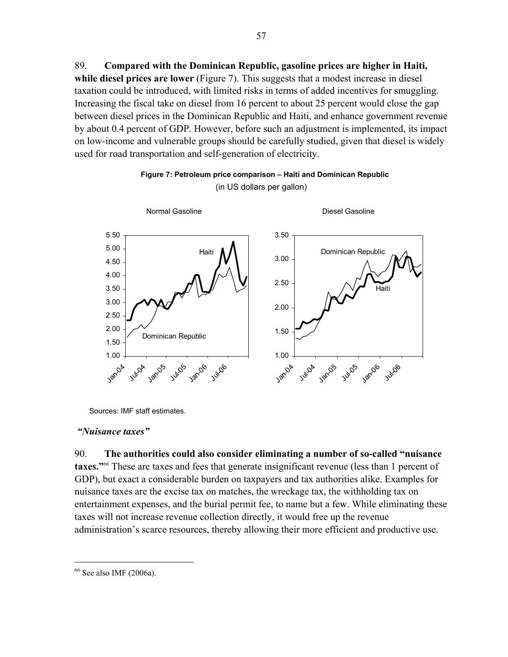89. **Compared with the Dominican Republic, gasoline prices are higher in Haiti, while diesel prices are lower** (Figure 7). This suggests that a modest increase in diesel taxation could be introduced, with limited risks in terms of added incentives for smuggling. Increasing the fiscal take on diesel from 16 percent to about 25 percent would close the gap between diesel prices in the Dominican Republic and Haiti, and enhance government revenue by about 0.4 percent of GDP. However, before such an adjustment is implemented, its impact on low-income and vulnerable groups should be carefully studied, given that diesel is widely used for road transportation and self-generation of electricity.





Sources: IMF staff estimates.

#### *"Nuisance taxes"*

90. **The authorities could also consider eliminating a number of so-called "nuisance taxes."**66 These are taxes and fees that generate insignificant revenue (less than 1 percent of GDP), but exact a considerable burden on taxpayers and tax authorities alike. Examples for nuisance taxes are the excise tax on matches, the wreckage tax, the withholding tax on entertainment expenses, and the burial permit fee, to name but a few. While eliminating these taxes will not increase revenue collection directly, it would free up the revenue administration's scarce resources, thereby allowing their more efficient and productive use.

<u>.</u>

<sup>66</sup> See also IMF (2006a).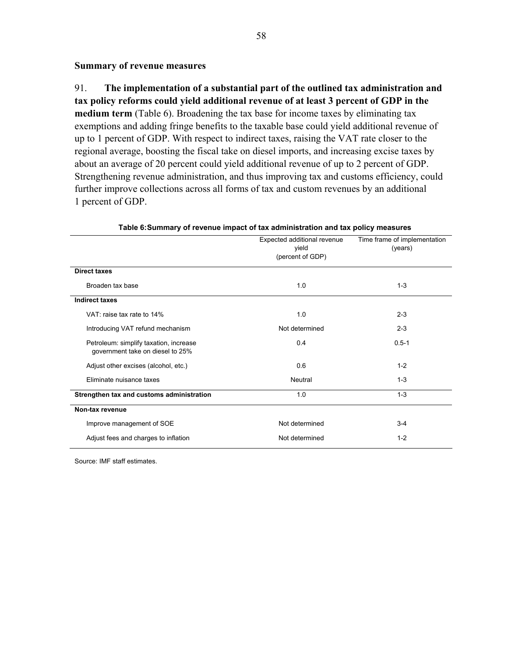## **Summary of revenue measures**

91. **The implementation of a substantial part of the outlined tax administration and tax policy reforms could yield additional revenue of at least 3 percent of GDP in the medium term** (Table 6). Broadening the tax base for income taxes by eliminating tax exemptions and adding fringe benefits to the taxable base could yield additional revenue of up to 1 percent of GDP. With respect to indirect taxes, raising the VAT rate closer to the regional average, boosting the fiscal take on diesel imports, and increasing excise taxes by about an average of 20 percent could yield additional revenue of up to 2 percent of GDP. Strengthening revenue administration, and thus improving tax and customs efficiency, could further improve collections across all forms of tax and custom revenues by an additional 1 percent of GDP.

|                                                                            | Expected additional revenue<br>yield<br>(percent of GDP) | Time frame of implementation<br>(years) |
|----------------------------------------------------------------------------|----------------------------------------------------------|-----------------------------------------|
| <b>Direct taxes</b>                                                        |                                                          |                                         |
| Broaden tax base                                                           | 1.0                                                      | $1 - 3$                                 |
| <b>Indirect taxes</b>                                                      |                                                          |                                         |
| VAT: raise tax rate to 14%                                                 | 1.0                                                      | $2 - 3$                                 |
| Introducing VAT refund mechanism                                           | Not determined                                           | $2 - 3$                                 |
| Petroleum: simplify taxation, increase<br>government take on diesel to 25% | 0.4                                                      | $0.5 - 1$                               |
| Adjust other excises (alcohol, etc.)                                       | 0.6                                                      | $1 - 2$                                 |
| Eliminate nuisance taxes                                                   | Neutral                                                  | $1 - 3$                                 |
| Strengthen tax and customs administration                                  | 1.0                                                      | $1 - 3$                                 |
| Non-tax revenue                                                            |                                                          |                                         |
| Improve management of SOE                                                  | Not determined                                           | $3 - 4$                                 |
| Adjust fees and charges to inflation                                       | Not determined                                           | $1 - 2$                                 |

**Table 6: Summary of revenue impact of tax administration and tax policy measures** 

Source: IMF staff estimates.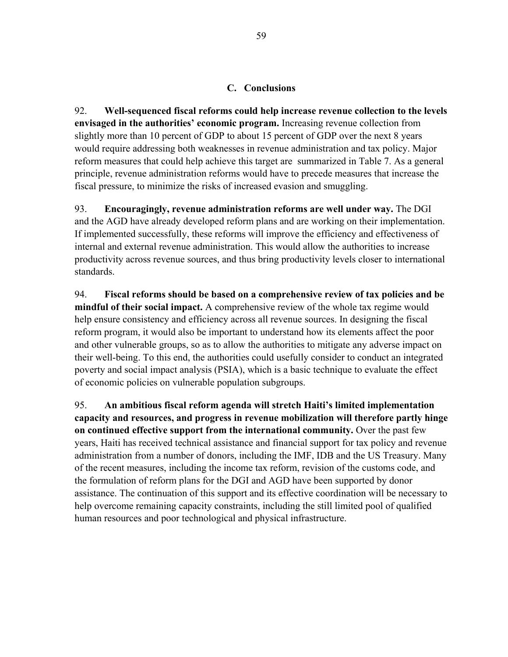## **C. Conclusions**

92. **Well-sequenced fiscal reforms could help increase revenue collection to the levels envisaged in the authorities' economic program.** Increasing revenue collection from slightly more than 10 percent of GDP to about 15 percent of GDP over the next 8 years would require addressing both weaknesses in revenue administration and tax policy. Major reform measures that could help achieve this target are summarized in Table 7. As a general principle, revenue administration reforms would have to precede measures that increase the fiscal pressure, to minimize the risks of increased evasion and smuggling.

93. **Encouragingly, revenue administration reforms are well under way.** The DGI and the AGD have already developed reform plans and are working on their implementation. If implemented successfully, these reforms will improve the efficiency and effectiveness of internal and external revenue administration. This would allow the authorities to increase productivity across revenue sources, and thus bring productivity levels closer to international standards.

94. **Fiscal reforms should be based on a comprehensive review of tax policies and be mindful of their social impact.** A comprehensive review of the whole tax regime would help ensure consistency and efficiency across all revenue sources. In designing the fiscal reform program, it would also be important to understand how its elements affect the poor and other vulnerable groups, so as to allow the authorities to mitigate any adverse impact on their well-being. To this end, the authorities could usefully consider to conduct an integrated poverty and social impact analysis (PSIA), which is a basic technique to evaluate the effect of economic policies on vulnerable population subgroups.

95. **An ambitious fiscal reform agenda will stretch Haiti's limited implementation capacity and resources, and progress in revenue mobilization will therefore partly hinge on continued effective support from the international community.** Over the past few years, Haiti has received technical assistance and financial support for tax policy and revenue administration from a number of donors, including the IMF, IDB and the US Treasury. Many of the recent measures, including the income tax reform, revision of the customs code, and the formulation of reform plans for the DGI and AGD have been supported by donor assistance. The continuation of this support and its effective coordination will be necessary to help overcome remaining capacity constraints, including the still limited pool of qualified human resources and poor technological and physical infrastructure.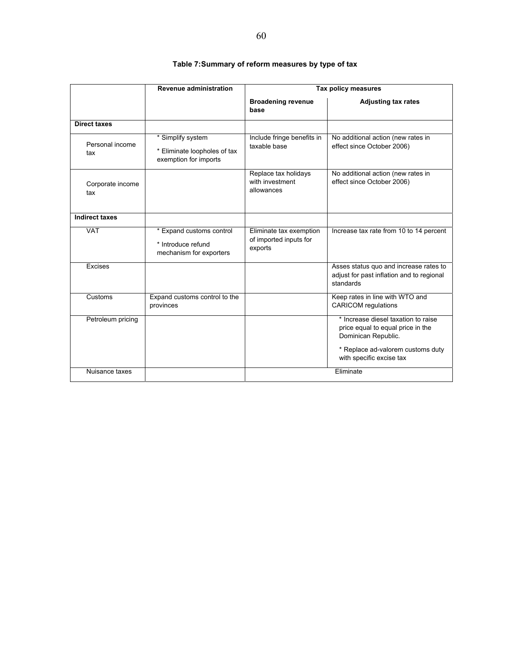|                         | Revenue administration                                                     |                                                              | Tax policy measures                                                                                                                                              |
|-------------------------|----------------------------------------------------------------------------|--------------------------------------------------------------|------------------------------------------------------------------------------------------------------------------------------------------------------------------|
|                         |                                                                            | <b>Broadening revenue</b><br>base                            | <b>Adjusting tax rates</b>                                                                                                                                       |
| <b>Direct taxes</b>     |                                                                            |                                                              |                                                                                                                                                                  |
| Personal income<br>tax  | * Simplify system<br>* Eliminate loopholes of tax<br>exemption for imports | Include fringe benefits in<br>taxable base                   | No additional action (new rates in<br>effect since October 2006)                                                                                                 |
| Corporate income<br>tax |                                                                            | Replace tax holidays<br>with investment<br>allowances        | No additional action (new rates in<br>effect since October 2006)                                                                                                 |
| <b>Indirect taxes</b>   |                                                                            |                                                              |                                                                                                                                                                  |
| <b>VAT</b>              | * Expand customs control<br>* Introduce refund<br>mechanism for exporters  | Eliminate tax exemption<br>of imported inputs for<br>exports | Increase tax rate from 10 to 14 percent                                                                                                                          |
| Excises                 |                                                                            |                                                              | Asses status quo and increase rates to<br>adjust for past inflation and to regional<br>standards                                                                 |
| Customs                 | Expand customs control to the<br>provinces                                 |                                                              | Keep rates in line with WTO and<br><b>CARICOM</b> regulations                                                                                                    |
| Petroleum pricing       |                                                                            |                                                              | * Increase diesel taxation to raise<br>price equal to equal price in the<br>Dominican Republic.<br>* Replace ad-valorem customs duty<br>with specific excise tax |
| Nuisance taxes          |                                                                            |                                                              | Eliminate                                                                                                                                                        |

## **Table 7: Summary of reform measures by type of tax**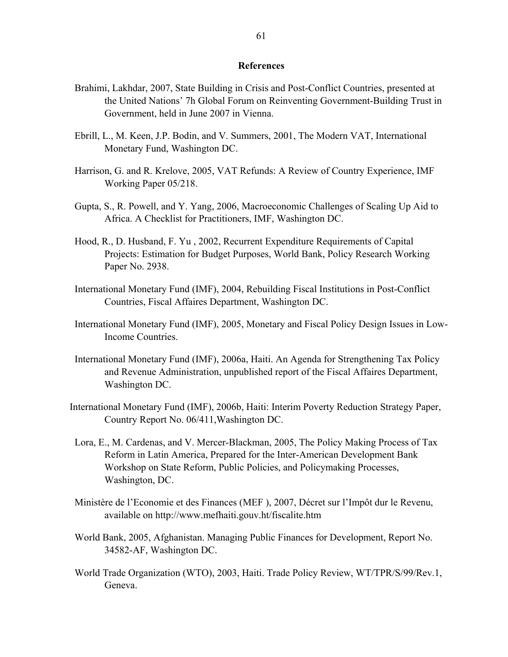#### **References**

- Brahimi, Lakhdar, 2007, State Building in Crisis and Post-Conflict Countries, presented at the United Nations' 7h Global Forum on Reinventing Government-Building Trust in Government, held in June 2007 in Vienna.
- Ebrill, L., M. Keen, J.P. Bodin, and V. Summers, 2001, The Modern VAT, International Monetary Fund, Washington DC.
- Harrison, G. and R. Krelove, 2005, VAT Refunds: A Review of Country Experience, IMF Working Paper 05/218.
- Gupta, S., R. Powell, and Y. Yang, 2006, Macroeconomic Challenges of Scaling Up Aid to Africa. A Checklist for Practitioners, IMF, Washington DC.
- Hood, R., D. Husband, F. Yu , 2002, Recurrent Expenditure Requirements of Capital Projects: Estimation for Budget Purposes, World Bank, Policy Research Working Paper No. 2938.
- International Monetary Fund (IMF), 2004, Rebuilding Fiscal Institutions in Post-Conflict Countries, Fiscal Affaires Department, Washington DC.
- International Monetary Fund (IMF), 2005, Monetary and Fiscal Policy Design Issues in Low-Income Countries.
- International Monetary Fund (IMF), 2006a, Haiti. An Agenda for Strengthening Tax Policy and Revenue Administration, unpublished report of the Fiscal Affaires Department, Washington DC.
- International Monetary Fund (IMF), 2006b, Haiti: Interim Poverty Reduction Strategy Paper, Country Report No. 06/411,Washington DC.
	- Lora, E., M. Cardenas, and V. Mercer-Blackman, 2005, The Policy Making Process of Tax Reform in Latin America, Prepared for the Inter-American Development Bank Workshop on State Reform, Public Policies, and Policymaking Processes, Washington, DC.
	- Ministère de l'Economie et des Finances (MEF ), 2007, Décret sur l'Impôt dur le Revenu, available on http://www.mefhaiti.gouv.ht/fiscalite.htm
	- World Bank, 2005, Afghanistan. Managing Public Finances for Development, Report No. 34582-AF, Washington DC.
	- World Trade Organization (WTO), 2003, Haiti. Trade Policy Review, WT/TPR/S/99/Rev.1, Geneva.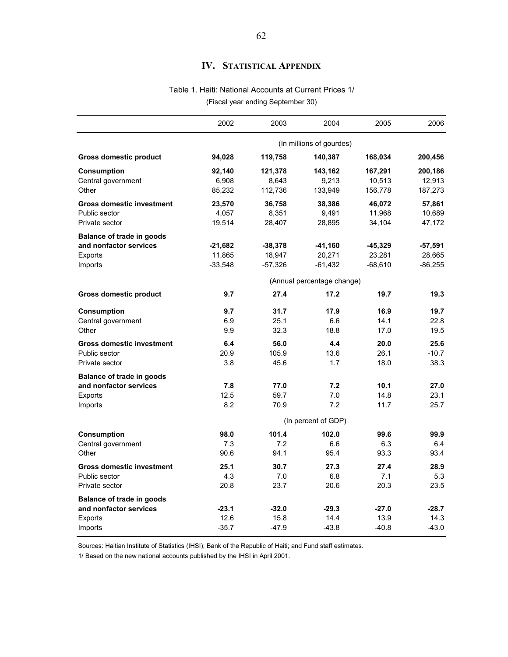# **IV. STATISTICAL APPENDIX**

#### Table 1. Haiti: National Accounts at Current Prices 1/

(Fiscal year ending September 30)

|                                   | 2002                | 2003                | 2004                       | 2005                | 2006              |  |  |  |
|-----------------------------------|---------------------|---------------------|----------------------------|---------------------|-------------------|--|--|--|
|                                   |                     |                     | (In millions of gourdes)   |                     |                   |  |  |  |
| <b>Gross domestic product</b>     | 94,028              | 119,758             | 140,387                    | 168,034             | 200,456           |  |  |  |
| <b>Consumption</b>                | 92,140              | 121,378             | 143,162                    | 167,291             | 200,186           |  |  |  |
| Central government                | 6,908               | 8,643               | 9,213                      | 10,513              | 12,913            |  |  |  |
| Other                             | 85,232              | 112,736             | 133,949                    | 156,778             | 187,273           |  |  |  |
| <b>Gross domestic investment</b>  | 23,570              | 36,758              | 38,386                     | 46,072              | 57,861            |  |  |  |
| Public sector                     | 4,057               | 8,351               | 9,491                      | 11,968              | 10,689            |  |  |  |
| Private sector                    | 19,514              | 28,407              | 28,895                     | 34,104              | 47,172            |  |  |  |
| <b>Balance of trade in goods</b>  |                     |                     |                            |                     |                   |  |  |  |
| and nonfactor services<br>Exports | -21,682<br>11,865   | $-38,378$<br>18,947 | -41,160<br>20,271          | $-45,329$<br>23,281 | -57,591<br>28,665 |  |  |  |
| Imports                           | $-33,548$           | $-57,326$           | $-61,432$                  | $-68,610$           | -86,255           |  |  |  |
|                                   |                     |                     |                            |                     |                   |  |  |  |
|                                   |                     |                     | (Annual percentage change) |                     |                   |  |  |  |
| <b>Gross domestic product</b>     | 9.7                 | 27.4                | 17.2                       | 19.7                | 19.3              |  |  |  |
| <b>Consumption</b>                | 9.7                 | 31.7                | 17.9                       | 16.9                | 19.7              |  |  |  |
| Central government                | 6.9                 | 25.1                | 6.6                        | 14.1                | 22.8              |  |  |  |
| Other                             | 9.9                 | 32.3                | 18.8                       | 17.0                | 19.5              |  |  |  |
| <b>Gross domestic investment</b>  | 6.4                 | 56.0                | 4.4                        | 20.0                | 25.6              |  |  |  |
| Public sector                     | 20.9                | 105.9               | 13.6                       | 26.1                | $-10.7$           |  |  |  |
| Private sector                    | 3.8                 | 45.6                | 1.7                        | 18.0                | 38.3              |  |  |  |
| <b>Balance of trade in goods</b>  |                     |                     |                            |                     |                   |  |  |  |
| and nonfactor services            | 7.8                 | 77.0                | 7.2                        | 10.1                | 27.0              |  |  |  |
| Exports                           | 12.5                | 59.7                | 7.0                        | 14.8                | 23.1              |  |  |  |
| Imports                           | 8.2                 | 70.9                | 7.2                        | 11.7                | 25.7              |  |  |  |
|                                   | (In percent of GDP) |                     |                            |                     |                   |  |  |  |
| Consumption                       | 98.0                | 101.4               | 102.0                      | 99.6                | 99.9              |  |  |  |
| Central government                | 7.3                 | 7.2                 | 6.6                        | 6.3                 | 6.4               |  |  |  |
| Other                             | 90.6                | 94.1                | 95.4                       | 93.3                | 93.4              |  |  |  |
| <b>Gross domestic investment</b>  | 25.1                | 30.7                | 27.3                       | 27.4                | 28.9              |  |  |  |
| Public sector                     | 4.3                 | 7.0                 | 6.8                        | 7.1                 | 5.3               |  |  |  |
| Private sector                    | 20.8                | 23.7                | 20.6                       | 20.3                | 23.5              |  |  |  |
| Balance of trade in goods         |                     |                     |                            |                     |                   |  |  |  |
| and nonfactor services            | $-23.1$             | $-32.0$             | $-29.3$                    | $-27.0$             | $-28.7$           |  |  |  |
| Exports                           | 12.6                | 15.8                | 14.4                       | 13.9                | 14.3              |  |  |  |
| Imports                           | $-35.7$             | $-47.9$             | $-43.8$                    | $-40.8$             | $-43.0$           |  |  |  |

Sources: Haitian Institute of Statistics (IHSI); Bank of the Republic of Haiti; and Fund staff estimates.

1/ Based on the new national accounts published by the IHSI in April 2001.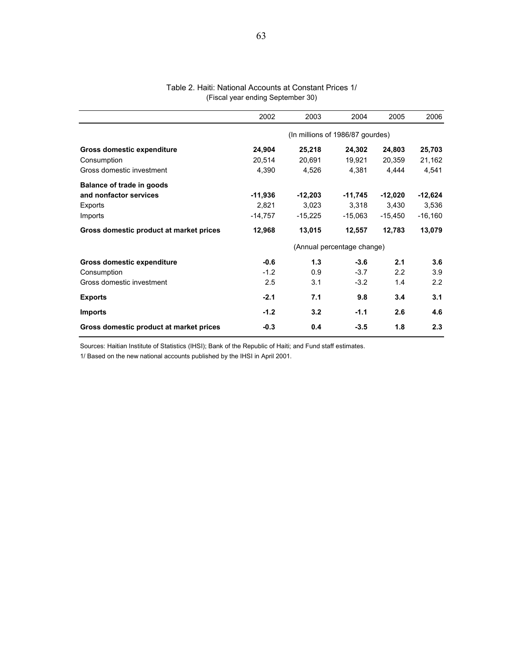#### Table 2. Haiti: National Accounts at Constant Prices 1/ (Fiscal year ending September 30)

|                                         | 2002      | 2003      | 2004                             | 2005      | 2006      |  |  |
|-----------------------------------------|-----------|-----------|----------------------------------|-----------|-----------|--|--|
|                                         |           |           | (In millions of 1986/87 gourdes) |           |           |  |  |
| Gross domestic expenditure              | 24,904    | 25,218    | 24,302                           | 24,803    | 25,703    |  |  |
| Consumption                             | 20,514    | 20,691    | 19,921                           | 20,359    | 21,162    |  |  |
| Gross domestic investment               | 4,390     | 4,526     | 4,381                            | 4,444     | 4,541     |  |  |
| Balance of trade in goods               |           |           |                                  |           |           |  |  |
| and nonfactor services                  | $-11,936$ | $-12,203$ | $-11,745$                        | $-12,020$ | $-12,624$ |  |  |
| Exports                                 | 2,821     | 3,023     | 3,318                            | 3.430     | 3,536     |  |  |
| Imports                                 | $-14,757$ | $-15,225$ | $-15,063$                        | $-15,450$ | $-16,160$ |  |  |
| Gross domestic product at market prices | 12,968    | 13,015    | 12,557                           | 12,783    | 13,079    |  |  |
|                                         |           |           | (Annual percentage change)       |           |           |  |  |
| Gross domestic expenditure              | $-0.6$    | 1.3       | $-3.6$                           | 2.1       | 3.6       |  |  |
| Consumption                             | $-1.2$    | 0.9       | $-3.7$                           | 2.2       | 3.9       |  |  |
| Gross domestic investment               | 2.5       | 3.1       | $-3.2$                           | 1.4       | 2.2       |  |  |
| <b>Exports</b>                          | $-2.1$    | 7.1       | 9.8                              | 3.4       | 3.1       |  |  |
| <b>Imports</b>                          | $-1.2$    | 3.2       | $-1.1$                           | 2.6       | 4.6       |  |  |
| Gross domestic product at market prices | $-0.3$    | 0.4       | $-3.5$                           | 1.8       | 2.3       |  |  |

Sources: Haitian Institute of Statistics (IHSI); Bank of the Republic of Haiti; and Fund staff estimates.

1/ Based on the new national accounts published by the IHSI in April 2001.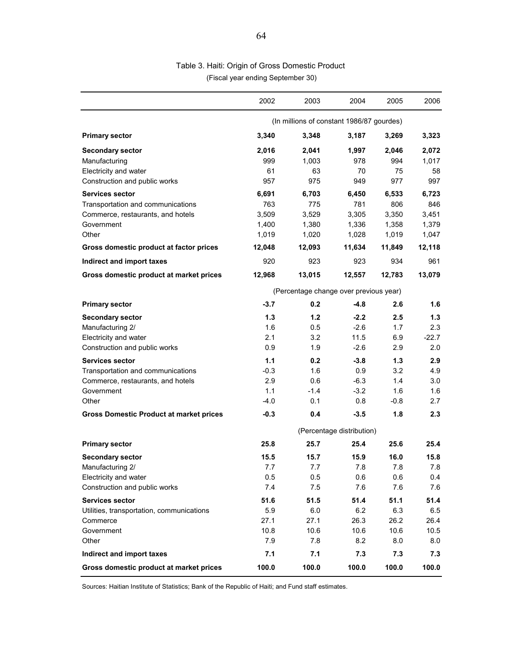## (Fiscal year ending September 30) Table 3. Haiti: Origin of Gross Domestic Product

|                                                                                                                                                                    | 2002                                              | 2003                                              | 2004                                              | 2005                                              | 2006                                              |
|--------------------------------------------------------------------------------------------------------------------------------------------------------------------|---------------------------------------------------|---------------------------------------------------|---------------------------------------------------|---------------------------------------------------|---------------------------------------------------|
|                                                                                                                                                                    |                                                   | (In millions of constant 1986/87 gourdes)         |                                                   |                                                   |                                                   |
| <b>Primary sector</b>                                                                                                                                              | 3,340                                             | 3,348                                             | 3,187                                             | 3,269                                             | 3,323                                             |
| <b>Secondary sector</b><br>Manufacturing<br>Electricity and water<br>Construction and public works                                                                 | 2,016<br>999<br>61<br>957                         | 2,041<br>1,003<br>63<br>975                       | 1,997<br>978<br>70<br>949                         | 2,046<br>994<br>75<br>977                         | 2,072<br>1,017<br>58<br>997                       |
| <b>Services sector</b><br>Transportation and communications<br>Commerce, restaurants, and hotels<br>Government<br>Other<br>Gross domestic product at factor prices | 6,691<br>763<br>3,509<br>1,400<br>1,019<br>12,048 | 6,703<br>775<br>3,529<br>1,380<br>1,020<br>12,093 | 6,450<br>781<br>3,305<br>1,336<br>1,028<br>11,634 | 6,533<br>806<br>3,350<br>1,358<br>1,019<br>11,849 | 6,723<br>846<br>3,451<br>1,379<br>1,047<br>12,118 |
| Indirect and import taxes                                                                                                                                          | 920                                               | 923                                               | 923                                               | 934                                               | 961                                               |
| Gross domestic product at market prices                                                                                                                            | 12,968                                            | 13,015                                            | 12,557                                            | 12,783                                            | 13,079                                            |
|                                                                                                                                                                    | (Percentage change over previous year)            |                                                   |                                                   |                                                   |                                                   |
| <b>Primary sector</b>                                                                                                                                              | $-3.7$                                            | 0.2                                               | $-4.8$                                            | 2.6                                               | 1.6                                               |
| <b>Secondary sector</b><br>Manufacturing 2/<br>Electricity and water<br>Construction and public works                                                              | 1.3<br>1.6<br>2.1<br>0.9                          | 1.2<br>0.5<br>3.2<br>1.9                          | $-2.2$<br>$-2.6$<br>11.5<br>$-2.6$                | 2.5<br>1.7<br>6.9<br>2.9                          | 1.3<br>2.3<br>$-22.7$<br>2.0                      |
| Services sector<br>Transportation and communications<br>Commerce, restaurants, and hotels<br>Government<br>Other                                                   | 1.1<br>$-0.3$<br>2.9<br>1.1<br>$-4.0$             | 0.2<br>1.6<br>0.6<br>$-1.4$<br>0.1                | $-3.8$<br>0.9<br>$-6.3$<br>$-3.2$<br>0.8          | 1.3<br>3.2<br>1.4<br>1.6<br>$-0.8$                | 2.9<br>4.9<br>3.0<br>1.6<br>2.7                   |
| <b>Gross Domestic Product at market prices</b>                                                                                                                     | $-0.3$                                            | 0.4                                               | $-3.5$                                            | 1.8                                               | 2.3                                               |
|                                                                                                                                                                    |                                                   |                                                   | (Percentage distribution)                         |                                                   |                                                   |
| <b>Primary sector</b>                                                                                                                                              | 25.8                                              | 25.7                                              | 25.4                                              | 25.6                                              | 25.4                                              |
| <b>Secondary sector</b><br>Manufacturing 2/<br>Electricity and water<br>Construction and public works                                                              | 15.5<br>7.7<br>0.5<br>7.4                         | 15.7<br>7.7<br>0.5<br>7.5                         | 15.9<br>7.8<br>0.6<br>7.6                         | 16.0<br>7.8<br>0.6<br>7.6                         | 15.8<br>7.8<br>0.4<br>7.6                         |
| <b>Services sector</b><br>Utilities, transportation, communications<br>Commerce<br>Government<br>Other                                                             | 51.6<br>5.9<br>27.1<br>10.8<br>7.9                | 51.5<br>6.0<br>27.1<br>10.6<br>7.8                | 51.4<br>6.2<br>26.3<br>10.6<br>8.2                | 51.1<br>6.3<br>26.2<br>10.6<br>8.0                | 51.4<br>6.5<br>26.4<br>10.5<br>8.0                |
| Indirect and import taxes                                                                                                                                          | 7.1                                               | 7.1                                               | 7.3                                               | 7.3                                               | 7.3                                               |
| Gross domestic product at market prices                                                                                                                            | 100.0                                             | 100.0                                             | 100.0                                             | 100.0                                             | 100.0                                             |

Sources: Haitian Institute of Statistics; Bank of the Republic of Haiti; and Fund staff estimates.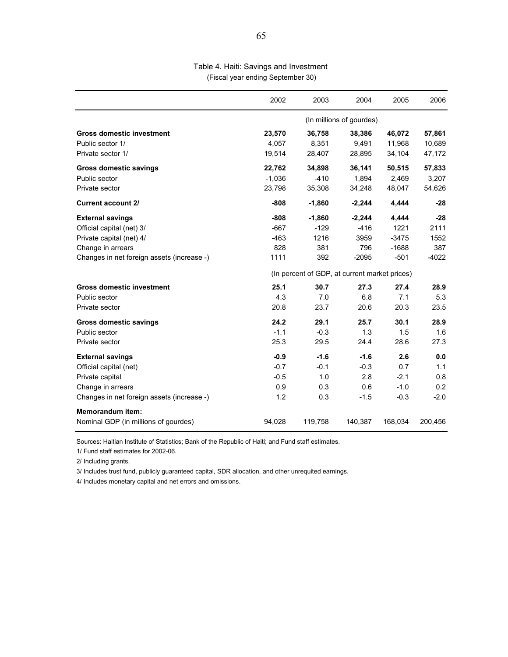#### Table 4. Haiti: Savings and Investment (Fiscal year ending September 30)

|                                            | 2002     | 2003                                          | 2004                     | 2005    | 2006    |
|--------------------------------------------|----------|-----------------------------------------------|--------------------------|---------|---------|
|                                            |          |                                               | (In millions of gourdes) |         |         |
| <b>Gross domestic investment</b>           | 23,570   | 36,758                                        | 38,386                   | 46,072  | 57,861  |
| Public sector 1/                           | 4,057    | 8,351                                         | 9,491                    | 11,968  | 10,689  |
| Private sector 1/                          | 19,514   | 28,407                                        | 28,895                   | 34,104  | 47,172  |
| Gross domestic savings                     | 22,762   | 34,898                                        | 36,141                   | 50,515  | 57,833  |
| Public sector                              | $-1,036$ | $-410$                                        | 1,894                    | 2,469   | 3,207   |
| Private sector                             | 23,798   | 35,308                                        | 34,248                   | 48,047  | 54,626  |
| <b>Current account 2/</b>                  | $-808$   | $-1,860$                                      | $-2,244$                 | 4,444   | $-28$   |
| <b>External savings</b>                    | $-808$   | $-1,860$                                      | $-2,244$                 | 4,444   | $-28$   |
| Official capital (net) 3/                  | $-667$   | $-129$                                        | $-416$                   | 1221    | 2111    |
| Private capital (net) 4/                   | $-463$   | 1216                                          | 3959                     | $-3475$ | 1552    |
| Change in arrears                          | 828      | 381                                           | 796                      | $-1688$ | 387     |
| Changes in net foreign assets (increase -) | 1111     | 392                                           | $-2095$                  | $-501$  | $-4022$ |
|                                            |          | (In percent of GDP, at current market prices) |                          |         |         |
| <b>Gross domestic investment</b>           | 25.1     | 30.7                                          | 27.3                     | 27.4    | 28.9    |
| Public sector                              | 4.3      | 7.0                                           | 6.8                      | 7.1     | 5.3     |
| Private sector                             | 20.8     | 23.7                                          | 20.6                     | 20.3    | 23.5    |
| <b>Gross domestic savings</b>              | 24.2     | 29.1                                          | 25.7                     | 30.1    | 28.9    |
| Public sector                              | $-1.1$   | $-0.3$                                        | 1.3                      | 1.5     | 1.6     |
| Private sector                             | 25.3     | 29.5                                          | 24.4                     | 28.6    | 27.3    |
| <b>External savings</b>                    | $-0.9$   | $-1.6$                                        | $-1.6$                   | 2.6     | 0.0     |
| Official capital (net)                     | $-0.7$   | $-0.1$                                        | $-0.3$                   | 0.7     | 1.1     |
| Private capital                            | $-0.5$   | 1.0                                           | 2.8                      | $-2.1$  | 0.8     |
| Change in arrears                          | 0.9      | 0.3                                           | 0.6                      | $-1.0$  | 0.2     |
| Changes in net foreign assets (increase -) | 1.2      | 0.3                                           | $-1.5$                   | $-0.3$  | $-2.0$  |
| <b>Memorandum item:</b>                    |          |                                               |                          |         |         |
| Nominal GDP (in millions of gourdes)       | 94,028   | 119,758                                       | 140,387                  | 168,034 | 200,456 |

Sources: Haitian Institute of Statistics; Bank of the Republic of Haiti; and Fund staff estimates.

1/ Fund staff estimates for 2002-06.

2/ Including grants.

3/ Includes trust fund, publicly guaranteed capital, SDR allocation, and other unrequited earnings.

4/ Includes monetary capital and net errors and omissions.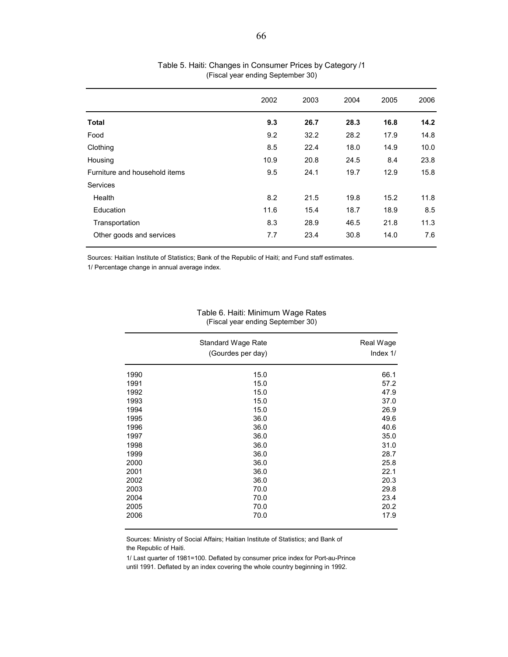|                               | 2002 | 2003 | 2004 | 2005 | 2006 |
|-------------------------------|------|------|------|------|------|
| <b>Total</b>                  | 9.3  | 26.7 | 28.3 | 16.8 | 14.2 |
| Food                          | 9.2  | 32.2 | 28.2 | 17.9 | 14.8 |
| Clothing                      | 8.5  | 22.4 | 18.0 | 14.9 | 10.0 |
| Housing                       | 10.9 | 20.8 | 24.5 | 8.4  | 23.8 |
| Furniture and household items | 9.5  | 24.1 | 19.7 | 12.9 | 15.8 |
| <b>Services</b>               |      |      |      |      |      |
| Health                        | 8.2  | 21.5 | 19.8 | 15.2 | 11.8 |
| Education                     | 11.6 | 15.4 | 18.7 | 18.9 | 8.5  |
| Transportation                | 8.3  | 28.9 | 46.5 | 21.8 | 11.3 |
| Other goods and services      | 7.7  | 23.4 | 30.8 | 14.0 | 7.6  |

#### Table 5. Haiti: Changes in Consumer Prices by Category /1 (Fiscal year ending September 30)

Sources: Haitian Institute of Statistics; Bank of the Republic of Haiti; and Fund staff estimates.

1/ Percentage change in annual average index.

#### Table 6. Haiti: Minimum Wage Rates (Fiscal year ending September 30)

|      | <b>Standard Wage Rate</b><br>(Gourdes per day) | Real Wage<br>Index 1/ |
|------|------------------------------------------------|-----------------------|
| 1990 | 15.0                                           | 66.1                  |
| 1991 | 15.0                                           | 57.2                  |
| 1992 | 15.0                                           | 47.9                  |
| 1993 | 15.0                                           | 37.0                  |
| 1994 | 15.0                                           | 26.9                  |
| 1995 | 36.0                                           | 49.6                  |
| 1996 | 36.0                                           | 40.6                  |
| 1997 | 36.0                                           | 35.0                  |
| 1998 | 36.0                                           | 31.0                  |
| 1999 | 36.0                                           | 28.7                  |
| 2000 | 36.0                                           | 25.8                  |
| 2001 | 36.0                                           | 22.1                  |
| 2002 | 36.0                                           | 20.3                  |
| 2003 | 70.0                                           | 29.8                  |
| 2004 | 70.0                                           | 23.4                  |
| 2005 | 70.0                                           | 20.2                  |
| 2006 | 70.0                                           | 17.9                  |

Sources: Ministry of Social Affairs; Haitian Institute of Statistics; and Bank of the Republic of Haiti.

1/ Last quarter of 1981=100. Deflated by consumer price index for Port-au-Prince until 1991. Deflated by an index covering the whole country beginning in 1992.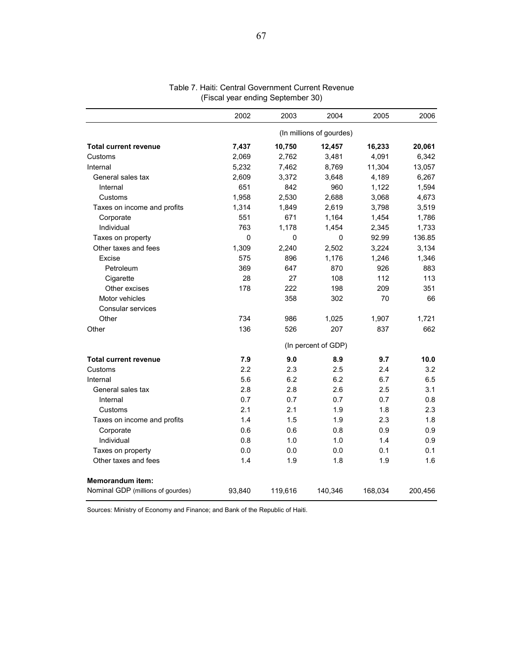|                                   | 2002                     | 2003     | 2004        | 2005    | 2006    |  |  |
|-----------------------------------|--------------------------|----------|-------------|---------|---------|--|--|
|                                   | (In millions of gourdes) |          |             |         |         |  |  |
| <b>Total current revenue</b>      | 7,437                    | 10,750   | 12,457      | 16,233  | 20,061  |  |  |
| Customs                           | 2,069                    | 2,762    | 3,481       | 4,091   | 6,342   |  |  |
| Internal                          | 5,232                    | 7,462    | 8,769       | 11,304  | 13,057  |  |  |
| General sales tax                 | 2,609                    | 3,372    | 3,648       | 4,189   | 6,267   |  |  |
| Internal                          | 651                      | 842      | 960         | 1,122   | 1,594   |  |  |
| Customs                           | 1.958                    | 2,530    | 2.688       | 3,068   | 4.673   |  |  |
| Taxes on income and profits       | 1,314                    | 1.849    | 2.619       | 3,798   | 3,519   |  |  |
| Corporate                         | 551                      | 671      | 1,164       | 1,454   | 1,786   |  |  |
| Individual                        | 763                      | 1.178    | 1,454       | 2,345   | 1,733   |  |  |
| Taxes on property                 | $\mathbf 0$              | $\Omega$ | $\mathbf 0$ | 92.99   | 136.85  |  |  |
| Other taxes and fees              | 1,309                    | 2,240    | 2,502       | 3,224   | 3,134   |  |  |
| Excise                            | 575                      | 896      | 1,176       | 1,246   | 1,346   |  |  |
| Petroleum                         | 369                      | 647      | 870         | 926     | 883     |  |  |
| Cigarette                         | 28                       | 27       | 108         | 112     | 113     |  |  |
| Other excises                     | 178                      | 222      | 198         | 209     | 351     |  |  |
| Motor vehicles                    |                          | 358      | 302         | 70      | 66      |  |  |
| Consular services                 |                          |          |             |         |         |  |  |
| Other                             | 734                      | 986      | 1,025       | 1,907   | 1,721   |  |  |
| Other                             | 136                      | 526      | 207         | 837     | 662     |  |  |
|                                   | (In percent of GDP)      |          |             |         |         |  |  |
| <b>Total current revenue</b>      | 7.9                      | 9.0      | 8.9         | 9.7     | 10.0    |  |  |
| Customs                           | 2.2                      | 2.3      | 2.5         | 2.4     | 3.2     |  |  |
| Internal                          | 5.6                      | 6.2      | 6.2         | 6.7     | 6.5     |  |  |
| General sales tax                 | 2.8                      | 2.8      | 2.6         | 2.5     | 3.1     |  |  |
| Internal                          | 0.7                      | 0.7      | 0.7         | 0.7     | 0.8     |  |  |
| Customs                           | 2.1                      | 2.1      | 1.9         | 1.8     | 2.3     |  |  |
| Taxes on income and profits       | 1.4                      | 1.5      | 1.9         | 2.3     | 1.8     |  |  |
| Corporate                         | 0.6                      | 0.6      | 0.8         | 0.9     | 0.9     |  |  |
| Individual                        | 0.8                      | 1.0      | 1.0         | 1.4     | 0.9     |  |  |
| Taxes on property                 | 0.0                      | 0.0      | 0.0         | 0.1     | 0.1     |  |  |
| Other taxes and fees              | 1.4                      | 1.9      | 1.8         | 1.9     | 1.6     |  |  |
| Memorandum item:                  |                          |          |             |         |         |  |  |
| Nominal GDP (millions of gourdes) | 93,840                   | 119,616  | 140,346     | 168,034 | 200,456 |  |  |

## Table 7. Haiti: Central Government Current Revenue (Fiscal year ending September 30)

Sources: Ministry of Economy and Finance; and Bank of the Republic of Haiti.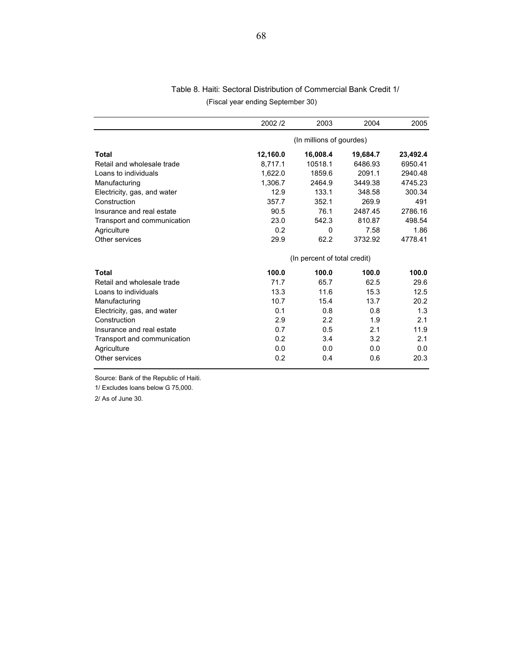| Table 8. Haiti: Sectoral Distribution of Commercial Bank Credit 1/ |                                   |  |
|--------------------------------------------------------------------|-----------------------------------|--|
|                                                                    | (Fiscal year ending September 30) |  |

|                             | 2002/2                   | 2003                         | 2004     | 2005     |  |
|-----------------------------|--------------------------|------------------------------|----------|----------|--|
|                             | (In millions of gourdes) |                              |          |          |  |
| Total                       | 12,160.0                 | 16,008.4                     | 19,684.7 | 23,492.4 |  |
| Retail and wholesale trade  | 8,717.1                  | 10518.1                      | 6486.93  | 6950.41  |  |
| Loans to individuals        | 1.622.0                  | 1859.6                       | 2091.1   | 2940.48  |  |
| Manufacturing               | 1.306.7                  | 2464.9                       | 3449.38  | 4745.23  |  |
| Electricity, gas, and water | 12.9                     | 133.1                        | 348.58   | 300.34   |  |
| Construction                | 357.7                    | 352.1                        | 269.9    | 491      |  |
| Insurance and real estate   | 90.5                     | 76.1                         | 2487.45  | 2786.16  |  |
| Transport and communication | 23.0                     | 542.3                        | 810.87   | 498.54   |  |
| Agriculture                 | 0.2                      | $\Omega$                     | 7.58     | 1.86     |  |
| Other services              | 29.9                     | 62.2                         | 3732.92  | 4778.41  |  |
|                             |                          | (In percent of total credit) |          |          |  |
| Total                       | 100.0                    | 100.0                        | 100.0    | 100.0    |  |
| Retail and wholesale trade  | 71.7                     | 65.7                         | 62.5     | 29.6     |  |
| Loans to individuals        | 13.3                     | 11.6                         | 15.3     | 12.5     |  |
| Manufacturing               | 10.7                     | 15.4                         | 13.7     | 20.2     |  |
| Electricity, gas, and water | 0.1                      | 0.8                          | 0.8      | 1.3      |  |
| Construction                | 2.9                      | 2.2                          | 1.9      | 2.1      |  |
| Insurance and real estate   | 0.7                      | 0.5                          | 2.1      | 11.9     |  |
| Transport and communication | 0.2                      | 3.4                          | 3.2      | 2.1      |  |
| Agriculture                 | 0.0                      | 0.0                          | 0.0      | 0.0      |  |
| Other services              | 0.2                      | 0.4                          | 0.6      | 20.3     |  |

Source: Bank of the Republic of Haiti.

1/ Excludes loans below G 75,000.

2/ As of June 30.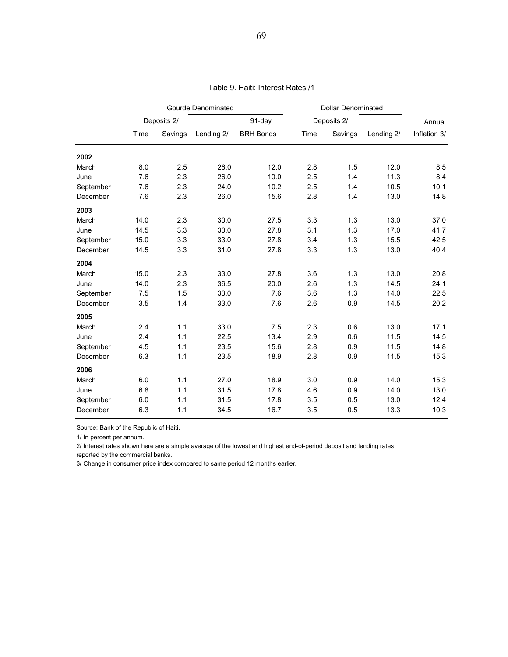|           | Gourde Denominated |         |            |                  | <b>Dollar Denominated</b> |             |            |              |
|-----------|--------------------|---------|------------|------------------|---------------------------|-------------|------------|--------------|
|           | Deposits 2/        |         |            | 91-day           |                           | Deposits 2/ |            | Annual       |
|           | Time               | Savings | Lending 2/ | <b>BRH Bonds</b> | Time                      | Savings     | Lending 2/ | Inflation 3/ |
| 2002      |                    |         |            |                  |                           |             |            |              |
| March     | 8.0                | 2.5     | 26.0       | 12.0             | 2.8                       | 1.5         | 12.0       | 8.5          |
| June      | 7.6                | 2.3     | 26.0       | 10.0             | 2.5                       | 1.4         | 11.3       | 8.4          |
| September | 7.6                | 2.3     | 24.0       | 10.2             | 2.5                       | 1.4         | 10.5       | 10.1         |
| December  | 7.6                | 2.3     | 26.0       | 15.6             | 2.8                       | 1.4         | 13.0       | 14.8         |
| 2003      |                    |         |            |                  |                           |             |            |              |
| March     | 14.0               | 2.3     | 30.0       | 27.5             | 3.3                       | 1.3         | 13.0       | 37.0         |
| June      | 14.5               | 3.3     | 30.0       | 27.8             | 3.1                       | 1.3         | 17.0       | 41.7         |
| September | 15.0               | 3.3     | 33.0       | 27.8             | 3.4                       | 1.3         | 15.5       | 42.5         |
| December  | 14.5               | 3.3     | 31.0       | 27.8             | 3.3                       | 1.3         | 13.0       | 40.4         |
| 2004      |                    |         |            |                  |                           |             |            |              |
| March     | 15.0               | 2.3     | 33.0       | 27.8             | 3.6                       | 1.3         | 13.0       | 20.8         |
| June      | 14.0               | 2.3     | 36.5       | 20.0             | 2.6                       | 1.3         | 14.5       | 24.1         |
| September | 7.5                | 1.5     | 33.0       | 7.6              | 3.6                       | 1.3         | 14.0       | 22.5         |
| December  | 3.5                | 1.4     | 33.0       | 7.6              | 2.6                       | 0.9         | 14.5       | 20.2         |
| 2005      |                    |         |            |                  |                           |             |            |              |
| March     | 2.4                | 1.1     | 33.0       | 7.5              | 2.3                       | 0.6         | 13.0       | 17.1         |
| June      | 2.4                | 1.1     | 22.5       | 13.4             | 2.9                       | 0.6         | 11.5       | 14.5         |
| September | 4.5                | 1.1     | 23.5       | 15.6             | 2.8                       | 0.9         | 11.5       | 14.8         |
| December  | 6.3                | 1.1     | 23.5       | 18.9             | 2.8                       | 0.9         | 11.5       | 15.3         |
| 2006      |                    |         |            |                  |                           |             |            |              |
| March     | 6.0                | 1.1     | 27.0       | 18.9             | 3.0                       | 0.9         | 14.0       | 15.3         |
| June      | 6.8                | 1.1     | 31.5       | 17.8             | 4.6                       | 0.9         | 14.0       | 13.0         |
| September | 6.0                | 1.1     | 31.5       | 17.8             | 3.5                       | 0.5         | 13.0       | 12.4         |
| December  | 6.3                | 1.1     | 34.5       | 16.7             | 3.5                       | 0.5         | 13.3       | 10.3         |

Table 9. Haiti: Interest Rates /1

Source: Bank of the Republic of Haiti.

1/ In percent per annum.

2/ Interest rates shown here are a simple average of the lowest and highest end-of-period deposit and lending rates

reported by the commercial banks.

3/ Change in consumer price index compared to same period 12 months earlier.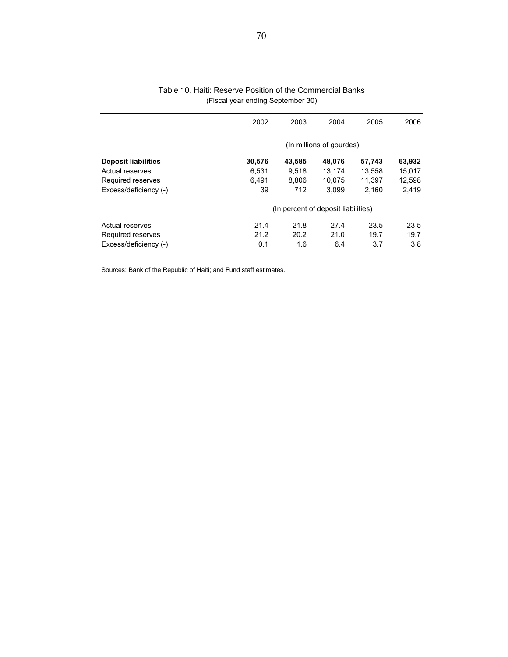|                            | 2002                                | 2003   | 2004   | 2005   | 2006   |  |
|----------------------------|-------------------------------------|--------|--------|--------|--------|--|
|                            | (In millions of gourdes)            |        |        |        |        |  |
| <b>Deposit liabilities</b> | 30,576                              | 43,585 | 48,076 | 57,743 | 63,932 |  |
| Actual reserves            | 6,531                               | 9.518  | 13.174 | 13,558 | 15,017 |  |
| Required reserves          | 6.491                               | 8.806  | 10.075 | 11.397 | 12,598 |  |
| Excess/deficiency (-)      | 39                                  | 712    | 3,099  | 2,160  | 2,419  |  |
|                            | (In percent of deposit liabilities) |        |        |        |        |  |
| Actual reserves            | 21.4                                | 21.8   | 27.4   | 23.5   | 23.5   |  |
| Required reserves          | 21.2                                | 20.2   | 21.0   | 19.7   | 19.7   |  |
| Excess/deficiency (-)      | 0.1                                 | 1.6    | 6.4    | 3.7    | 3.8    |  |

#### Table 10. Haiti: Reserve Position of the Commercial Banks (Fiscal year ending September 30)

Sources: Bank of the Republic of Haiti; and Fund staff estimates.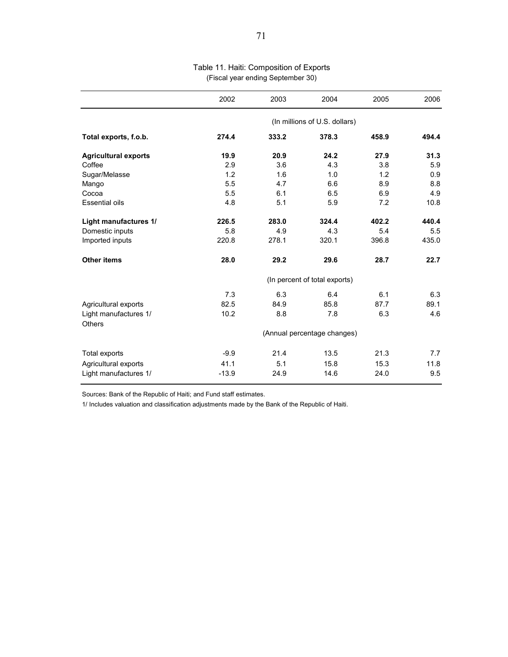|                                        | 2002                          | 2003  | 2004  | 2005  | 2006  |  |  |
|----------------------------------------|-------------------------------|-------|-------|-------|-------|--|--|
|                                        | (In millions of U.S. dollars) |       |       |       |       |  |  |
| Total exports, f.o.b.                  | 274.4                         | 333.2 | 378.3 | 458.9 | 494.4 |  |  |
| <b>Agricultural exports</b>            | 19.9                          | 20.9  | 24.2  | 27.9  | 31.3  |  |  |
| Coffee                                 | 2.9                           | 3.6   | 4.3   | 3.8   | 5.9   |  |  |
| Sugar/Melasse                          | 1.2                           | 1.6   | 1.0   | 1.2   | 0.9   |  |  |
| Mango                                  | 5.5                           | 4.7   | 6.6   | 8.9   | 8.8   |  |  |
| Cocoa                                  | 5.5                           | 6.1   | 6.5   | 6.9   | 4.9   |  |  |
| <b>Essential oils</b>                  | 4.8                           | 5.1   | 5.9   | 7.2   | 10.8  |  |  |
| Light manufactures 1/                  | 226.5                         | 283.0 | 324.4 | 402.2 | 440.4 |  |  |
| Domestic inputs                        | 5.8                           | 4.9   | 4.3   | 5.4   | 5.5   |  |  |
| Imported inputs                        | 220.8                         | 278.1 | 320.1 | 396.8 | 435.0 |  |  |
| <b>Other items</b>                     | 28.0                          | 29.2  | 29.6  | 28.7  | 22.7  |  |  |
|                                        | (In percent of total exports) |       |       |       |       |  |  |
|                                        | 7.3                           | 6.3   | 6.4   | 6.1   | 6.3   |  |  |
| Agricultural exports                   | 82.5                          | 84.9  | 85.8  | 87.7  | 89.1  |  |  |
| Light manufactures 1/<br><b>Others</b> | 10.2                          | 8.8   | 7.8   | 6.3   | 4.6   |  |  |
|                                        | (Annual percentage changes)   |       |       |       |       |  |  |
| Total exports                          | $-9.9$                        | 21.4  | 13.5  | 21.3  | 7.7   |  |  |
| Agricultural exports                   | 41.1                          | 5.1   | 15.8  | 15.3  | 11.8  |  |  |
| Light manufactures 1/                  | $-13.9$                       | 24.9  | 14.6  | 24.0  | 9.5   |  |  |

## Table 11. Haiti: Composition of Exports (Fiscal year ending September 30)

Sources: Bank of the Republic of Haiti; and Fund staff estimates.

1/ Includes valuation and classification adjustments made by the Bank of the Republic of Haiti.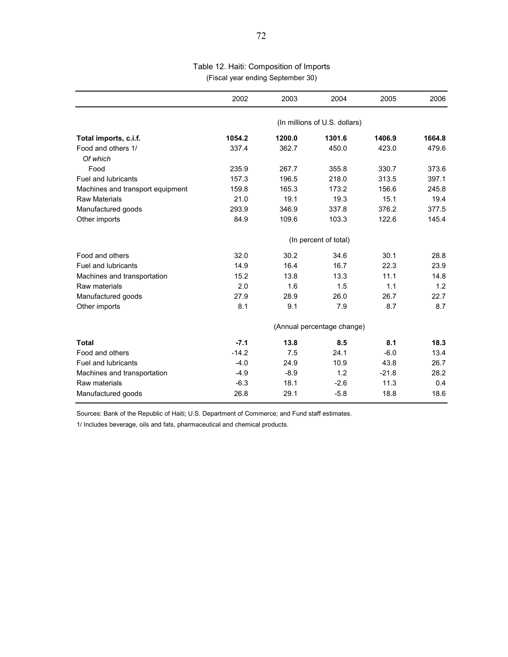| Table 12. Haiti: Composition of Imports |
|-----------------------------------------|
| (Fiscal year ending September 30)       |

|                                  | 2002                          | 2003   | 2004   | 2005    | 2006   |  |
|----------------------------------|-------------------------------|--------|--------|---------|--------|--|
|                                  | (In millions of U.S. dollars) |        |        |         |        |  |
| Total imports, c.i.f.            | 1054.2                        | 1200.0 | 1301.6 | 1406.9  | 1664.8 |  |
| Food and others 1/<br>Of which   | 337.4                         | 362.7  | 450.0  | 423.0   | 479.6  |  |
| Food                             | 235.9                         | 267.7  | 355.8  | 330.7   | 373.6  |  |
| Fuel and lubricants              | 157.3                         | 196.5  | 218.0  | 313.5   | 397.1  |  |
| Machines and transport equipment | 159.8                         | 165.3  | 173.2  | 156.6   | 245.8  |  |
| <b>Raw Materials</b>             | 21.0                          | 19.1   | 19.3   | 15.1    | 19.4   |  |
| Manufactured goods               | 293.9                         | 346.9  | 337.8  | 376.2   | 377.5  |  |
| Other imports                    | 84.9                          | 109.6  | 103.3  | 122.6   | 145.4  |  |
|                                  | (In percent of total)         |        |        |         |        |  |
| Food and others                  | 32.0                          | 30.2   | 34.6   | 30.1    | 28.8   |  |
| <b>Fuel and lubricants</b>       | 14.9                          | 16.4   | 16.7   | 22.3    | 23.9   |  |
| Machines and transportation      | 15.2                          | 13.8   | 13.3   | 11.1    | 14.8   |  |
| Raw materials                    | 2.0                           | 1.6    | 1.5    | 1.1     | 1.2    |  |
| Manufactured goods               | 27.9                          | 28.9   | 26.0   | 26.7    | 22.7   |  |
| Other imports                    | 8.1                           | 9.1    | 7.9    | 8.7     | 8.7    |  |
|                                  | (Annual percentage change)    |        |        |         |        |  |
| <b>Total</b>                     | $-7.1$                        | 13.8   | 8.5    | 8.1     | 18.3   |  |
| Food and others                  | $-14.2$                       | 7.5    | 24.1   | $-6.0$  | 13.4   |  |
| <b>Fuel and lubricants</b>       | $-4.0$                        | 24.9   | 10.9   | 43.8    | 26.7   |  |
| Machines and transportation      | $-4.9$                        | $-8.9$ | 1.2    | $-21.8$ | 28.2   |  |
| Raw materials                    | $-6.3$                        | 18.1   | $-2.6$ | 11.3    | 0.4    |  |
| Manufactured goods               | 26.8                          | 29.1   | $-5.8$ | 18.8    | 18.6   |  |

Sources: Bank of the Republic of Haiti; U.S. Department of Commerce; and Fund staff estimates.

1/ Includes beverage, oils and fats, pharmaceutical and chemical products.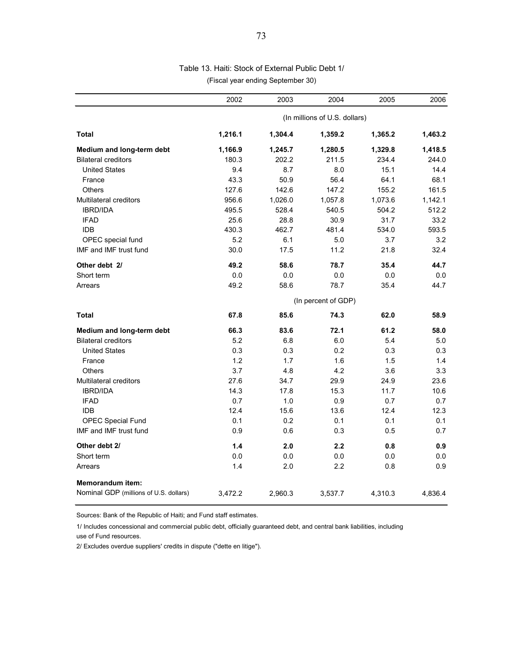## Table 13. Haiti: Stock of External Public Debt 1/ (Fiscal year ending September 30)

|                                        | 2002                          | 2003    | 2004    | 2005    | 2006    |  |  |
|----------------------------------------|-------------------------------|---------|---------|---------|---------|--|--|
|                                        | (In millions of U.S. dollars) |         |         |         |         |  |  |
| <b>Total</b>                           | 1,216.1                       | 1,304.4 | 1,359.2 | 1,365.2 | 1,463.2 |  |  |
| Medium and long-term debt              | 1,166.9                       | 1,245.7 | 1,280.5 | 1,329.8 | 1,418.5 |  |  |
| <b>Bilateral creditors</b>             | 180.3                         | 202.2   | 211.5   | 234.4   | 244.0   |  |  |
| <b>United States</b>                   | 9.4                           | 8.7     | 8.0     | 15.1    | 14.4    |  |  |
| France                                 | 43.3                          | 50.9    | 56.4    | 64.1    | 68.1    |  |  |
| Others                                 | 127.6                         | 142.6   | 147.2   | 155.2   | 161.5   |  |  |
| <b>Multilateral creditors</b>          | 956.6                         | 1,026.0 | 1,057.8 | 1,073.6 | 1,142.1 |  |  |
| <b>IBRD/IDA</b>                        | 495.5                         | 528.4   | 540.5   | 504.2   | 512.2   |  |  |
| <b>IFAD</b>                            | 25.6                          | 28.8    | 30.9    | 31.7    | 33.2    |  |  |
| <b>IDB</b>                             | 430.3                         | 462.7   | 481.4   | 534.0   | 593.5   |  |  |
| OPEC special fund                      | 5.2                           | 6.1     | 5.0     | 3.7     | 3.2     |  |  |
| IMF and IMF trust fund                 | 30.0                          | 17.5    | 11.2    | 21.8    | 32.4    |  |  |
| Other debt 2/                          | 49.2                          | 58.6    | 78.7    | 35.4    | 44.7    |  |  |
| Short term                             | 0.0                           | 0.0     | 0.0     | 0.0     | 0.0     |  |  |
| Arrears                                | 49.2                          | 58.6    | 78.7    | 35.4    | 44.7    |  |  |
|                                        | (In percent of GDP)           |         |         |         |         |  |  |
| Total                                  | 67.8                          | 85.6    | 74.3    | 62.0    | 58.9    |  |  |
| Medium and long-term debt              | 66.3                          | 83.6    | 72.1    | 61.2    | 58.0    |  |  |
| <b>Bilateral creditors</b>             | 5.2                           | 6.8     | 6.0     | 5.4     | 5.0     |  |  |
| <b>United States</b>                   | 0.3                           | 0.3     | 0.2     | 0.3     | 0.3     |  |  |
| France                                 | 1.2                           | 1.7     | 1.6     | 1.5     | 1.4     |  |  |
| <b>Others</b>                          | 3.7                           | 4.8     | 4.2     | 3.6     | 3.3     |  |  |
| Multilateral creditors                 | 27.6                          | 34.7    | 29.9    | 24.9    | 23.6    |  |  |
| <b>IBRD/IDA</b>                        | 14.3                          | 17.8    | 15.3    | 11.7    | 10.6    |  |  |
| <b>IFAD</b>                            | 0.7                           | 1.0     | 0.9     | 0.7     | 0.7     |  |  |
| <b>IDB</b>                             | 12.4                          | 15.6    | 13.6    | 12.4    | 12.3    |  |  |
| <b>OPEC Special Fund</b>               | 0.1                           | 0.2     | 0.1     | 0.1     | 0.1     |  |  |
| IMF and IMF trust fund                 | 0.9                           | 0.6     | 0.3     | 0.5     | 0.7     |  |  |
| Other debt 2/                          | 1.4                           | 2.0     | 2.2     | 0.8     | 0.9     |  |  |
| Short term                             | 0.0                           | 0.0     | 0.0     | 0.0     | 0.0     |  |  |
| Arrears                                | 1.4                           | 2.0     | 2.2     | 0.8     | 0.9     |  |  |
| <b>Memorandum item:</b>                |                               |         |         |         |         |  |  |
| Nominal GDP (millions of U.S. dollars) | 3,472.2                       | 2,960.3 | 3,537.7 | 4,310.3 | 4,836.4 |  |  |

Sources: Bank of the Republic of Haiti; and Fund staff estimates.

1/ Includes concessional and commercial public debt, officially guaranteed debt, and central bank liabilities, including use of Fund resources.

2/ Excludes overdue suppliers' credits in dispute ("dette en litige").